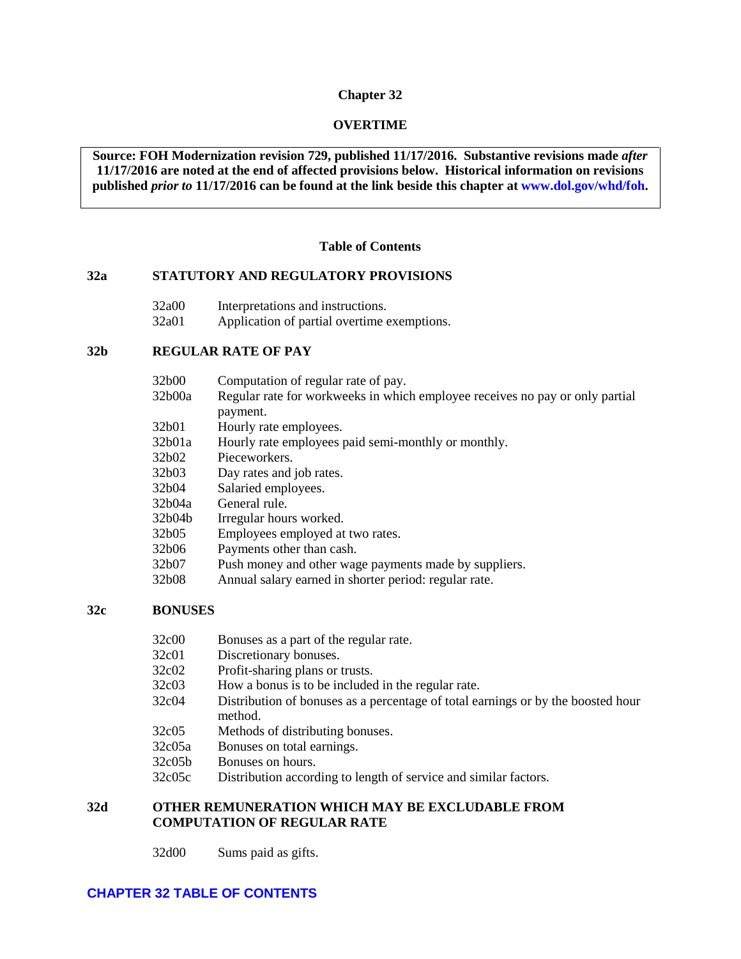#### **Chapter 32**

### **OVERTIME**

**Source: FOH Modernization revision 729, published 11/17/2016. Substantive revisions made** *after* **11/17/2016 are noted at the end of affected provisions below. Historical information on revisions published** *prior to* **11/17/2016 can be found at the link beside this chapter at [www.dol.gov/whd/foh.](http://www.dol.gov/whd/foh)** 

### **Table of Contents**

### <span id="page-0-0"></span>**[32a STATUTORY AND REGULATORY PROVISIONS](#page-3-0)**

- [32a00 Interpretations and instructions.](#page-3-1)<br>32a01 Application of partial overtime  $\epsilon$
- Application of partial overtime exemptions.

#### **[32b REGULAR RATE OF PAY](#page-4-0)**

| 32b00  | Computation of regular rate of pay.                                          |
|--------|------------------------------------------------------------------------------|
| 32b00a | Regular rate for workweeks in which employee receives no pay or only partial |
|        | payment.                                                                     |
| 32b01  | Hourly rate employees.                                                       |
| 32b01a | Hourly rate employees paid semi-monthly or monthly.                          |
| 32b02  | Pieceworkers.                                                                |
| 32b03  | Day rates and job rates.                                                     |
| 32b04  | Salaried employees.                                                          |
| 32b04a | General rule.                                                                |
| 32b04b | Irregular hours worked.                                                      |
| 32b05  | Employees employed at two rates.                                             |
| 32b06  | Payments other than cash.                                                    |
| 32b07  | Push money and other wage payments made by suppliers.                        |
| 32b08  | Annual salary earned in shorter period: regular rate.                        |
|        |                                                                              |

#### **[32c BONUSES](#page-7-1)**

| 32c00<br>Bonuses as a part of the regular rate. |  |
|-------------------------------------------------|--|
|-------------------------------------------------|--|

- [32c01 Discretionary bonuses.](#page-7-3)
- [32c02 Profit-sharing plans or trusts.](#page-8-0)
- [32c03 How a bonus is to be included in the regular rate.](#page-8-1)
- [32c04 Distribution of bonuses as a percentage of total earnings or by the boosted hour](#page-8-2)  [method.](#page-8-2)
- [32c05 Methods of distributing bonuses.](#page-9-0)
- [32c05a Bonuses on total earnings.](#page-9-1)
- [32c05b Bonuses on hours.](#page-10-0)
- [32c05c Distribution according to length of service and similar factors.](#page-10-1)

### **[32d OTHER REMUNERATION WHICH MAY BE EXCLUDABLE FROM](#page-10-2)  [COMPUTATION OF REGULAR RATE](#page-10-2)**

[32d00 Sums paid as gifts.](#page-10-3)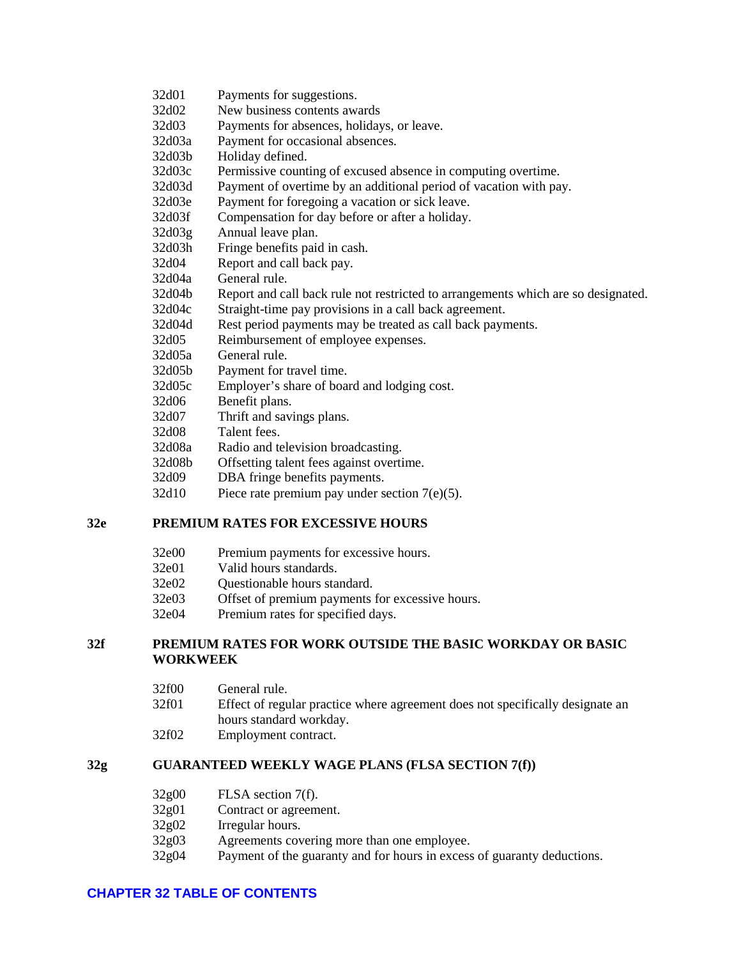| 32d01  | Payments for suggestions.                                                         |
|--------|-----------------------------------------------------------------------------------|
| 32d02  | New business contents awards                                                      |
| 32d03  | Payments for absences, holidays, or leave.                                        |
| 32d03a | Payment for occasional absences.                                                  |
| 32d03b | Holiday defined.                                                                  |
| 32d03c | Permissive counting of excused absence in computing overtime.                     |
| 32d03d | Payment of overtime by an additional period of vacation with pay.                 |
| 32d03e | Payment for foregoing a vacation or sick leave.                                   |
| 32d03f | Compensation for day before or after a holiday.                                   |
| 32d03g | Annual leave plan.                                                                |
| 32d03h | Fringe benefits paid in cash.                                                     |
| 32d04  | Report and call back pay.                                                         |
| 32d04a | General rule.                                                                     |
| 32d04b | Report and call back rule not restricted to arrangements which are so designated. |
| 32d04c | Straight-time pay provisions in a call back agreement.                            |
| 32d04d | Rest period payments may be treated as call back payments.                        |
| 32d05  | Reimbursement of employee expenses.                                               |
| 32d05a | General rule.                                                                     |
| 32d05b | Payment for travel time.                                                          |
| 32d05c | Employer's share of board and lodging cost.                                       |
| 32d06  | Benefit plans.                                                                    |
| 32d07  | Thrift and savings plans.                                                         |
| 32d08  | Talent fees.                                                                      |
| 32d08a | Radio and television broadcasting.                                                |
| 32d08b | Offsetting talent fees against overtime.                                          |
| 32d09  | DBA fringe benefits payments.                                                     |
| 32d10  | Piece rate premium pay under section $7(e)(5)$ .                                  |

# **[32e PREMIUM RATES FOR EXCESSIVE HOURS](#page-17-1)**

- [32e00 Premium payments for excessive hours.](#page-17-2)
- [32e01 Valid hours standards.](#page-17-3)
- [32e02 Questionable hours standard.](#page-18-0)
- [32e03 Offset of premium payments for excessive hours.](#page-18-1)
- [32e04 Premium rates for specified days.](#page-18-2)

## **32f [PREMIUM RATES FOR WORK OUTSIDE THE BASIC WORKDAY OR BASIC](#page-19-0)  [WORKWEEK](#page-19-0)**

- [32f00 General rule.](#page-19-1)
- [32f01 Effect of regular practice where agreement does not specifically designate an](#page-19-2)  [hours standard workday.](#page-19-2)
- [32f02 Employment contract.](#page-19-3)

# **[32g GUARANTEED WEEKLY WAGE PLANS \(FLSA SECTION](#page-20-0) 7(f))**

- [32g00 FLSA section](#page-20-1) 7(f).
- [32g01 Contract or agreement.](#page-20-2)
- [32g02 Irregular hours.](#page-20-3)
- [32g03 Agreements covering more than one employee.](#page-21-0)
- [32g04 Payment of the guaranty and for hours in excess of guaranty deductions.](#page-21-1)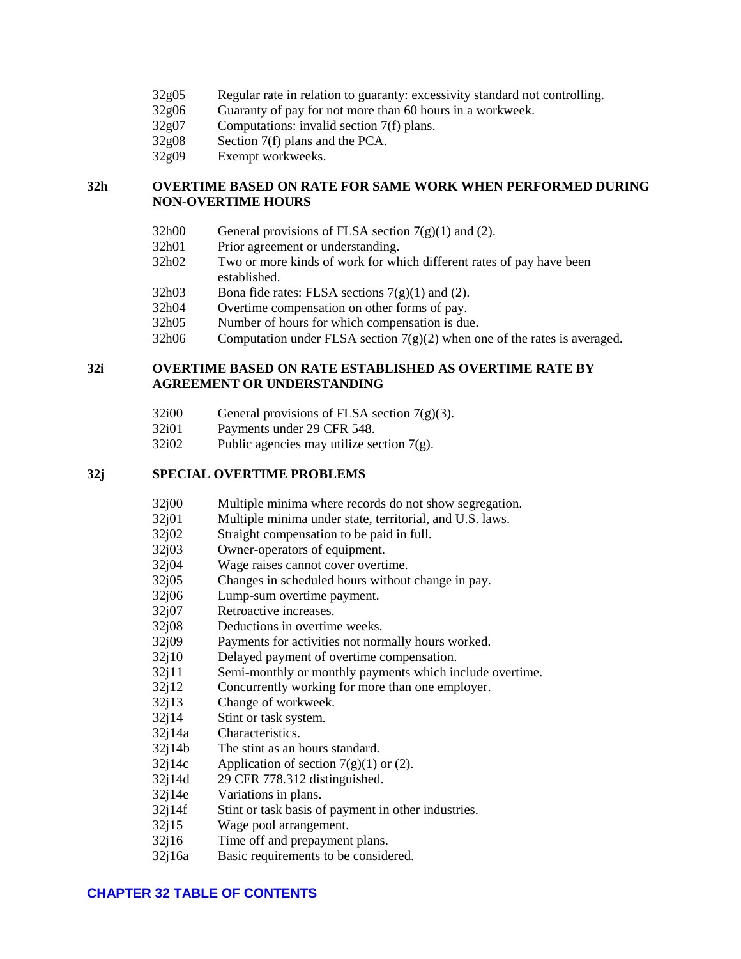- [32g05 Regular rate in relation to guaranty: excessivity standard not controlling.](#page-22-0)
- [32g06 Guaranty of pay for not more than 60 hours in a workweek.](#page-22-1)
- [32g07 Computations: invalid section](#page-23-0) 7(f) plans.
- 32g08 Section [7\(f\) plans and the PCA.](#page-23-1)
- [32g09 Exempt workweeks.](#page-24-0)

## **32h OVERTIME [BASED ON RATE FOR SAME WORK WHEN PERFORMED DURING](#page-24-1)  [NON-OVERTIME](#page-24-1) HOURS**

- [32h00 General provisions of FLSA section](#page-24-2)  $7(g)(1)$  and (2).
- [32h01 Prior agreement or understanding.](#page-24-3)
- [32h02 Two or more kinds of work for which different rates of pay have been](#page-24-4)  [established.](#page-24-4)
- [32h03 Bona fide rates: FLSA sections](#page-25-0)  $7(g)(1)$  and (2).
- [32h04 Overtime compensation on other forms of pay.](#page-25-1)
- [32h05 Number of hours for which compensation is due.](#page-25-2)
- [32h06 Computation under FLSA section](#page-26-0)  $7(g)(2)$  when one of the rates is averaged.

### **32i OVERTIME [BASED ON RATE ESTABLISHED AS OVERTIME](#page-26-1) RATE BY [AGREEMENT OR UNDERSTANDING](#page-26-1)**

- [32i00 General provisions of FLSA section](#page-26-2)  $7(g)(3)$ .
- [32i01 Payments under 29 CFR 548.](#page-26-3)
- [32i02 Public agencies may utilize section](#page-27-0) 7(g).

## **[32j SPECIAL OVERTIME](#page-27-1) PROBLEMS**

- [32j00 Multiple minima where records do not show segregation.](#page-27-2)
- [32j01 Multiple minima under state, territorial, and U.S. laws.](#page-27-3)
- [32j02 Straight compensation to be paid in full.](#page-27-4)
- [32j03 Owner-operators of equipment.](#page-28-0)
- [32j04 Wage raises cannot cover overtime.](#page-29-0)
- [32j05 Changes in scheduled hours without change in pay.](#page-29-1)
- [32j06 Lump-sum overtime payment.](#page-30-0)
- [32j07 Retroactive increases.](#page-30-1)
- [32j08 Deductions in overtime](#page-30-2) weeks.
- [32j09 Payments for activities not normally hours worked.](#page-33-0)
- [32j10 Delayed payment of overtime compensation.](#page-33-1)
- [32j11 Semi-monthly or monthly payments which include overtime.](#page-33-2)
- [32j12 Concurrently working for more than one employer.](#page-34-0)
- [32j13 Change of workweek.](#page-34-1)<br>32j14 Stint or task system.
- Stint or task system.
- [32j14a Characteristics.](#page-34-3)
- [32j14b The stint as an hours standard.](#page-34-4)
- $32i14c$  Application of section  $7(g)(1)$  or (2).
- [32j14d 29 CFR 778.312 distinguished.](#page-35-1)
- [32j14e Variations in plans.](#page-35-2)
- 32j14f [Stint or task basis of payment in other industries.](#page-36-0)
- [32j15 Wage pool arrangement.](#page-36-1)
- [32j16 Time off and prepayment plans.](#page-37-0)
- [32j16a Basic requirements to be considered.](#page-37-1)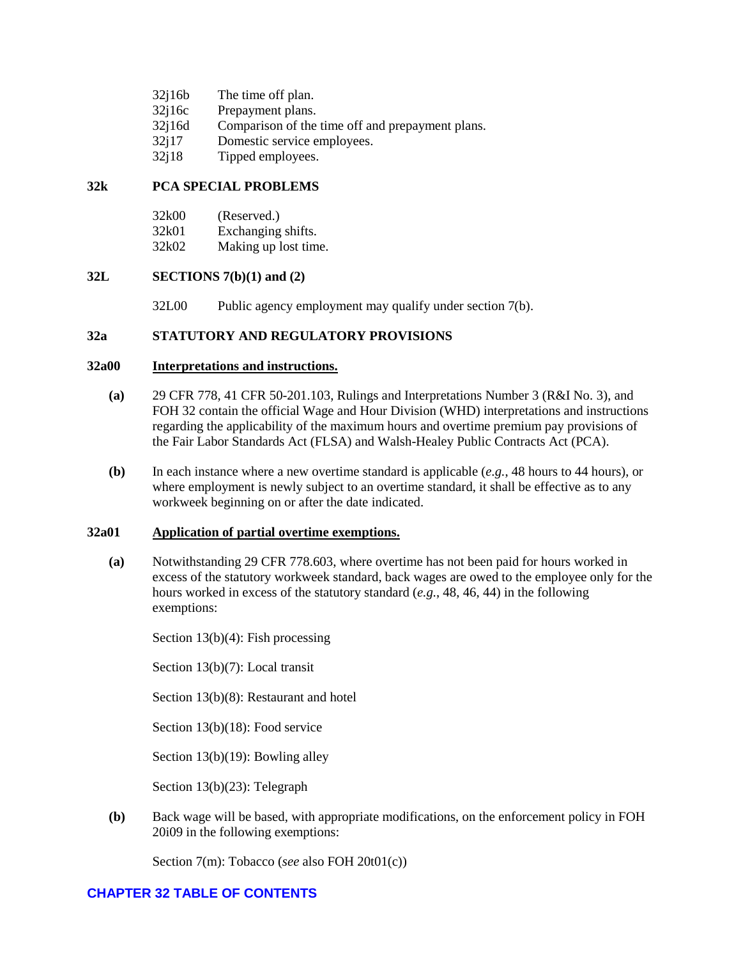| 32j16b | The time off plan.                               |
|--------|--------------------------------------------------|
| 32j16c | Prepayment plans.                                |
| 32j16d | Comparison of the time off and prepayment plans. |
| 32i17  | Domestic service employees.                      |
| 32j18  | Tipped employees.                                |

# **[32k PCA SPECIAL PROBLEMS](#page-46-0)**

| 32k00 | (Reserved.)          |
|-------|----------------------|
| 32k01 | Exchanging shifts.   |
| 32k02 | Making up lost time. |

### **[32L SECTIONS 7\(b\)\(1\)](#page-46-4) and (2)**

[32L00 Public agency employment may qualify under section](#page-46-5) 7(b).

### <span id="page-3-0"></span>**32a STATUTORY AND REGULATORY PROVISIONS**

### <span id="page-3-1"></span>**32a00 Interpretations and instructions.**

- **(a)** 29 CFR 778, 41 CFR 50-201.103, Rulings and Interpretations Number 3 (R&I No. 3), and FOH 32 contain the official Wage and Hour Division (WHD) interpretations and instructions regarding the applicability of the maximum hours and overtime premium pay provisions of the Fair Labor Standards Act (FLSA) and Walsh-Healey Public Contracts Act (PCA).
- **(b)** In each instance where a new overtime standard is applicable (*e.g.*, 48 hours to 44 hours), or where employment is newly subject to an overtime standard, it shall be effective as to any workweek beginning on or after the date indicated.

### <span id="page-3-2"></span>**32a01 Application of partial overtime exemptions.**

**(a)** Notwithstanding 29 CFR 778.603, where overtime has not been paid for hours worked in excess of the statutory workweek standard, back wages are owed to the employee only for the hours worked in excess of the statutory standard (*e.g.*, 48, 46, 44) in the following exemptions:

Section 13(b)(4): Fish processing

Section 13(b)(7): Local transit

Section 13(b)(8): Restaurant and hotel

Section 13(b)(18): Food service

Section 13(b)(19): Bowling alley

Section 13(b)(23): Telegraph

**(b)** Back wage will be based, with appropriate modifications, on the enforcement policy in FOH 20i09 in the following exemptions:

Section 7(m): Tobacco (*see* also FOH 20t01(c))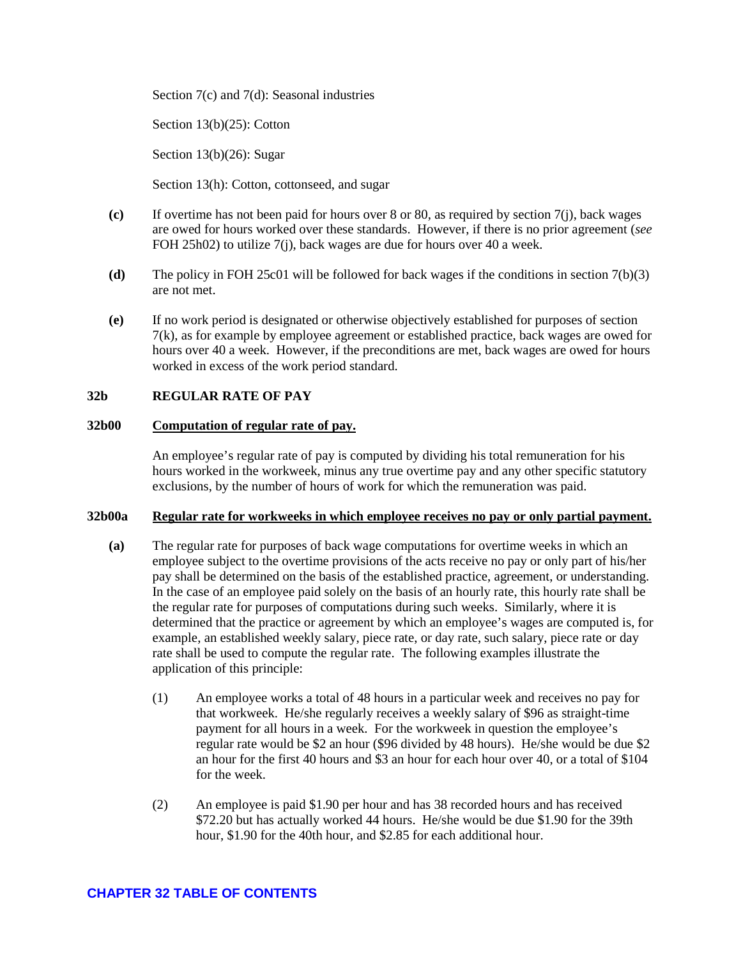Section 7(c) and 7(d): Seasonal industries

Section 13(b)(25): Cotton

Section 13(b)(26): Sugar

Section 13(h): Cotton, cottonseed, and sugar

- **(c)** If overtime has not been paid for hours over 8 or 80, as required by section 7(j), back wages are owed for hours worked over these standards. However, if there is no prior agreement (*see* FOH 25h02) to utilize 7(j), back wages are due for hours over 40 a week.
- **(d)** The policy in FOH 25c01 will be followed for back wages if the conditions in section 7(b)(3) are not met.
- **(e)** If no work period is designated or otherwise objectively established for purposes of section 7(k), as for example by employee agreement or established practice, back wages are owed for hours over 40 a week. However, if the preconditions are met, back wages are owed for hours worked in excess of the work period standard.

### <span id="page-4-0"></span>**32b REGULAR RATE OF PAY**

### <span id="page-4-1"></span>**32b00 Computation of regular rate of pay.**

An employee's regular rate of pay is computed by dividing his total remuneration for his hours worked in the workweek, minus any true overtime pay and any other specific statutory exclusions, by the number of hours of work for which the remuneration was paid.

#### <span id="page-4-2"></span>**32b00a Regular rate for workweeks in which employee receives no pay or only partial payment.**

- **(a)** The regular rate for purposes of back wage computations for overtime weeks in which an employee subject to the overtime provisions of the acts receive no pay or only part of his/her pay shall be determined on the basis of the established practice, agreement, or understanding. In the case of an employee paid solely on the basis of an hourly rate, this hourly rate shall be the regular rate for purposes of computations during such weeks. Similarly, where it is determined that the practice or agreement by which an employee's wages are computed is, for example, an established weekly salary, piece rate, or day rate, such salary, piece rate or day rate shall be used to compute the regular rate. The following examples illustrate the application of this principle:
	- (1) An employee works a total of 48 hours in a particular week and receives no pay for that workweek. He/she regularly receives a weekly salary of \$96 as straight-time payment for all hours in a week. For the workweek in question the employee's regular rate would be \$2 an hour (\$96 divided by 48 hours). He/she would be due \$2 an hour for the first 40 hours and \$3 an hour for each hour over 40, or a total of \$104 for the week.
	- (2) An employee is paid \$1.90 per hour and has 38 recorded hours and has received \$72.20 but has actually worked 44 hours. He/she would be due \$1.90 for the 39th hour, \$1.90 for the 40th hour, and \$2.85 for each additional hour.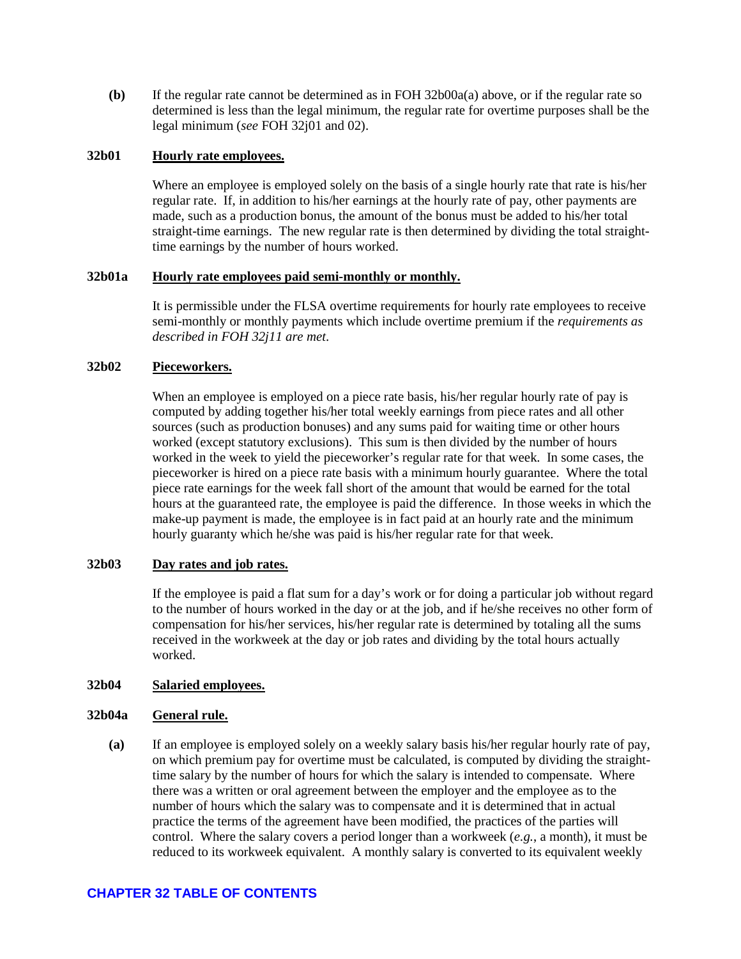**(b)** If the regular rate cannot be determined as in FOH 32b00a(a) above, or if the regular rate so determined is less than the legal minimum, the regular rate for overtime purposes shall be the legal minimum (*see* FOH 32j01 and 02).

### <span id="page-5-0"></span>**32b01 Hourly rate employees.**

Where an employee is employed solely on the basis of a single hourly rate that rate is his/her regular rate. If, in addition to his/her earnings at the hourly rate of pay, other payments are made, such as a production bonus, the amount of the bonus must be added to his/her total straight-time earnings. The new regular rate is then determined by dividing the total straighttime earnings by the number of hours worked.

### <span id="page-5-1"></span>**32b01a Hourly rate employees paid semi-monthly or monthly.**

It is permissible under the FLSA overtime requirements for hourly rate employees to receive semi-monthly or monthly payments which include overtime premium if the *requirements as described in FOH 32j11 are met*.

### <span id="page-5-2"></span>**32b02 Pieceworkers.**

When an employee is employed on a piece rate basis, his/her regular hourly rate of pay is computed by adding together his/her total weekly earnings from piece rates and all other sources (such as production bonuses) and any sums paid for waiting time or other hours worked (except statutory exclusions). This sum is then divided by the number of hours worked in the week to yield the pieceworker's regular rate for that week. In some cases, the pieceworker is hired on a piece rate basis with a minimum hourly guarantee. Where the total piece rate earnings for the week fall short of the amount that would be earned for the total hours at the guaranteed rate, the employee is paid the difference. In those weeks in which the make-up payment is made, the employee is in fact paid at an hourly rate and the minimum hourly guaranty which he/she was paid is his/her regular rate for that week.

#### <span id="page-5-3"></span>**32b03 Day rates and job rates.**

If the employee is paid a flat sum for a day's work or for doing a particular job without regard to the number of hours worked in the day or at the job, and if he/she receives no other form of compensation for his/her services, his/her regular rate is determined by totaling all the sums received in the workweek at the day or job rates and dividing by the total hours actually worked.

### <span id="page-5-4"></span>**32b04 Salaried employees.**

#### <span id="page-5-5"></span>**32b04a General rule.**

**(a)** If an employee is employed solely on a weekly salary basis his/her regular hourly rate of pay, on which premium pay for overtime must be calculated, is computed by dividing the straighttime salary by the number of hours for which the salary is intended to compensate. Where there was a written or oral agreement between the employer and the employee as to the number of hours which the salary was to compensate and it is determined that in actual practice the terms of the agreement have been modified, the practices of the parties will control. Where the salary covers a period longer than a workweek (*e.g.*, a month), it must be reduced to its workweek equivalent. A monthly salary is converted to its equivalent weekly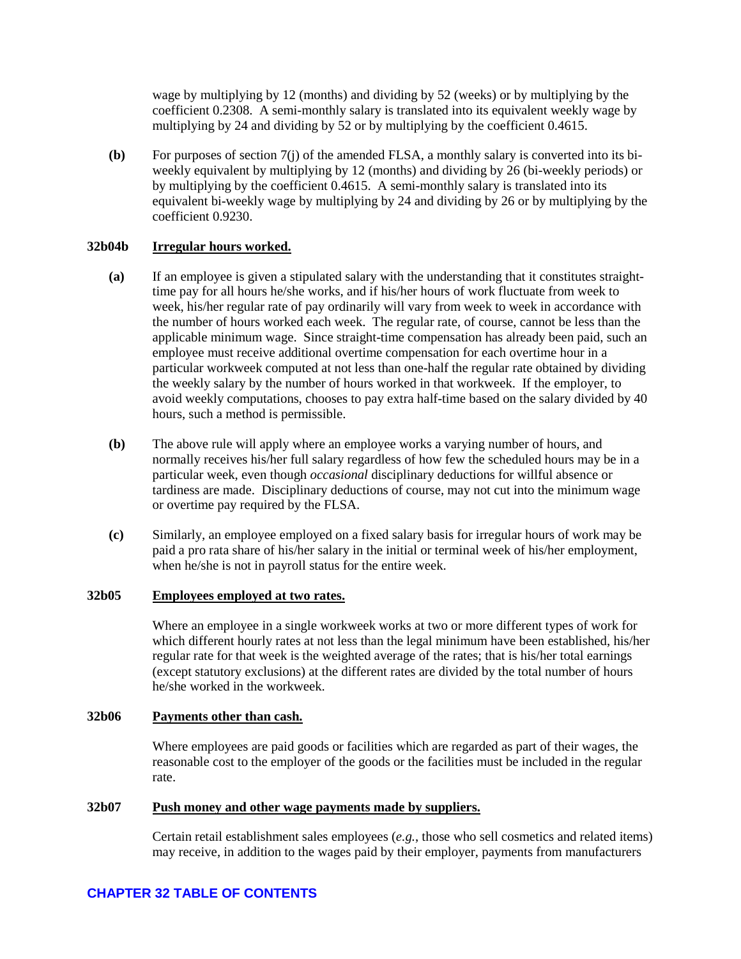wage by multiplying by 12 (months) and dividing by 52 (weeks) or by multiplying by the coefficient 0.2308. A semi-monthly salary is translated into its equivalent weekly wage by multiplying by 24 and dividing by 52 or by multiplying by the coefficient 0.4615.

**(b)** For purposes of section 7(j) of the amended FLSA, a monthly salary is converted into its biweekly equivalent by multiplying by 12 (months) and dividing by 26 (bi-weekly periods) or by multiplying by the coefficient 0.4615. A semi-monthly salary is translated into its equivalent bi-weekly wage by multiplying by 24 and dividing by 26 or by multiplying by the coefficient 0.9230.

### <span id="page-6-0"></span>**32b04b Irregular hours worked.**

- **(a)** If an employee is given a stipulated salary with the understanding that it constitutes straighttime pay for all hours he/she works, and if his/her hours of work fluctuate from week to week, his/her regular rate of pay ordinarily will vary from week to week in accordance with the number of hours worked each week. The regular rate, of course, cannot be less than the applicable minimum wage. Since straight-time compensation has already been paid, such an employee must receive additional overtime compensation for each overtime hour in a particular workweek computed at not less than one-half the regular rate obtained by dividing the weekly salary by the number of hours worked in that workweek. If the employer, to avoid weekly computations, chooses to pay extra half-time based on the salary divided by 40 hours, such a method is permissible.
- **(b)** The above rule will apply where an employee works a varying number of hours, and normally receives his/her full salary regardless of how few the scheduled hours may be in a particular week, even though *occasional* disciplinary deductions for willful absence or tardiness are made. Disciplinary deductions of course, may not cut into the minimum wage or overtime pay required by the FLSA.
- **(c)** Similarly, an employee employed on a fixed salary basis for irregular hours of work may be paid a pro rata share of his/her salary in the initial or terminal week of his/her employment, when he/she is not in payroll status for the entire week.

### <span id="page-6-1"></span>**32b05 Employees employed at two rates.**

Where an employee in a single workweek works at two or more different types of work for which different hourly rates at not less than the legal minimum have been established, his/her regular rate for that week is the weighted average of the rates; that is his/her total earnings (except statutory exclusions) at the different rates are divided by the total number of hours he/she worked in the workweek.

#### <span id="page-6-2"></span>**32b06 Payments other than cash.**

Where employees are paid goods or facilities which are regarded as part of their wages, the reasonable cost to the employer of the goods or the facilities must be included in the regular rate.

#### <span id="page-6-3"></span>**32b07 Push money and other wage payments made by suppliers.**

Certain retail establishment sales employees (*e.g.*, those who sell cosmetics and related items) may receive, in addition to the wages paid by their employer, payments from manufacturers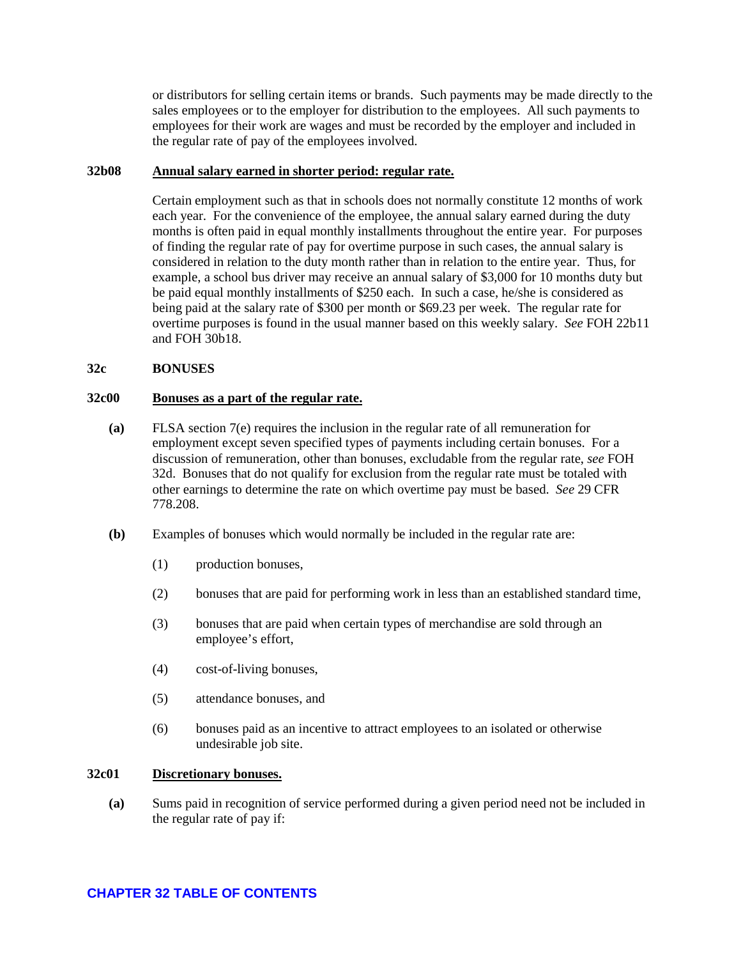or distributors for selling certain items or brands. Such payments may be made directly to the sales employees or to the employer for distribution to the employees. All such payments to employees for their work are wages and must be recorded by the employer and included in the regular rate of pay of the employees involved.

### <span id="page-7-0"></span>**32b08 Annual salary earned in shorter period: regular rate.**

Certain employment such as that in schools does not normally constitute 12 months of work each year. For the convenience of the employee, the annual salary earned during the duty months is often paid in equal monthly installments throughout the entire year. For purposes of finding the regular rate of pay for overtime purpose in such cases, the annual salary is considered in relation to the duty month rather than in relation to the entire year. Thus, for example, a school bus driver may receive an annual salary of \$3,000 for 10 months duty but be paid equal monthly installments of \$250 each. In such a case, he/she is considered as being paid at the salary rate of \$300 per month or \$69.23 per week. The regular rate for overtime purposes is found in the usual manner based on this weekly salary. *See* FOH 22b11 and FOH 30b18.

### <span id="page-7-1"></span>**32c BONUSES**

## <span id="page-7-2"></span>**32c00 Bonuses as a part of the regular rate.**

- **(a)** FLSA section 7(e) requires the inclusion in the regular rate of all remuneration for employment except seven specified types of payments including certain bonuses. For a discussion of remuneration, other than bonuses, excludable from the regular rate, *see* FOH 32d. Bonuses that do not qualify for exclusion from the regular rate must be totaled with other earnings to determine the rate on which overtime pay must be based. *See* 29 CFR 778.208.
- **(b)** Examples of bonuses which would normally be included in the regular rate are:
	- (1) production bonuses,
	- (2) bonuses that are paid for performing work in less than an established standard time,
	- (3) bonuses that are paid when certain types of merchandise are sold through an employee's effort,
	- (4) cost-of-living bonuses,
	- (5) attendance bonuses, and
	- (6) bonuses paid as an incentive to attract employees to an isolated or otherwise undesirable job site.

### <span id="page-7-3"></span>**32c01 Discretionary bonuses.**

**(a)** Sums paid in recognition of service performed during a given period need not be included in the regular rate of pay if: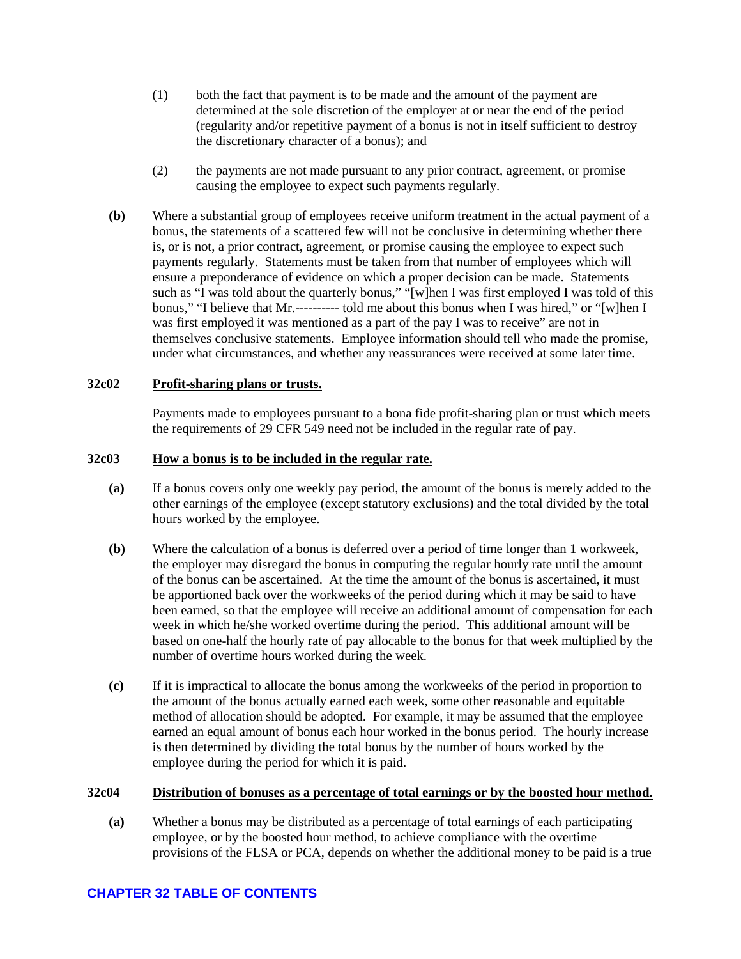- (1) both the fact that payment is to be made and the amount of the payment are determined at the sole discretion of the employer at or near the end of the period (regularity and/or repetitive payment of a bonus is not in itself sufficient to destroy the discretionary character of a bonus); and
- (2) the payments are not made pursuant to any prior contract, agreement, or promise causing the employee to expect such payments regularly.
- **(b)** Where a substantial group of employees receive uniform treatment in the actual payment of a bonus, the statements of a scattered few will not be conclusive in determining whether there is, or is not, a prior contract, agreement, or promise causing the employee to expect such payments regularly. Statements must be taken from that number of employees which will ensure a preponderance of evidence on which a proper decision can be made. Statements such as "I was told about the quarterly bonus," "[w]hen I was first employed I was told of this bonus," "I believe that Mr.---------- told me about this bonus when I was hired," or "[w]hen I was first employed it was mentioned as a part of the pay I was to receive" are not in themselves conclusive statements. Employee information should tell who made the promise, under what circumstances, and whether any reassurances were received at some later time.

### <span id="page-8-0"></span>**32c02 Profit-sharing plans or trusts.**

Payments made to employees pursuant to a bona fide profit-sharing plan or trust which meets the requirements of 29 CFR 549 need not be included in the regular rate of pay.

#### <span id="page-8-1"></span>**32c03 How a bonus is to be included in the regular rate.**

- **(a)** If a bonus covers only one weekly pay period, the amount of the bonus is merely added to the other earnings of the employee (except statutory exclusions) and the total divided by the total hours worked by the employee.
- **(b)** Where the calculation of a bonus is deferred over a period of time longer than 1 workweek, the employer may disregard the bonus in computing the regular hourly rate until the amount of the bonus can be ascertained. At the time the amount of the bonus is ascertained, it must be apportioned back over the workweeks of the period during which it may be said to have been earned, so that the employee will receive an additional amount of compensation for each week in which he/she worked overtime during the period. This additional amount will be based on one-half the hourly rate of pay allocable to the bonus for that week multiplied by the number of overtime hours worked during the week.
- **(c)** If it is impractical to allocate the bonus among the workweeks of the period in proportion to the amount of the bonus actually earned each week, some other reasonable and equitable method of allocation should be adopted. For example, it may be assumed that the employee earned an equal amount of bonus each hour worked in the bonus period. The hourly increase is then determined by dividing the total bonus by the number of hours worked by the employee during the period for which it is paid.

#### <span id="page-8-2"></span>**32c04 Distribution of bonuses as a percentage of total earnings or by the boosted hour method.**

**(a)** Whether a bonus may be distributed as a percentage of total earnings of each participating employee, or by the boosted hour method, to achieve compliance with the overtime provisions of the FLSA or PCA, depends on whether the additional money to be paid is a true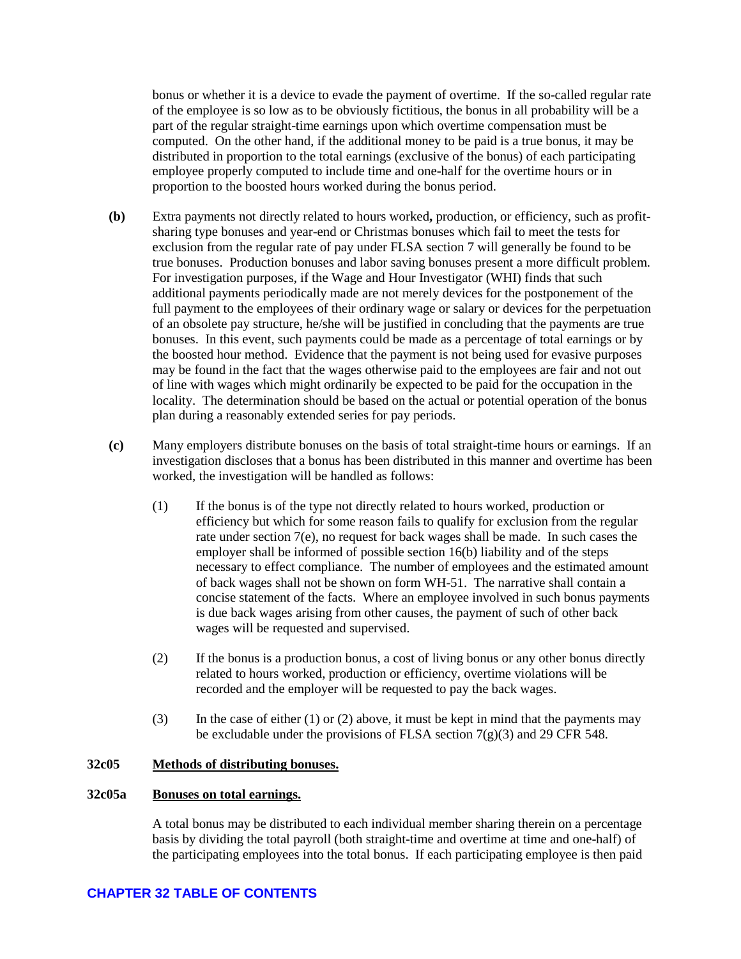bonus or whether it is a device to evade the payment of overtime. If the so-called regular rate of the employee is so low as to be obviously fictitious, the bonus in all probability will be a part of the regular straight-time earnings upon which overtime compensation must be computed. On the other hand, if the additional money to be paid is a true bonus, it may be distributed in proportion to the total earnings (exclusive of the bonus) of each participating employee properly computed to include time and one-half for the overtime hours or in proportion to the boosted hours worked during the bonus period.

- **(b)** Extra payments not directly related to hours worked**,** production, or efficiency, such as profitsharing type bonuses and year-end or Christmas bonuses which fail to meet the tests for exclusion from the regular rate of pay under FLSA section 7 will generally be found to be true bonuses. Production bonuses and labor saving bonuses present a more difficult problem. For investigation purposes, if the Wage and Hour Investigator (WHI) finds that such additional payments periodically made are not merely devices for the postponement of the full payment to the employees of their ordinary wage or salary or devices for the perpetuation of an obsolete pay structure, he/she will be justified in concluding that the payments are true bonuses. In this event, such payments could be made as a percentage of total earnings or by the boosted hour method. Evidence that the payment is not being used for evasive purposes may be found in the fact that the wages otherwise paid to the employees are fair and not out of line with wages which might ordinarily be expected to be paid for the occupation in the locality. The determination should be based on the actual or potential operation of the bonus plan during a reasonably extended series for pay periods.
- **(c)** Many employers distribute bonuses on the basis of total straight-time hours or earnings. If an investigation discloses that a bonus has been distributed in this manner and overtime has been worked, the investigation will be handled as follows:
	- (1) If the bonus is of the type not directly related to hours worked, production or efficiency but which for some reason fails to qualify for exclusion from the regular rate under section 7(e), no request for back wages shall be made. In such cases the employer shall be informed of possible section 16(b) liability and of the steps necessary to effect compliance. The number of employees and the estimated amount of back wages shall not be shown on form WH-51. The narrative shall contain a concise statement of the facts. Where an employee involved in such bonus payments is due back wages arising from other causes, the payment of such of other back wages will be requested and supervised.
	- (2) If the bonus is a production bonus, a cost of living bonus or any other bonus directly related to hours worked, production or efficiency, overtime violations will be recorded and the employer will be requested to pay the back wages.
	- (3) In the case of either (1) or (2) above, it must be kept in mind that the payments may be excludable under the provisions of FLSA section  $7(g)(3)$  and 29 CFR 548.

### <span id="page-9-0"></span>**32c05 Methods of distributing bonuses.**

### <span id="page-9-1"></span>**32c05a Bonuses on total earnings.**

A total bonus may be distributed to each individual member sharing therein on a percentage basis by dividing the total payroll (both straight-time and overtime at time and one-half) of the participating employees into the total bonus. If each participating employee is then paid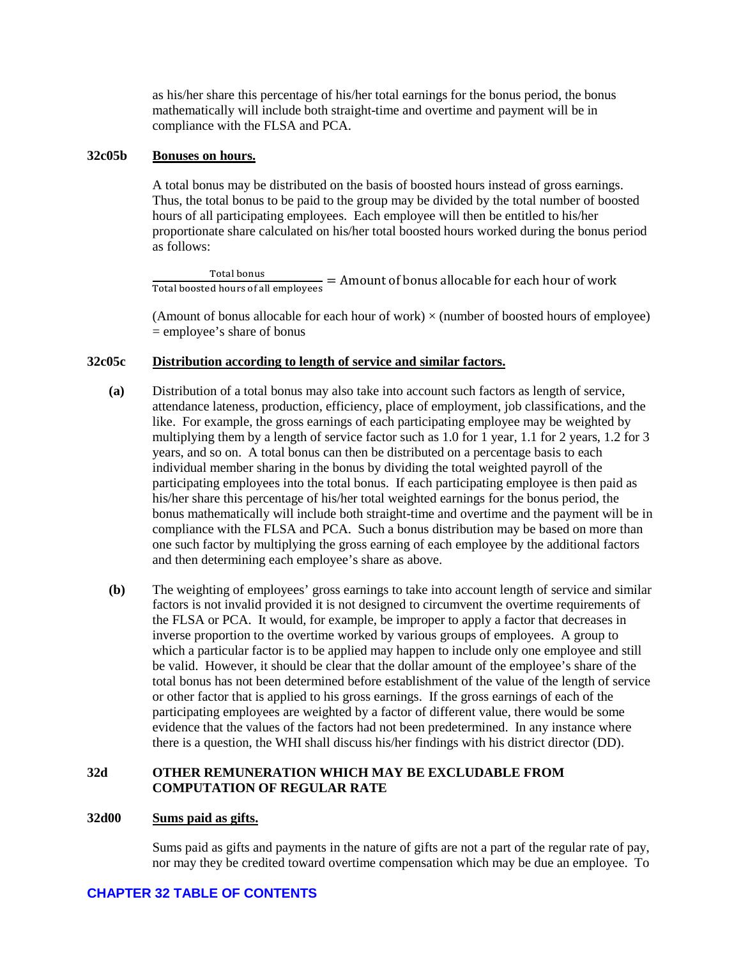as his/her share this percentage of his/her total earnings for the bonus period, the bonus mathematically will include both straight-time and overtime and payment will be in compliance with the FLSA and PCA.

### <span id="page-10-0"></span>**32c05b Bonuses on hours.**

A total bonus may be distributed on the basis of boosted hours instead of gross earnings. Thus, the total bonus to be paid to the group may be divided by the total number of boosted hours of all participating employees. Each employee will then be entitled to his/her proportionate share calculated on his/her total boosted hours worked during the bonus period as follows:

Total bonus<br>Total boosted hours of all employees = Amount of bonus allocable for each hour of work

(Amount of bonus allocable for each hour of work)  $\times$  (number of boosted hours of employee) = employee's share of bonus

## <span id="page-10-1"></span>**32c05c Distribution according to length of service and similar factors.**

- **(a)** Distribution of a total bonus may also take into account such factors as length of service, attendance lateness, production, efficiency, place of employment, job classifications, and the like. For example, the gross earnings of each participating employee may be weighted by multiplying them by a length of service factor such as 1.0 for 1 year, 1.1 for 2 years, 1.2 for 3 years, and so on. A total bonus can then be distributed on a percentage basis to each individual member sharing in the bonus by dividing the total weighted payroll of the participating employees into the total bonus. If each participating employee is then paid as his/her share this percentage of his/her total weighted earnings for the bonus period, the bonus mathematically will include both straight-time and overtime and the payment will be in compliance with the FLSA and PCA. Such a bonus distribution may be based on more than one such factor by multiplying the gross earning of each employee by the additional factors and then determining each employee's share as above.
- **(b)** The weighting of employees' gross earnings to take into account length of service and similar factors is not invalid provided it is not designed to circumvent the overtime requirements of the FLSA or PCA. It would, for example, be improper to apply a factor that decreases in inverse proportion to the overtime worked by various groups of employees. A group to which a particular factor is to be applied may happen to include only one employee and still be valid. However, it should be clear that the dollar amount of the employee's share of the total bonus has not been determined before establishment of the value of the length of service or other factor that is applied to his gross earnings. If the gross earnings of each of the participating employees are weighted by a factor of different value, there would be some evidence that the values of the factors had not been predetermined. In any instance where there is a question, the WHI shall discuss his/her findings with his district director (DD).

## <span id="page-10-2"></span>**32d OTHER REMUNERATION WHICH MAY BE EXCLUDABLE FROM COMPUTATION OF REGULAR RATE**

#### <span id="page-10-3"></span>**32d00 Sums paid as gifts.**

Sums paid as gifts and payments in the nature of gifts are not a part of the regular rate of pay, nor may they be credited toward overtime compensation which may be due an employee. To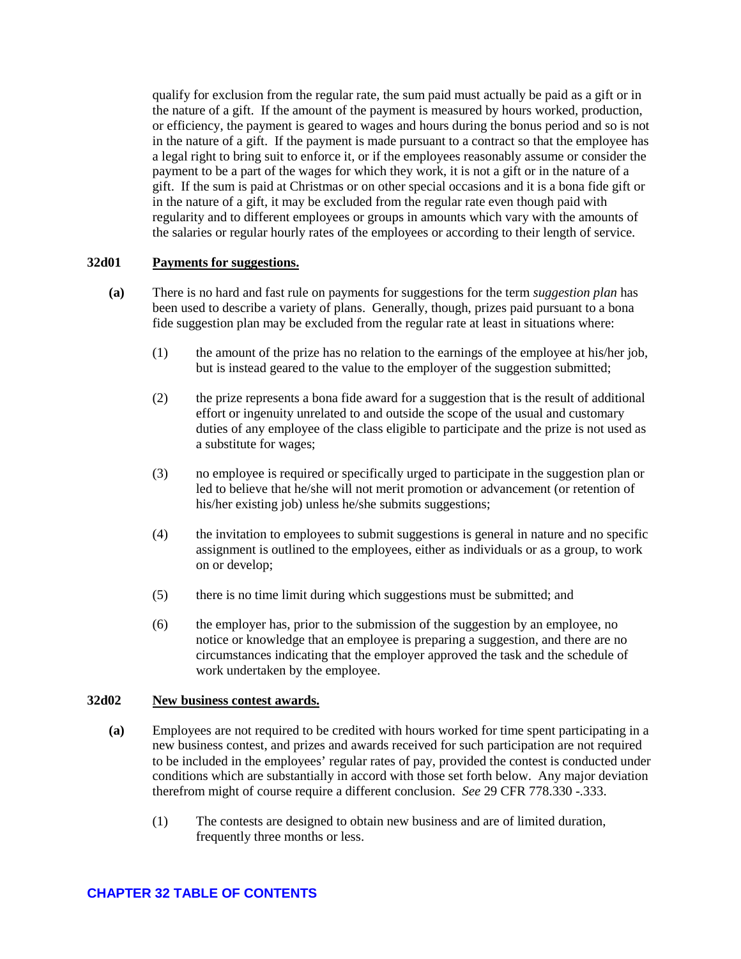qualify for exclusion from the regular rate, the sum paid must actually be paid as a gift or in the nature of a gift. If the amount of the payment is measured by hours worked, production, or efficiency, the payment is geared to wages and hours during the bonus period and so is not in the nature of a gift. If the payment is made pursuant to a contract so that the employee has a legal right to bring suit to enforce it, or if the employees reasonably assume or consider the payment to be a part of the wages for which they work, it is not a gift or in the nature of a gift. If the sum is paid at Christmas or on other special occasions and it is a bona fide gift or in the nature of a gift, it may be excluded from the regular rate even though paid with regularity and to different employees or groups in amounts which vary with the amounts of the salaries or regular hourly rates of the employees or according to their length of service.

### <span id="page-11-0"></span>**32d01 Payments for suggestions.**

- **(a)** There is no hard and fast rule on payments for suggestions for the term *suggestion plan* has been used to describe a variety of plans. Generally, though, prizes paid pursuant to a bona fide suggestion plan may be excluded from the regular rate at least in situations where:
	- (1) the amount of the prize has no relation to the earnings of the employee at his/her job, but is instead geared to the value to the employer of the suggestion submitted;
	- (2) the prize represents a bona fide award for a suggestion that is the result of additional effort or ingenuity unrelated to and outside the scope of the usual and customary duties of any employee of the class eligible to participate and the prize is not used as a substitute for wages;
	- (3) no employee is required or specifically urged to participate in the suggestion plan or led to believe that he/she will not merit promotion or advancement (or retention of his/her existing job) unless he/she submits suggestions;
	- (4) the invitation to employees to submit suggestions is general in nature and no specific assignment is outlined to the employees, either as individuals or as a group, to work on or develop;
	- (5) there is no time limit during which suggestions must be submitted; and
	- (6) the employer has, prior to the submission of the suggestion by an employee, no notice or knowledge that an employee is preparing a suggestion, and there are no circumstances indicating that the employer approved the task and the schedule of work undertaken by the employee.

### <span id="page-11-1"></span>**32d02 New business contest awards.**

- **(a)** Employees are not required to be credited with hours worked for time spent participating in a new business contest, and prizes and awards received for such participation are not required to be included in the employees' regular rates of pay, provided the contest is conducted under conditions which are substantially in accord with those set forth below. Any major deviation therefrom might of course require a different conclusion. *See* 29 CFR 778.330 -.333.
	- (1) The contests are designed to obtain new business and are of limited duration, frequently three months or less.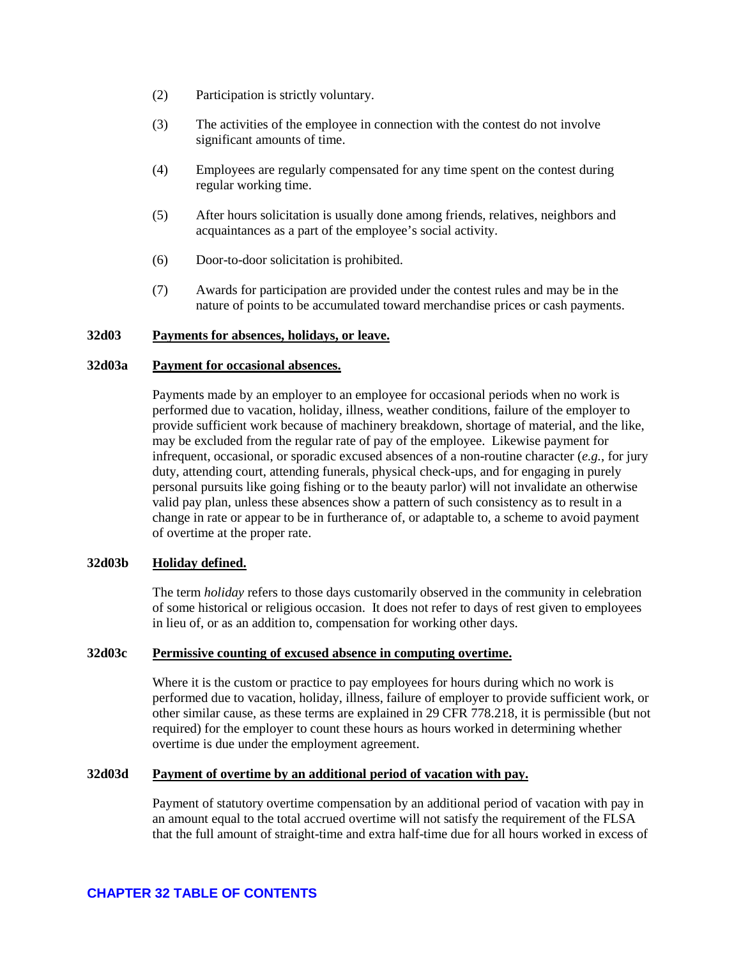- (2) Participation is strictly voluntary.
- (3) The activities of the employee in connection with the contest do not involve significant amounts of time.
- (4) Employees are regularly compensated for any time spent on the contest during regular working time.
- (5) After hours solicitation is usually done among friends, relatives, neighbors and acquaintances as a part of the employee's social activity.
- (6) Door-to-door solicitation is prohibited.
- (7) Awards for participation are provided under the contest rules and may be in the nature of points to be accumulated toward merchandise prices or cash payments.

### <span id="page-12-0"></span>**32d03 Payments for absences, holidays, or leave.**

#### <span id="page-12-1"></span>**32d03a Payment for occasional absences.**

Payments made by an employer to an employee for occasional periods when no work is performed due to vacation, holiday, illness, weather conditions, failure of the employer to provide sufficient work because of machinery breakdown, shortage of material, and the like, may be excluded from the regular rate of pay of the employee. Likewise payment for infrequent, occasional, or sporadic excused absences of a non-routine character (*e.g.*, for jury duty, attending court, attending funerals, physical check-ups, and for engaging in purely personal pursuits like going fishing or to the beauty parlor) will not invalidate an otherwise valid pay plan, unless these absences show a pattern of such consistency as to result in a change in rate or appear to be in furtherance of, or adaptable to, a scheme to avoid payment of overtime at the proper rate.

### <span id="page-12-2"></span>**32d03b Holiday defined.**

The term *holiday* refers to those days customarily observed in the community in celebration of some historical or religious occasion. It does not refer to days of rest given to employees in lieu of, or as an addition to, compensation for working other days.

### <span id="page-12-3"></span>**32d03c Permissive counting of excused absence in computing overtime.**

Where it is the custom or practice to pay employees for hours during which no work is performed due to vacation, holiday, illness, failure of employer to provide sufficient work, or other similar cause, as these terms are explained in 29 CFR 778.218, it is permissible (but not required) for the employer to count these hours as hours worked in determining whether overtime is due under the employment agreement.

### <span id="page-12-4"></span>**32d03d Payment of overtime by an additional period of vacation with pay.**

Payment of statutory overtime compensation by an additional period of vacation with pay in an amount equal to the total accrued overtime will not satisfy the requirement of the FLSA that the full amount of straight-time and extra half-time due for all hours worked in excess of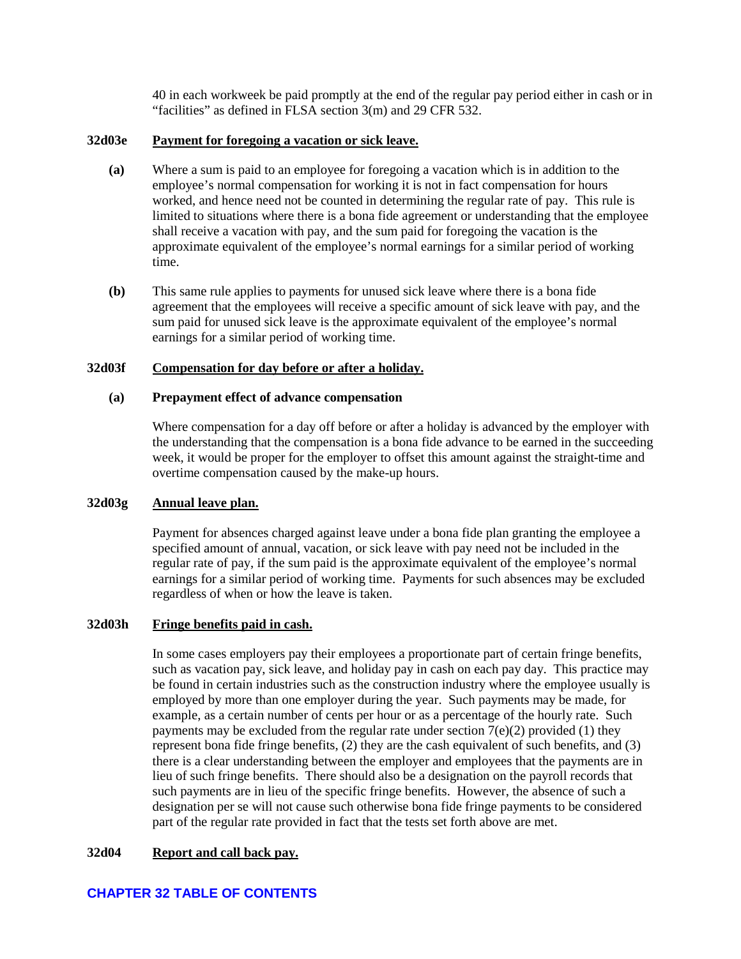40 in each workweek be paid promptly at the end of the regular pay period either in cash or in "facilities" as defined in FLSA section 3(m) and 29 CFR 532.

### <span id="page-13-0"></span>**32d03e Payment for foregoing a vacation or sick leave.**

- **(a)** Where a sum is paid to an employee for foregoing a vacation which is in addition to the employee's normal compensation for working it is not in fact compensation for hours worked, and hence need not be counted in determining the regular rate of pay. This rule is limited to situations where there is a bona fide agreement or understanding that the employee shall receive a vacation with pay, and the sum paid for foregoing the vacation is the approximate equivalent of the employee's normal earnings for a similar period of working time.
- **(b)** This same rule applies to payments for unused sick leave where there is a bona fide agreement that the employees will receive a specific amount of sick leave with pay, and the sum paid for unused sick leave is the approximate equivalent of the employee's normal earnings for a similar period of working time.

### <span id="page-13-1"></span>**32d03f Compensation for day before or after a holiday.**

### **(a) Prepayment effect of advance compensation**

Where compensation for a day off before or after a holiday is advanced by the employer with the understanding that the compensation is a bona fide advance to be earned in the succeeding week, it would be proper for the employer to offset this amount against the straight-time and overtime compensation caused by the make-up hours.

### <span id="page-13-2"></span>**32d03g Annual leave plan.**

Payment for absences charged against leave under a bona fide plan granting the employee a specified amount of annual, vacation, or sick leave with pay need not be included in the regular rate of pay, if the sum paid is the approximate equivalent of the employee's normal earnings for a similar period of working time. Payments for such absences may be excluded regardless of when or how the leave is taken.

#### <span id="page-13-3"></span>**32d03h Fringe benefits paid in cash.**

In some cases employers pay their employees a proportionate part of certain fringe benefits, such as vacation pay, sick leave, and holiday pay in cash on each pay day. This practice may be found in certain industries such as the construction industry where the employee usually is employed by more than one employer during the year. Such payments may be made, for example, as a certain number of cents per hour or as a percentage of the hourly rate. Such payments may be excluded from the regular rate under section  $7(e)(2)$  provided (1) they represent bona fide fringe benefits, (2) they are the cash equivalent of such benefits, and (3) there is a clear understanding between the employer and employees that the payments are in lieu of such fringe benefits. There should also be a designation on the payroll records that such payments are in lieu of the specific fringe benefits. However, the absence of such a designation per se will not cause such otherwise bona fide fringe payments to be considered part of the regular rate provided in fact that the tests set forth above are met.

### <span id="page-13-4"></span>**32d04 Report and call back pay.**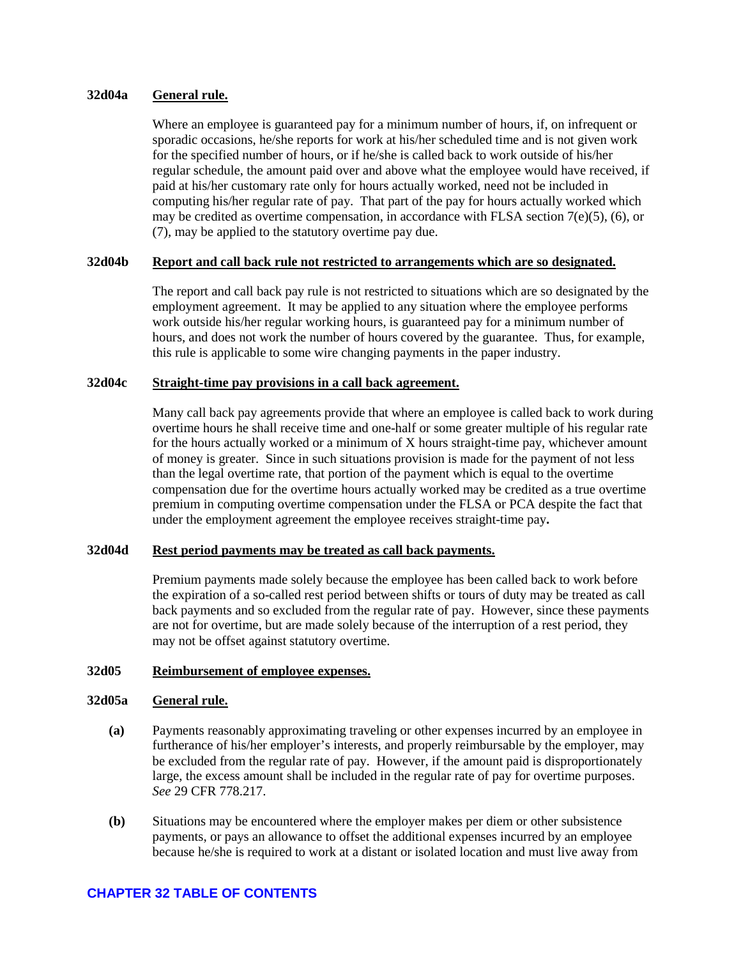### <span id="page-14-0"></span>**32d04a General rule.**

Where an employee is guaranteed pay for a minimum number of hours, if, on infrequent or sporadic occasions, he/she reports for work at his/her scheduled time and is not given work for the specified number of hours, or if he/she is called back to work outside of his/her regular schedule, the amount paid over and above what the employee would have received, if paid at his/her customary rate only for hours actually worked, need not be included in computing his/her regular rate of pay. That part of the pay for hours actually worked which may be credited as overtime compensation, in accordance with FLSA section 7(e)(5), (6), or (7), may be applied to the statutory overtime pay due.

### <span id="page-14-1"></span>**32d04b Report and call back rule not restricted to arrangements which are so designated.**

The report and call back pay rule is not restricted to situations which are so designated by the employment agreement. It may be applied to any situation where the employee performs work outside his/her regular working hours, is guaranteed pay for a minimum number of hours, and does not work the number of hours covered by the guarantee. Thus, for example, this rule is applicable to some wire changing payments in the paper industry.

### <span id="page-14-2"></span>**32d04c Straight-time pay provisions in a call back agreement.**

Many call back pay agreements provide that where an employee is called back to work during overtime hours he shall receive time and one-half or some greater multiple of his regular rate for the hours actually worked or a minimum of X hours straight-time pay, whichever amount of money is greater. Since in such situations provision is made for the payment of not less than the legal overtime rate, that portion of the payment which is equal to the overtime compensation due for the overtime hours actually worked may be credited as a true overtime premium in computing overtime compensation under the FLSA or PCA despite the fact that under the employment agreement the employee receives straight-time pay**.** 

### <span id="page-14-3"></span>**32d04d Rest period payments may be treated as call back payments.**

Premium payments made solely because the employee has been called back to work before the expiration of a so-called rest period between shifts or tours of duty may be treated as call back payments and so excluded from the regular rate of pay. However, since these payments are not for overtime, but are made solely because of the interruption of a rest period, they may not be offset against statutory overtime.

#### <span id="page-14-4"></span>**32d05 Reimbursement of employee expenses.**

### <span id="page-14-5"></span>**32d05a General rule.**

- **(a)** Payments reasonably approximating traveling or other expenses incurred by an employee in furtherance of his/her employer's interests, and properly reimbursable by the employer, may be excluded from the regular rate of pay. However, if the amount paid is disproportionately large, the excess amount shall be included in the regular rate of pay for overtime purposes. *See* 29 CFR 778.217.
- **(b)** Situations may be encountered where the employer makes per diem or other subsistence payments, or pays an allowance to offset the additional expenses incurred by an employee because he/she is required to work at a distant or isolated location and must live away from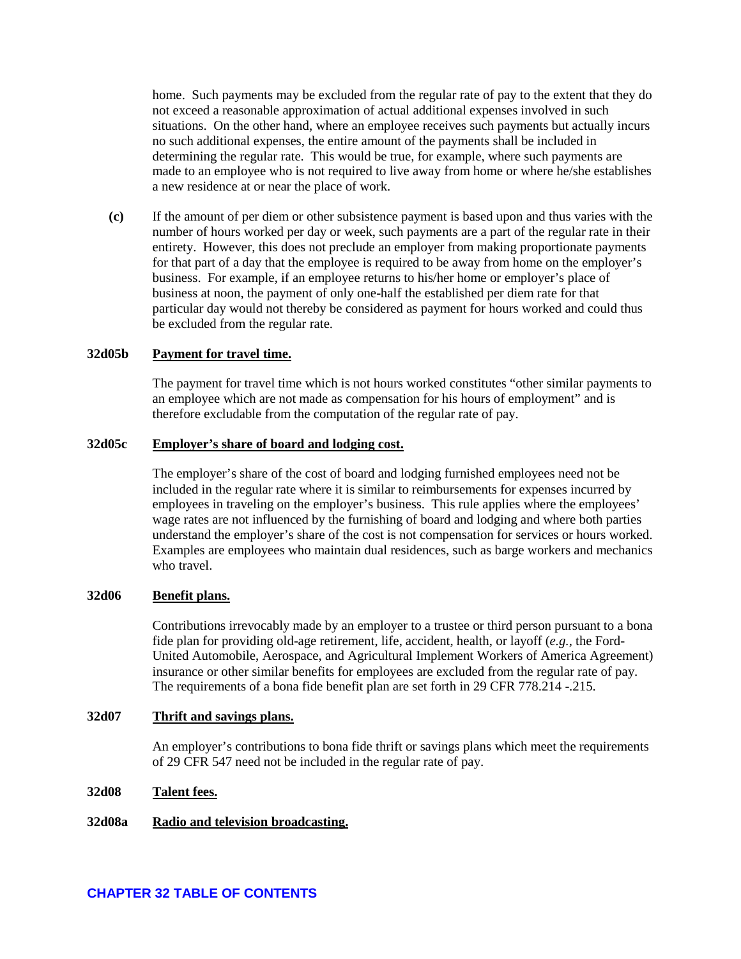home. Such payments may be excluded from the regular rate of pay to the extent that they do not exceed a reasonable approximation of actual additional expenses involved in such situations. On the other hand, where an employee receives such payments but actually incurs no such additional expenses, the entire amount of the payments shall be included in determining the regular rate. This would be true, for example, where such payments are made to an employee who is not required to live away from home or where he/she establishes a new residence at or near the place of work.

**(c)** If the amount of per diem or other subsistence payment is based upon and thus varies with the number of hours worked per day or week, such payments are a part of the regular rate in their entirety. However, this does not preclude an employer from making proportionate payments for that part of a day that the employee is required to be away from home on the employer's business. For example, if an employee returns to his/her home or employer's place of business at noon, the payment of only one-half the established per diem rate for that particular day would not thereby be considered as payment for hours worked and could thus be excluded from the regular rate.

### <span id="page-15-0"></span>**32d05b Payment for travel time.**

The payment for travel time which is not hours worked constitutes "other similar payments to an employee which are not made as compensation for his hours of employment" and is therefore excludable from the computation of the regular rate of pay.

#### <span id="page-15-1"></span>**32d05c Employer's share of board and lodging cost.**

The employer's share of the cost of board and lodging furnished employees need not be included in the regular rate where it is similar to reimbursements for expenses incurred by employees in traveling on the employer's business. This rule applies where the employees' wage rates are not influenced by the furnishing of board and lodging and where both parties understand the employer's share of the cost is not compensation for services or hours worked. Examples are employees who maintain dual residences, such as barge workers and mechanics who travel.

#### <span id="page-15-2"></span>**32d06 Benefit plans.**

Contributions irrevocably made by an employer to a trustee or third person pursuant to a bona fide plan for providing old-age retirement, life, accident, health, or layoff (*e.g.*, the Ford-United Automobile, Aerospace, and Agricultural Implement Workers of America Agreement) insurance or other similar benefits for employees are excluded from the regular rate of pay. The requirements of a bona fide benefit plan are set forth in 29 CFR 778.214 -.215.

#### <span id="page-15-3"></span>**32d07 Thrift and savings plans.**

An employer's contributions to bona fide thrift or savings plans which meet the requirements of 29 CFR 547 need not be included in the regular rate of pay.

### <span id="page-15-4"></span>**32d08 Talent fees.**

### <span id="page-15-5"></span>**32d08a Radio and television broadcasting.**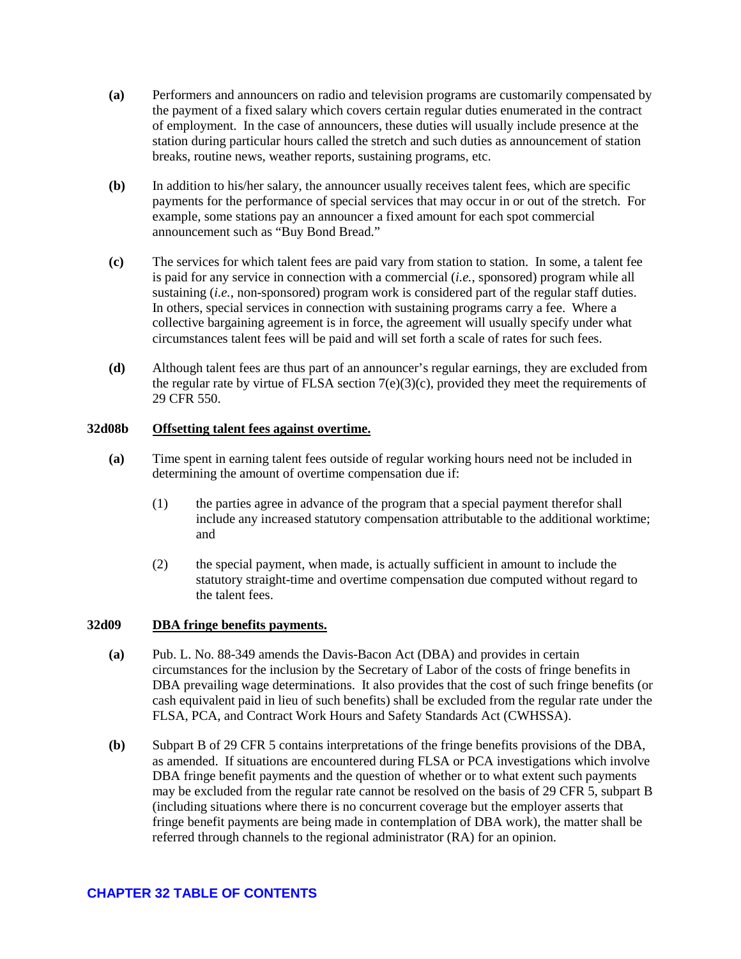- **(a)** Performers and announcers on radio and television programs are customarily compensated by the payment of a fixed salary which covers certain regular duties enumerated in the contract of employment. In the case of announcers, these duties will usually include presence at the station during particular hours called the stretch and such duties as announcement of station breaks, routine news, weather reports, sustaining programs, etc.
- **(b)** In addition to his/her salary, the announcer usually receives talent fees, which are specific payments for the performance of special services that may occur in or out of the stretch. For example, some stations pay an announcer a fixed amount for each spot commercial announcement such as "Buy Bond Bread."
- **(c)** The services for which talent fees are paid vary from station to station. In some, a talent fee is paid for any service in connection with a commercial (*i.e.*, sponsored) program while all sustaining (*i.e.*, non-sponsored) program work is considered part of the regular staff duties. In others, special services in connection with sustaining programs carry a fee. Where a collective bargaining agreement is in force, the agreement will usually specify under what circumstances talent fees will be paid and will set forth a scale of rates for such fees.
- **(d)** Although talent fees are thus part of an announcer's regular earnings, they are excluded from the regular rate by virtue of FLSA section  $7(e)(3)(c)$ , provided they meet the requirements of 29 CFR 550.

### <span id="page-16-0"></span>**32d08b Offsetting talent fees against overtime.**

- **(a)** Time spent in earning talent fees outside of regular working hours need not be included in determining the amount of overtime compensation due if:
	- (1) the parties agree in advance of the program that a special payment therefor shall include any increased statutory compensation attributable to the additional worktime; and
	- (2) the special payment, when made, is actually sufficient in amount to include the statutory straight-time and overtime compensation due computed without regard to the talent fees.

### <span id="page-16-1"></span>**32d09 DBA fringe benefits payments.**

- **(a)** Pub. L. No. 88-349 amends the Davis-Bacon Act (DBA) and provides in certain circumstances for the inclusion by the Secretary of Labor of the costs of fringe benefits in DBA prevailing wage determinations. It also provides that the cost of such fringe benefits (or cash equivalent paid in lieu of such benefits) shall be excluded from the regular rate under the FLSA, PCA, and Contract Work Hours and Safety Standards Act (CWHSSA).
- **(b)** Subpart B of 29 CFR 5 contains interpretations of the fringe benefits provisions of the DBA, as amended. If situations are encountered during FLSA or PCA investigations which involve DBA fringe benefit payments and the question of whether or to what extent such payments may be excluded from the regular rate cannot be resolved on the basis of 29 CFR 5, subpart B (including situations where there is no concurrent coverage but the employer asserts that fringe benefit payments are being made in contemplation of DBA work), the matter shall be referred through channels to the regional administrator (RA) for an opinion.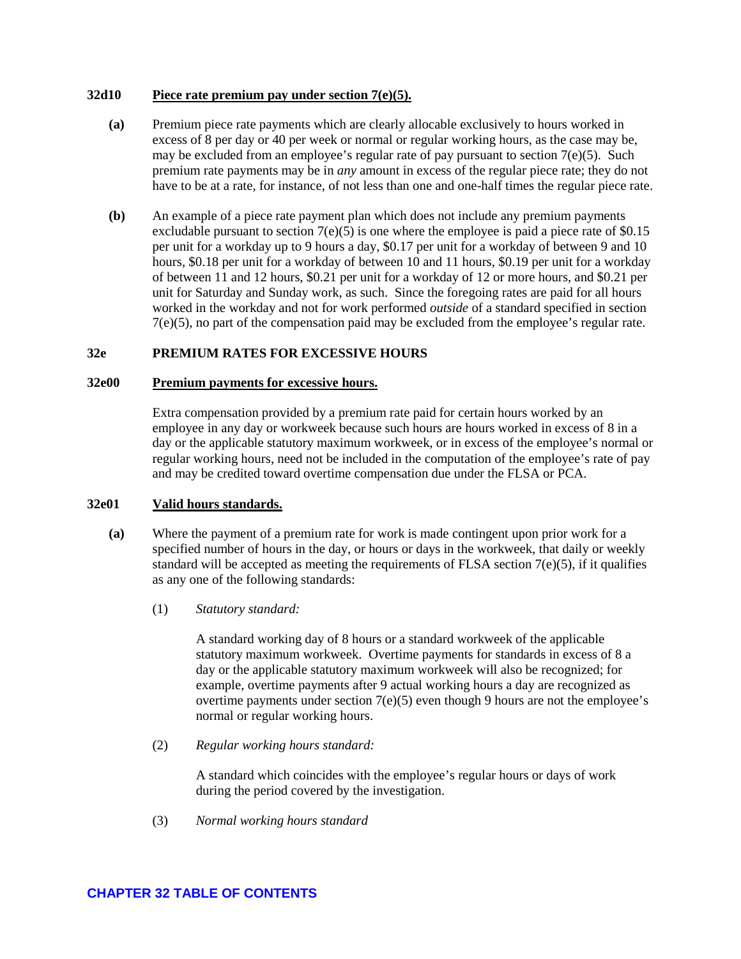### <span id="page-17-0"></span>**32d10 Piece rate premium pay under section 7(e)(5).**

- **(a)** Premium piece rate payments which are clearly allocable exclusively to hours worked in excess of 8 per day or 40 per week or normal or regular working hours, as the case may be, may be excluded from an employee's regular rate of pay pursuant to section  $7(e)(5)$ . Such premium rate payments may be in *any* amount in excess of the regular piece rate; they do not have to be at a rate, for instance, of not less than one and one-half times the regular piece rate.
- **(b)** An example of a piece rate payment plan which does not include any premium payments excludable pursuant to section  $7(e)(5)$  is one where the employee is paid a piece rate of \$0.15 per unit for a workday up to 9 hours a day, \$0.17 per unit for a workday of between 9 and 10 hours, \$0.18 per unit for a workday of between 10 and 11 hours, \$0.19 per unit for a workday of between 11 and 12 hours, \$0.21 per unit for a workday of 12 or more hours, and \$0.21 per unit for Saturday and Sunday work, as such. Since the foregoing rates are paid for all hours worked in the workday and not for work performed *outside* of a standard specified in section 7(e)(5), no part of the compensation paid may be excluded from the employee's regular rate.

## <span id="page-17-1"></span>**32e PREMIUM RATES FOR EXCESSIVE HOURS**

### <span id="page-17-2"></span>**32e00 Premium payments for excessive hours.**

Extra compensation provided by a premium rate paid for certain hours worked by an employee in any day or workweek because such hours are hours worked in excess of 8 in a day or the applicable statutory maximum workweek, or in excess of the employee's normal or regular working hours, need not be included in the computation of the employee's rate of pay and may be credited toward overtime compensation due under the FLSA or PCA.

#### <span id="page-17-3"></span>**32e01 Valid hours standards.**

- **(a)** Where the payment of a premium rate for work is made contingent upon prior work for a specified number of hours in the day, or hours or days in the workweek, that daily or weekly standard will be accepted as meeting the requirements of FLSA section  $7(e)(5)$ , if it qualifies as any one of the following standards:
	- (1) *Statutory standard:*

A standard working day of 8 hours or a standard workweek of the applicable statutory maximum workweek. Overtime payments for standards in excess of 8 a day or the applicable statutory maximum workweek will also be recognized; for example, overtime payments after 9 actual working hours a day are recognized as overtime payments under section 7(e)(5) even though 9 hours are not the employee's normal or regular working hours.

(2) *Regular working hours standard:* 

A standard which coincides with the employee's regular hours or days of work during the period covered by the investigation.

(3) *Normal working hours standard*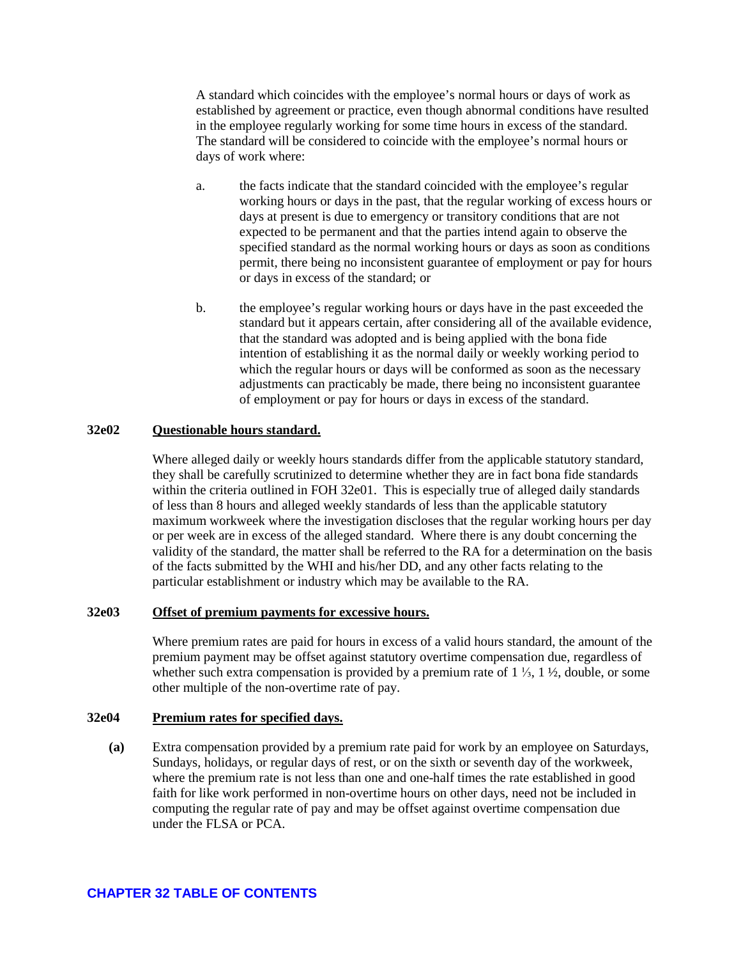A standard which coincides with the employee's normal hours or days of work as established by agreement or practice, even though abnormal conditions have resulted in the employee regularly working for some time hours in excess of the standard. The standard will be considered to coincide with the employee's normal hours or days of work where:

- a. the facts indicate that the standard coincided with the employee's regular working hours or days in the past, that the regular working of excess hours or days at present is due to emergency or transitory conditions that are not expected to be permanent and that the parties intend again to observe the specified standard as the normal working hours or days as soon as conditions permit, there being no inconsistent guarantee of employment or pay for hours or days in excess of the standard; or
- b. the employee's regular working hours or days have in the past exceeded the standard but it appears certain, after considering all of the available evidence, that the standard was adopted and is being applied with the bona fide intention of establishing it as the normal daily or weekly working period to which the regular hours or days will be conformed as soon as the necessary adjustments can practicably be made, there being no inconsistent guarantee of employment or pay for hours or days in excess of the standard.

### <span id="page-18-0"></span>**32e02 Questionable hours standard.**

Where alleged daily or weekly hours standards differ from the applicable statutory standard, they shall be carefully scrutinized to determine whether they are in fact bona fide standards within the criteria outlined in FOH 32e01. This is especially true of alleged daily standards of less than 8 hours and alleged weekly standards of less than the applicable statutory maximum workweek where the investigation discloses that the regular working hours per day or per week are in excess of the alleged standard. Where there is any doubt concerning the validity of the standard, the matter shall be referred to the RA for a determination on the basis of the facts submitted by the WHI and his/her DD, and any other facts relating to the particular establishment or industry which may be available to the RA.

### <span id="page-18-1"></span>**32e03 Offset of premium payments for excessive hours.**

Where premium rates are paid for hours in excess of a valid hours standard, the amount of the premium payment may be offset against statutory overtime compensation due, regardless of whether such extra compensation is provided by a premium rate of 1 ⅓, 1 ½, double, or some other multiple of the non-overtime rate of pay.

#### <span id="page-18-2"></span>**32e04 Premium rates for specified days.**

**(a)** Extra compensation provided by a premium rate paid for work by an employee on Saturdays, Sundays, holidays, or regular days of rest, or on the sixth or seventh day of the workweek, where the premium rate is not less than one and one-half times the rate established in good faith for like work performed in non-overtime hours on other days, need not be included in computing the regular rate of pay and may be offset against overtime compensation due under the FLSA or PCA.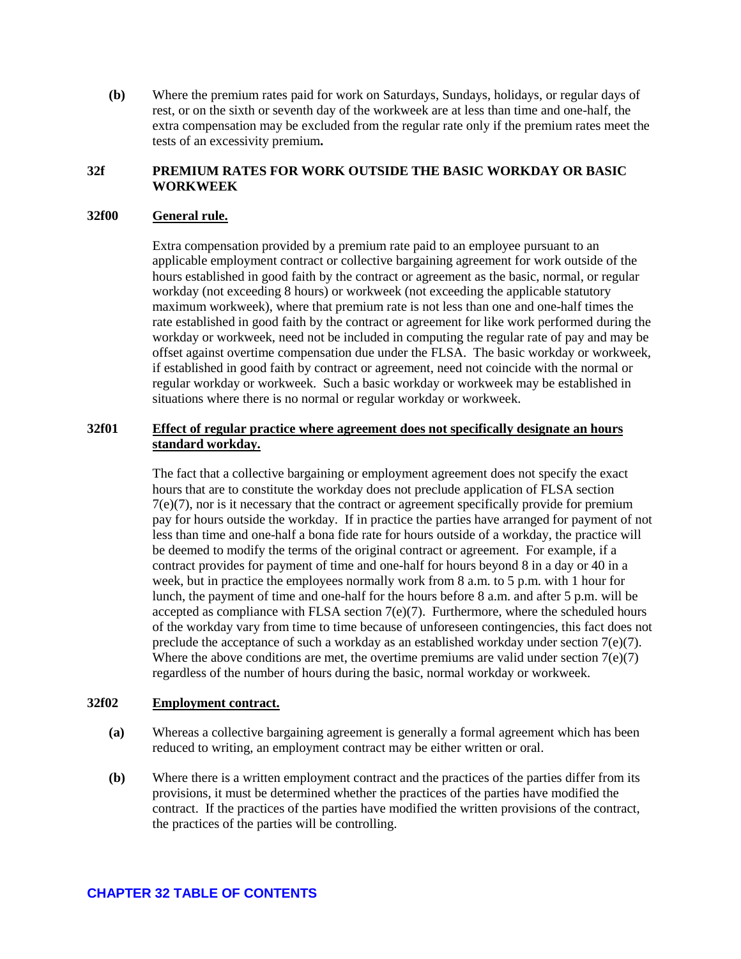**(b)** Where the premium rates paid for work on Saturdays, Sundays, holidays, or regular days of rest, or on the sixth or seventh day of the workweek are at less than time and one-half, the extra compensation may be excluded from the regular rate only if the premium rates meet the tests of an excessivity premium**.** 

### <span id="page-19-0"></span>**32f PREMIUM RATES FOR WORK OUTSIDE THE BASIC WORKDAY OR BASIC WORKWEEK**

### <span id="page-19-1"></span>**32f00 General rule.**

Extra compensation provided by a premium rate paid to an employee pursuant to an applicable employment contract or collective bargaining agreement for work outside of the hours established in good faith by the contract or agreement as the basic, normal, or regular workday (not exceeding 8 hours) or workweek (not exceeding the applicable statutory maximum workweek), where that premium rate is not less than one and one-half times the rate established in good faith by the contract or agreement for like work performed during the workday or workweek, need not be included in computing the regular rate of pay and may be offset against overtime compensation due under the FLSA. The basic workday or workweek, if established in good faith by contract or agreement, need not coincide with the normal or regular workday or workweek. Such a basic workday or workweek may be established in situations where there is no normal or regular workday or workweek.

### <span id="page-19-2"></span>**32f01 Effect of regular practice where agreement does not specifically designate an hours standard workday.**

The fact that a collective bargaining or employment agreement does not specify the exact hours that are to constitute the workday does not preclude application of FLSA section 7(e)(7), nor is it necessary that the contract or agreement specifically provide for premium pay for hours outside the workday. If in practice the parties have arranged for payment of not less than time and one-half a bona fide rate for hours outside of a workday, the practice will be deemed to modify the terms of the original contract or agreement. For example, if a contract provides for payment of time and one-half for hours beyond 8 in a day or 40 in a week, but in practice the employees normally work from 8 a.m. to 5 p.m. with 1 hour for lunch, the payment of time and one-half for the hours before 8 a.m. and after 5 p.m. will be accepted as compliance with FLSA section  $7(e)(7)$ . Furthermore, where the scheduled hours of the workday vary from time to time because of unforeseen contingencies, this fact does not preclude the acceptance of such a workday as an established workday under section  $7(e)(7)$ . Where the above conditions are met, the overtime premiums are valid under section  $7(e)(7)$ regardless of the number of hours during the basic, normal workday or workweek.

#### <span id="page-19-3"></span>**32f02 Employment contract.**

- **(a)** Whereas a collective bargaining agreement is generally a formal agreement which has been reduced to writing, an employment contract may be either written or oral.
- **(b)** Where there is a written employment contract and the practices of the parties differ from its provisions, it must be determined whether the practices of the parties have modified the contract. If the practices of the parties have modified the written provisions of the contract, the practices of the parties will be controlling.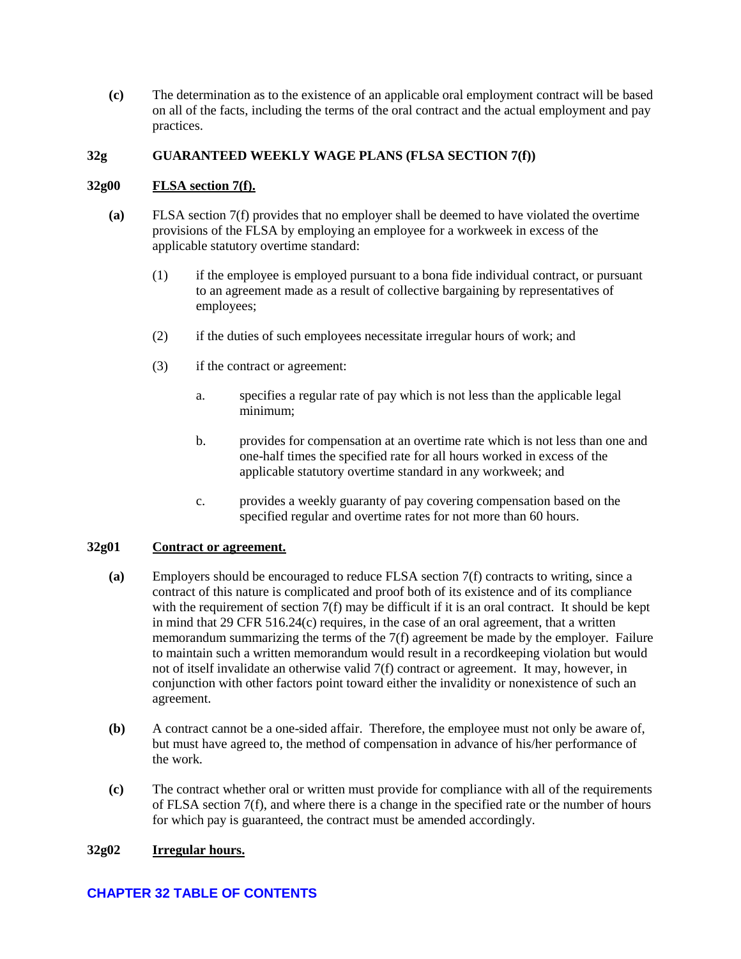**(c)** The determination as to the existence of an applicable oral employment contract will be based on all of the facts, including the terms of the oral contract and the actual employment and pay practices.

### <span id="page-20-0"></span>**32g GUARANTEED WEEKLY WAGE PLANS (FLSA SECTION 7(f))**

### <span id="page-20-1"></span>**32g00 FLSA section 7(f).**

- **(a)** FLSA section 7(f) provides that no employer shall be deemed to have violated the overtime provisions of the FLSA by employing an employee for a workweek in excess of the applicable statutory overtime standard:
	- (1) if the employee is employed pursuant to a bona fide individual contract, or pursuant to an agreement made as a result of collective bargaining by representatives of employees;
	- (2) if the duties of such employees necessitate irregular hours of work; and
	- (3) if the contract or agreement:
		- a. specifies a regular rate of pay which is not less than the applicable legal minimum;
		- b. provides for compensation at an overtime rate which is not less than one and one-half times the specified rate for all hours worked in excess of the applicable statutory overtime standard in any workweek; and
		- c. provides a weekly guaranty of pay covering compensation based on the specified regular and overtime rates for not more than 60 hours.

### <span id="page-20-2"></span>**32g01 Contract or agreement.**

- **(a)** Employers should be encouraged to reduce FLSA section 7(f) contracts to writing, since a contract of this nature is complicated and proof both of its existence and of its compliance with the requirement of section  $7(f)$  may be difficult if it is an oral contract. It should be kept in mind that 29 CFR 516.24(c) requires, in the case of an oral agreement, that a written memorandum summarizing the terms of the 7(f) agreement be made by the employer. Failure to maintain such a written memorandum would result in a recordkeeping violation but would not of itself invalidate an otherwise valid 7(f) contract or agreement. It may, however, in conjunction with other factors point toward either the invalidity or nonexistence of such an agreement.
- **(b)** A contract cannot be a one-sided affair. Therefore, the employee must not only be aware of, but must have agreed to, the method of compensation in advance of his/her performance of the work.
- **(c)** The contract whether oral or written must provide for compliance with all of the requirements of FLSA section 7(f), and where there is a change in the specified rate or the number of hours for which pay is guaranteed, the contract must be amended accordingly.

### <span id="page-20-3"></span>**32g02 Irregular hours.**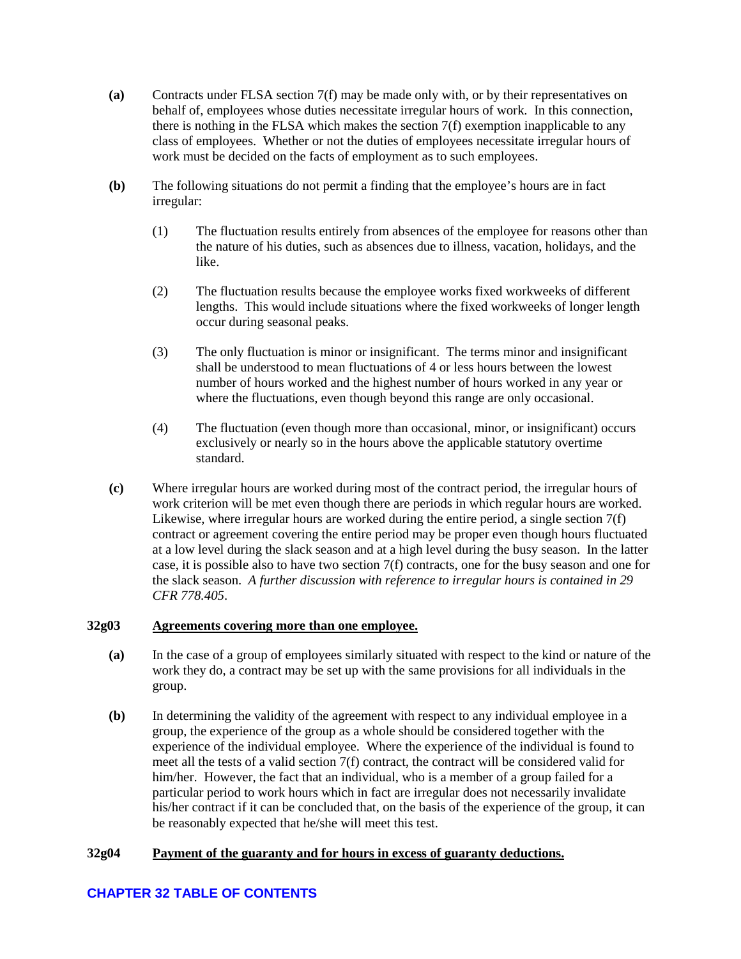- **(a)** Contracts under FLSA section 7(f) may be made only with, or by their representatives on behalf of, employees whose duties necessitate irregular hours of work. In this connection, there is nothing in the FLSA which makes the section 7(f) exemption inapplicable to any class of employees. Whether or not the duties of employees necessitate irregular hours of work must be decided on the facts of employment as to such employees.
- **(b)** The following situations do not permit a finding that the employee's hours are in fact irregular:
	- (1) The fluctuation results entirely from absences of the employee for reasons other than the nature of his duties, such as absences due to illness, vacation, holidays, and the like.
	- (2) The fluctuation results because the employee works fixed workweeks of different lengths. This would include situations where the fixed workweeks of longer length occur during seasonal peaks.
	- (3) The only fluctuation is minor or insignificant. The terms minor and insignificant shall be understood to mean fluctuations of 4 or less hours between the lowest number of hours worked and the highest number of hours worked in any year or where the fluctuations, even though beyond this range are only occasional.
	- (4) The fluctuation (even though more than occasional, minor, or insignificant) occurs exclusively or nearly so in the hours above the applicable statutory overtime standard.
- **(c)** Where irregular hours are worked during most of the contract period, the irregular hours of work criterion will be met even though there are periods in which regular hours are worked. Likewise, where irregular hours are worked during the entire period, a single section 7(f) contract or agreement covering the entire period may be proper even though hours fluctuated at a low level during the slack season and at a high level during the busy season. In the latter case, it is possible also to have two section 7(f) contracts, one for the busy season and one for the slack season. *A further discussion with reference to irregular hours is contained in 29 CFR 778.405*.

### <span id="page-21-0"></span>**32g03 Agreements covering more than one employee.**

- **(a)** In the case of a group of employees similarly situated with respect to the kind or nature of the work they do, a contract may be set up with the same provisions for all individuals in the group.
- **(b)** In determining the validity of the agreement with respect to any individual employee in a group, the experience of the group as a whole should be considered together with the experience of the individual employee. Where the experience of the individual is found to meet all the tests of a valid section 7(f) contract, the contract will be considered valid for him/her. However, the fact that an individual, who is a member of a group failed for a particular period to work hours which in fact are irregular does not necessarily invalidate his/her contract if it can be concluded that, on the basis of the experience of the group, it can be reasonably expected that he/she will meet this test.

## <span id="page-21-1"></span>**32g04 Payment of the guaranty and for hours in excess of guaranty deductions.**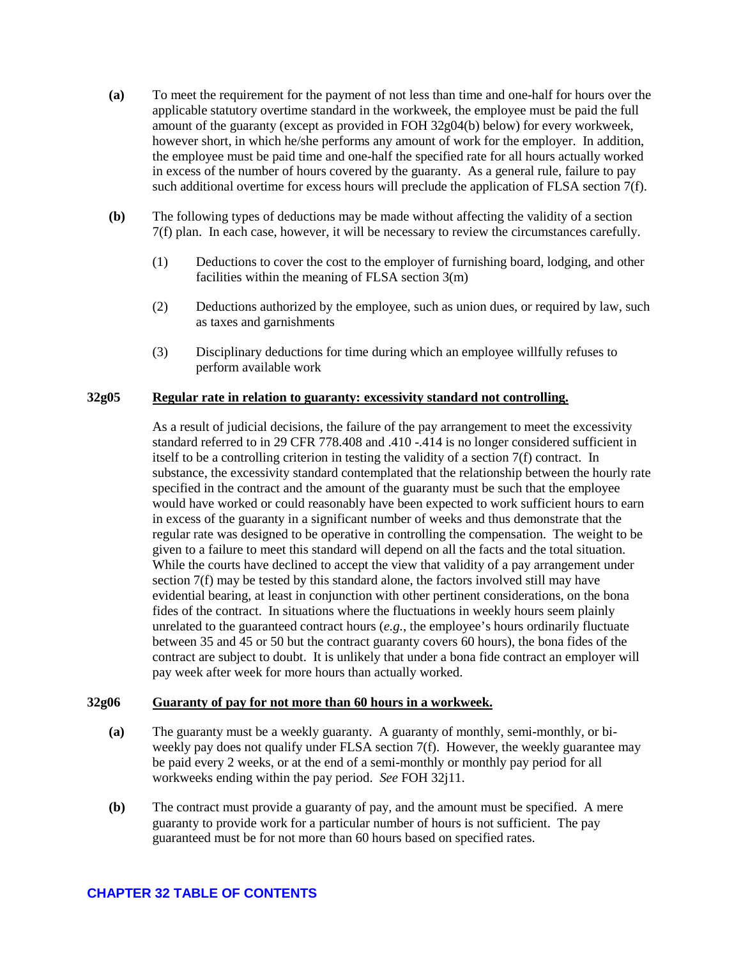- **(a)** To meet the requirement for the payment of not less than time and one-half for hours over the applicable statutory overtime standard in the workweek, the employee must be paid the full amount of the guaranty (except as provided in FOH 32g04(b) below) for every workweek, however short, in which he/she performs any amount of work for the employer. In addition, the employee must be paid time and one-half the specified rate for all hours actually worked in excess of the number of hours covered by the guaranty. As a general rule, failure to pay such additional overtime for excess hours will preclude the application of FLSA section 7(f).
- **(b)** The following types of deductions may be made without affecting the validity of a section 7(f) plan. In each case, however, it will be necessary to review the circumstances carefully.
	- (1) Deductions to cover the cost to the employer of furnishing board, lodging, and other facilities within the meaning of FLSA section 3(m)
	- (2) Deductions authorized by the employee, such as union dues, or required by law, such as taxes and garnishments
	- (3) Disciplinary deductions for time during which an employee willfully refuses to perform available work

### <span id="page-22-0"></span>**32g05 Regular rate in relation to guaranty: excessivity standard not controlling.**

As a result of judicial decisions, the failure of the pay arrangement to meet the excessivity standard referred to in 29 CFR 778.408 and .410 -.414 is no longer considered sufficient in itself to be a controlling criterion in testing the validity of a section 7(f) contract. In substance, the excessivity standard contemplated that the relationship between the hourly rate specified in the contract and the amount of the guaranty must be such that the employee would have worked or could reasonably have been expected to work sufficient hours to earn in excess of the guaranty in a significant number of weeks and thus demonstrate that the regular rate was designed to be operative in controlling the compensation. The weight to be given to a failure to meet this standard will depend on all the facts and the total situation. While the courts have declined to accept the view that validity of a pay arrangement under section 7(f) may be tested by this standard alone, the factors involved still may have evidential bearing, at least in conjunction with other pertinent considerations, on the bona fides of the contract. In situations where the fluctuations in weekly hours seem plainly unrelated to the guaranteed contract hours (*e.g.*, the employee's hours ordinarily fluctuate between 35 and 45 or 50 but the contract guaranty covers 60 hours), the bona fides of the contract are subject to doubt. It is unlikely that under a bona fide contract an employer will pay week after week for more hours than actually worked.

#### <span id="page-22-1"></span>**32g06 Guaranty of pay for not more than 60 hours in a workweek.**

- **(a)** The guaranty must be a weekly guaranty. A guaranty of monthly, semi-monthly, or biweekly pay does not qualify under FLSA section 7(f). However, the weekly guarantee may be paid every 2 weeks, or at the end of a semi-monthly or monthly pay period for all workweeks ending within the pay period. *See* FOH 32j11.
- **(b)** The contract must provide a guaranty of pay, and the amount must be specified. A mere guaranty to provide work for a particular number of hours is not sufficient. The pay guaranteed must be for not more than 60 hours based on specified rates.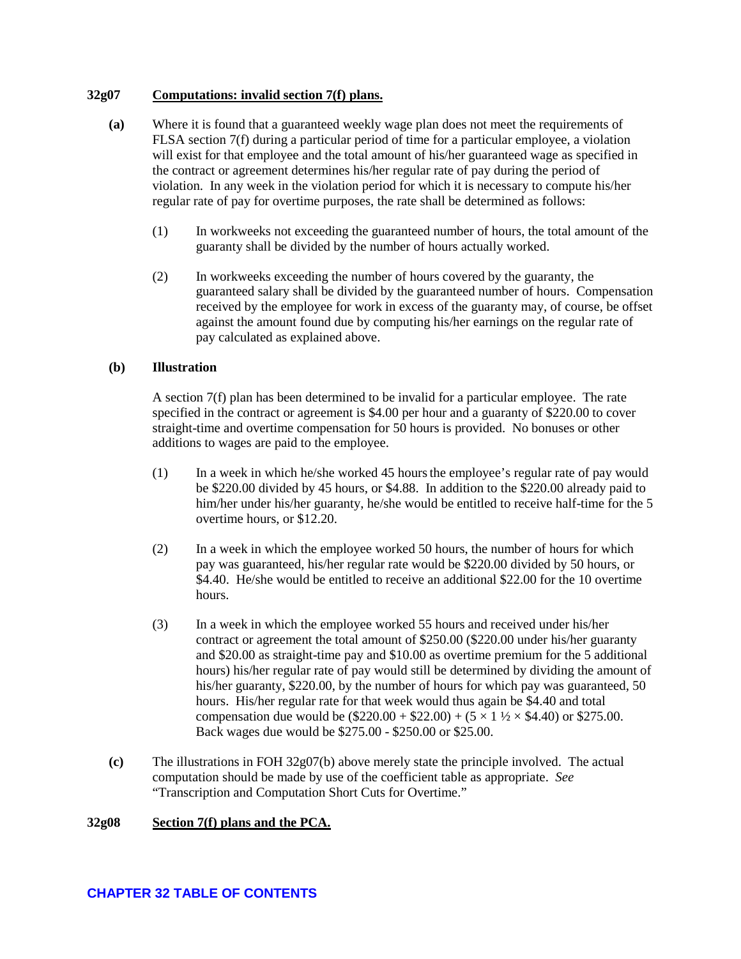### <span id="page-23-0"></span>**32g07 Computations: invalid section 7(f) plans.**

- **(a)** Where it is found that a guaranteed weekly wage plan does not meet the requirements of FLSA section 7(f) during a particular period of time for a particular employee, a violation will exist for that employee and the total amount of his/her guaranteed wage as specified in the contract or agreement determines his/her regular rate of pay during the period of violation. In any week in the violation period for which it is necessary to compute his/her regular rate of pay for overtime purposes, the rate shall be determined as follows:
	- (1) In workweeks not exceeding the guaranteed number of hours, the total amount of the guaranty shall be divided by the number of hours actually worked.
	- (2) In workweeks exceeding the number of hours covered by the guaranty, the guaranteed salary shall be divided by the guaranteed number of hours. Compensation received by the employee for work in excess of the guaranty may, of course, be offset against the amount found due by computing his/her earnings on the regular rate of pay calculated as explained above.

### **(b) Illustration**

A section 7(f) plan has been determined to be invalid for a particular employee. The rate specified in the contract or agreement is \$4.00 per hour and a guaranty of \$220.00 to cover straight-time and overtime compensation for 50 hours is provided. No bonuses or other additions to wages are paid to the employee.

- (1) In a week in which he/she worked 45 hoursthe employee's regular rate of pay would be \$220.00 divided by 45 hours, or \$4.88. In addition to the \$220.00 already paid to him/her under his/her guaranty, he/she would be entitled to receive half-time for the 5 overtime hours, or \$12.20.
- (2) In a week in which the employee worked 50 hours, the number of hours for which pay was guaranteed, his/her regular rate would be \$220.00 divided by 50 hours, or \$4.40. He/she would be entitled to receive an additional \$22.00 for the 10 overtime hours.
- (3) In a week in which the employee worked 55 hours and received under his/her contract or agreement the total amount of \$250.00 (\$220.00 under his/her guaranty and \$20.00 as straight-time pay and \$10.00 as overtime premium for the 5 additional hours) his/her regular rate of pay would still be determined by dividing the amount of his/her guaranty, \$220.00, by the number of hours for which pay was guaranteed, 50 hours. His/her regular rate for that week would thus again be \$4.40 and total compensation due would be  $(\$220.00 + \$22.00) + (5 \times 1 \frac{1}{2} \times \$4.40)$  or \$275.00. Back wages due would be \$275.00 - \$250.00 or \$25.00.
- **(c)** The illustrations in FOH 32g07(b) above merely state the principle involved. The actual computation should be made by use of the coefficient table as appropriate. *See* "Transcription and Computation Short Cuts for Overtime."

### <span id="page-23-1"></span>**32g08 Section 7(f) plans and the PCA.**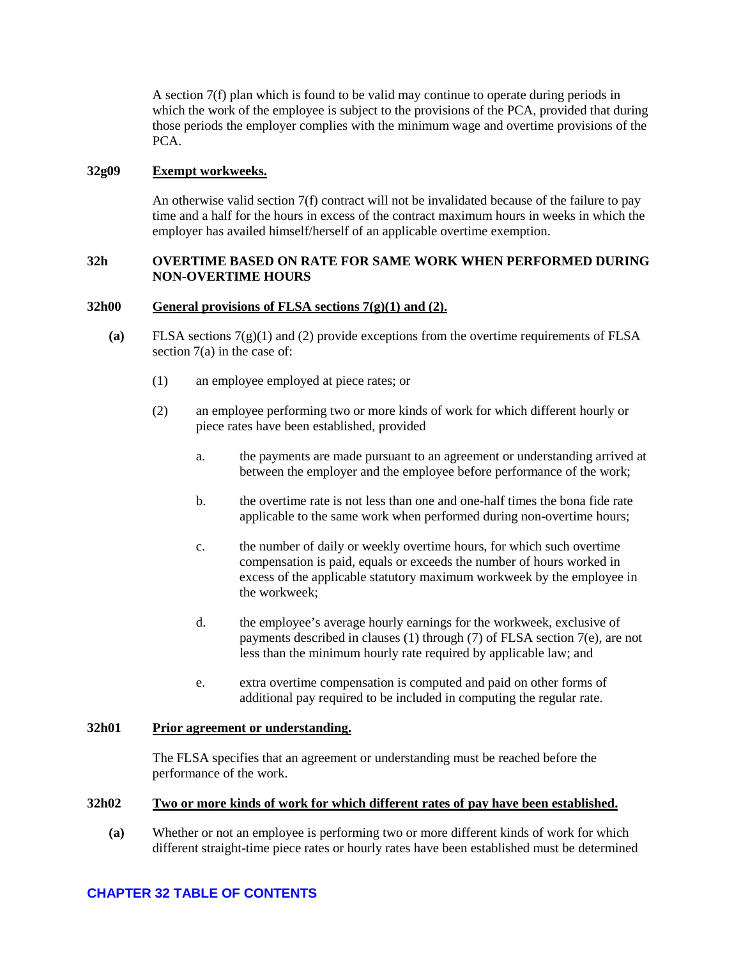A section 7(f) plan which is found to be valid may continue to operate during periods in which the work of the employee is subject to the provisions of the PCA, provided that during those periods the employer complies with the minimum wage and overtime provisions of the PCA.

### <span id="page-24-0"></span>**32g09 Exempt workweeks.**

An otherwise valid section 7(f) contract will not be invalidated because of the failure to pay time and a half for the hours in excess of the contract maximum hours in weeks in which the employer has availed himself/herself of an applicable overtime exemption.

### <span id="page-24-1"></span>**32h OVERTIME BASED ON RATE FOR SAME WORK WHEN PERFORMED DURING NON-OVERTIME HOURS**

### <span id="page-24-2"></span>**32h00 General provisions of FLSA sections 7(g)(1) and (2).**

- **(a)** FLSA sections 7(g)(1) and (2) provide exceptions from the overtime requirements of FLSA section 7(a) in the case of:
	- (1) an employee employed at piece rates; or
	- (2) an employee performing two or more kinds of work for which different hourly or piece rates have been established, provided
		- a. the payments are made pursuant to an agreement or understanding arrived at between the employer and the employee before performance of the work;
		- b. the overtime rate is not less than one and one-half times the bona fide rate applicable to the same work when performed during non-overtime hours;
		- c. the number of daily or weekly overtime hours, for which such overtime compensation is paid, equals or exceeds the number of hours worked in excess of the applicable statutory maximum workweek by the employee in the workweek;
		- d. the employee's average hourly earnings for the workweek, exclusive of payments described in clauses (1) through (7) of FLSA section 7(e), are not less than the minimum hourly rate required by applicable law; and
		- e. extra overtime compensation is computed and paid on other forms of additional pay required to be included in computing the regular rate.

### <span id="page-24-3"></span>**32h01 Prior agreement or understanding.**

The FLSA specifies that an agreement or understanding must be reached before the performance of the work.

#### <span id="page-24-4"></span>**32h02 Two or more kinds of work for which different rates of pay have been established.**

**(a)** Whether or not an employee is performing two or more different kinds of work for which different straight-time piece rates or hourly rates have been established must be determined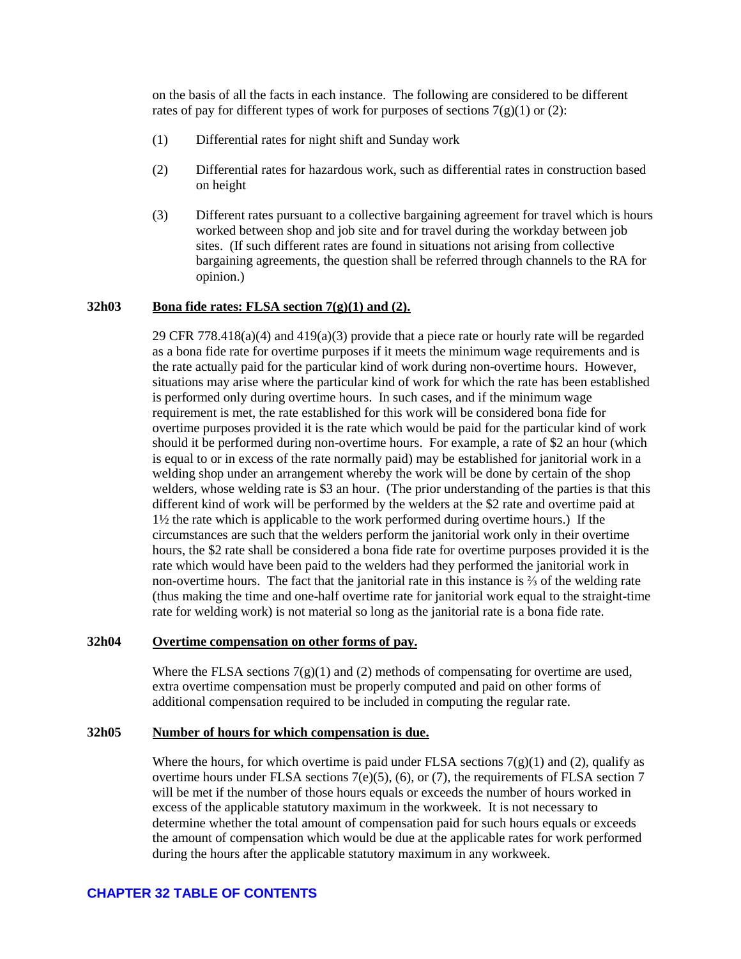on the basis of all the facts in each instance. The following are considered to be different rates of pay for different types of work for purposes of sections  $7(g)(1)$  or (2):

- (1) Differential rates for night shift and Sunday work
- (2) Differential rates for hazardous work, such as differential rates in construction based on height
- (3) Different rates pursuant to a collective bargaining agreement for travel which is hours worked between shop and job site and for travel during the workday between job sites. (If such different rates are found in situations not arising from collective bargaining agreements, the question shall be referred through channels to the RA for opinion.)

### <span id="page-25-0"></span>**32h03 Bona fide rates: FLSA section 7(g)(1) and (2).**

29 CFR 778.418(a)(4) and 419(a)(3) provide that a piece rate or hourly rate will be regarded as a bona fide rate for overtime purposes if it meets the minimum wage requirements and is the rate actually paid for the particular kind of work during non-overtime hours. However, situations may arise where the particular kind of work for which the rate has been established is performed only during overtime hours. In such cases, and if the minimum wage requirement is met, the rate established for this work will be considered bona fide for overtime purposes provided it is the rate which would be paid for the particular kind of work should it be performed during non-overtime hours. For example, a rate of \$2 an hour (which is equal to or in excess of the rate normally paid) may be established for janitorial work in a welding shop under an arrangement whereby the work will be done by certain of the shop welders, whose welding rate is \$3 an hour. (The prior understanding of the parties is that this different kind of work will be performed by the welders at the \$2 rate and overtime paid at 1½ the rate which is applicable to the work performed during overtime hours.) If the circumstances are such that the welders perform the janitorial work only in their overtime hours, the \$2 rate shall be considered a bona fide rate for overtime purposes provided it is the rate which would have been paid to the welders had they performed the janitorial work in non-overtime hours. The fact that the janitorial rate in this instance is  $\frac{2}{3}$  of the welding rate (thus making the time and one-half overtime rate for janitorial work equal to the straight-time rate for welding work) is not material so long as the janitorial rate is a bona fide rate.

#### <span id="page-25-1"></span>**32h04 Overtime compensation on other forms of pay.**

Where the FLSA sections  $7(g)(1)$  and (2) methods of compensating for overtime are used, extra overtime compensation must be properly computed and paid on other forms of additional compensation required to be included in computing the regular rate.

### <span id="page-25-2"></span>**32h05 Number of hours for which compensation is due.**

Where the hours, for which overtime is paid under FLSA sections  $7(g)(1)$  and (2), qualify as overtime hours under FLSA sections  $7(e)(5)$ ,  $(6)$ , or  $(7)$ , the requirements of FLSA section 7 will be met if the number of those hours equals or exceeds the number of hours worked in excess of the applicable statutory maximum in the workweek. It is not necessary to determine whether the total amount of compensation paid for such hours equals or exceeds the amount of compensation which would be due at the applicable rates for work performed during the hours after the applicable statutory maximum in any workweek.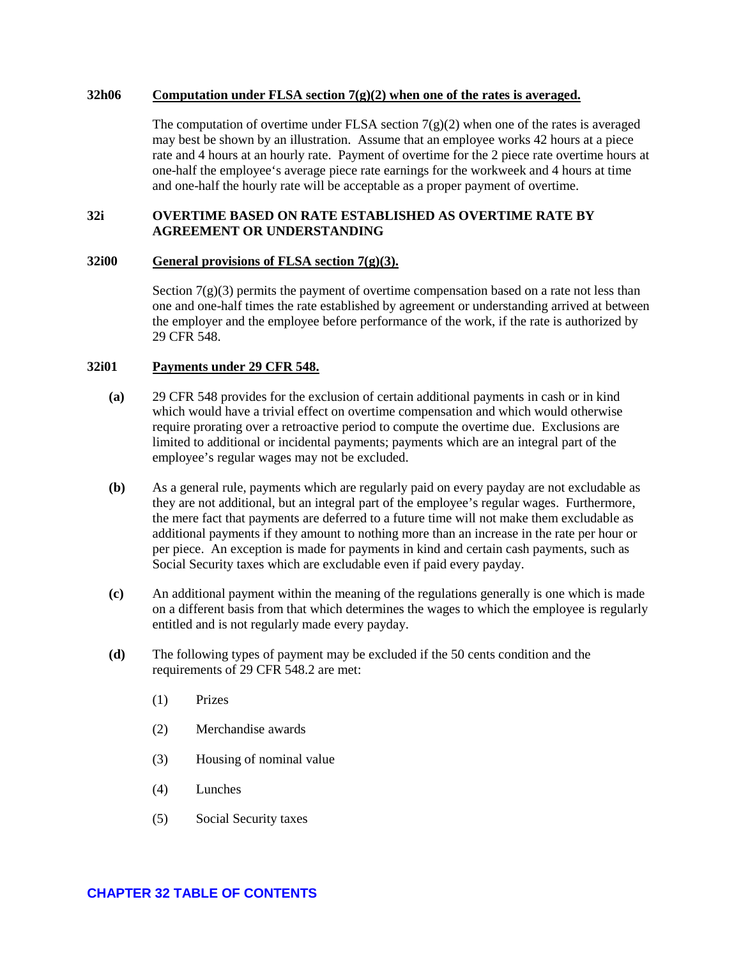#### <span id="page-26-0"></span>**32h06 Computation under FLSA section 7(g)(2) when one of the rates is averaged.**

The computation of overtime under FLSA section  $7(g)(2)$  when one of the rates is averaged may best be shown by an illustration. Assume that an employee works 42 hours at a piece rate and 4 hours at an hourly rate. Payment of overtime for the 2 piece rate overtime hours at one-half the employee's average piece rate earnings for the workweek and 4 hours at time and one-half the hourly rate will be acceptable as a proper payment of overtime.

### <span id="page-26-1"></span>**32i OVERTIME BASED ON RATE ESTABLISHED AS OVERTIME RATE BY AGREEMENT OR UNDERSTANDING**

### <span id="page-26-2"></span>**32i00 General provisions of FLSA section 7(g)(3).**

Section  $7(g)(3)$  permits the payment of overtime compensation based on a rate not less than one and one-half times the rate established by agreement or understanding arrived at between the employer and the employee before performance of the work, if the rate is authorized by 29 CFR 548.

## <span id="page-26-3"></span>**32i01 Payments under 29 CFR 548.**

- **(a)** 29 CFR 548 provides for the exclusion of certain additional payments in cash or in kind which would have a trivial effect on overtime compensation and which would otherwise require prorating over a retroactive period to compute the overtime due. Exclusions are limited to additional or incidental payments; payments which are an integral part of the employee's regular wages may not be excluded.
- **(b)** As a general rule, payments which are regularly paid on every payday are not excludable as they are not additional, but an integral part of the employee's regular wages. Furthermore, the mere fact that payments are deferred to a future time will not make them excludable as additional payments if they amount to nothing more than an increase in the rate per hour or per piece. An exception is made for payments in kind and certain cash payments, such as Social Security taxes which are excludable even if paid every payday.
- **(c)** An additional payment within the meaning of the regulations generally is one which is made on a different basis from that which determines the wages to which the employee is regularly entitled and is not regularly made every payday.
- **(d)** The following types of payment may be excluded if the 50 cents condition and the requirements of 29 CFR 548.2 are met:
	- (1) Prizes
	- (2) Merchandise awards
	- (3) Housing of nominal value
	- (4) Lunches
	- (5) Social Security taxes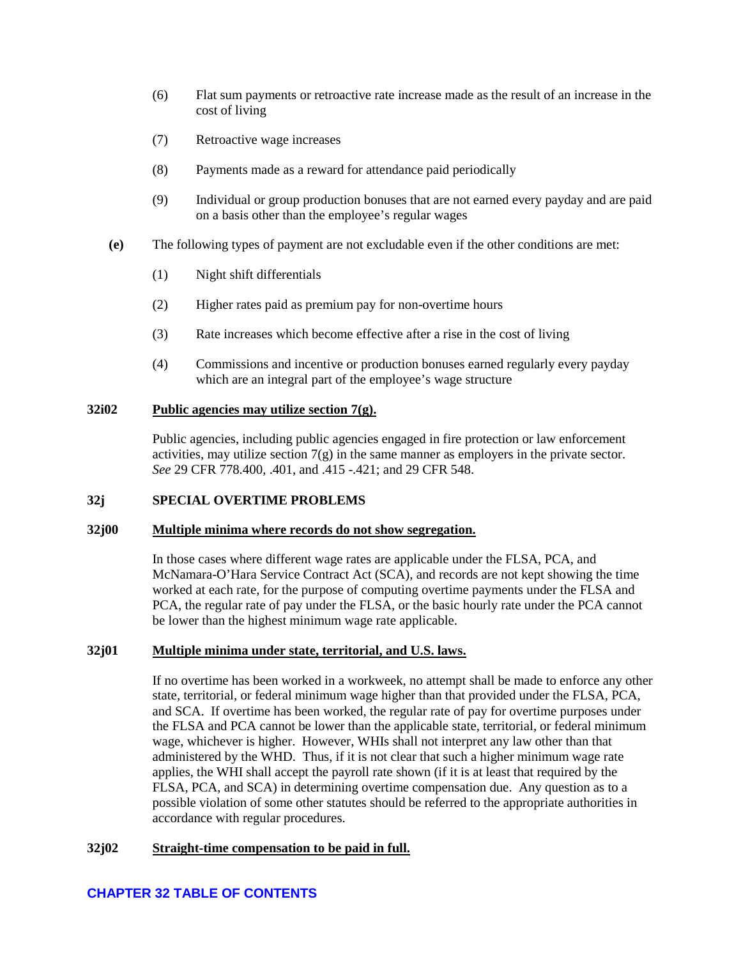- (6) Flat sum payments or retroactive rate increase made as the result of an increase in the cost of living
- (7) Retroactive wage increases
- (8) Payments made as a reward for attendance paid periodically
- (9) Individual or group production bonuses that are not earned every payday and are paid on a basis other than the employee's regular wages
- **(e)** The following types of payment are not excludable even if the other conditions are met:
	- (1) Night shift differentials
	- (2) Higher rates paid as premium pay for non-overtime hours
	- (3) Rate increases which become effective after a rise in the cost of living
	- (4) Commissions and incentive or production bonuses earned regularly every payday which are an integral part of the employee's wage structure

#### <span id="page-27-0"></span>**32i02 Public agencies may utilize section 7(g).**

Public agencies, including public agencies engaged in fire protection or law enforcement activities, may utilize section  $7(g)$  in the same manner as employers in the private sector. *See* 29 CFR 778.400, .401, and .415 -.421; and 29 CFR 548.

### <span id="page-27-1"></span>**32j SPECIAL OVERTIME PROBLEMS**

#### <span id="page-27-2"></span>**32j00 Multiple minima where records do not show segregation.**

In those cases where different wage rates are applicable under the FLSA, PCA, and McNamara-O'Hara Service Contract Act (SCA), and records are not kept showing the time worked at each rate, for the purpose of computing overtime payments under the FLSA and PCA, the regular rate of pay under the FLSA, or the basic hourly rate under the PCA cannot be lower than the highest minimum wage rate applicable.

#### <span id="page-27-3"></span>**32j01 Multiple minima under state, territorial, and U.S. laws.**

If no overtime has been worked in a workweek, no attempt shall be made to enforce any other state, territorial, or federal minimum wage higher than that provided under the FLSA, PCA, and SCA. If overtime has been worked, the regular rate of pay for overtime purposes under the FLSA and PCA cannot be lower than the applicable state, territorial, or federal minimum wage, whichever is higher. However, WHIs shall not interpret any law other than that administered by the WHD. Thus, if it is not clear that such a higher minimum wage rate applies, the WHI shall accept the payroll rate shown (if it is at least that required by the FLSA, PCA, and SCA) in determining overtime compensation due. Any question as to a possible violation of some other statutes should be referred to the appropriate authorities in accordance with regular procedures.

### <span id="page-27-4"></span>**32j02 Straight-time compensation to be paid in full.**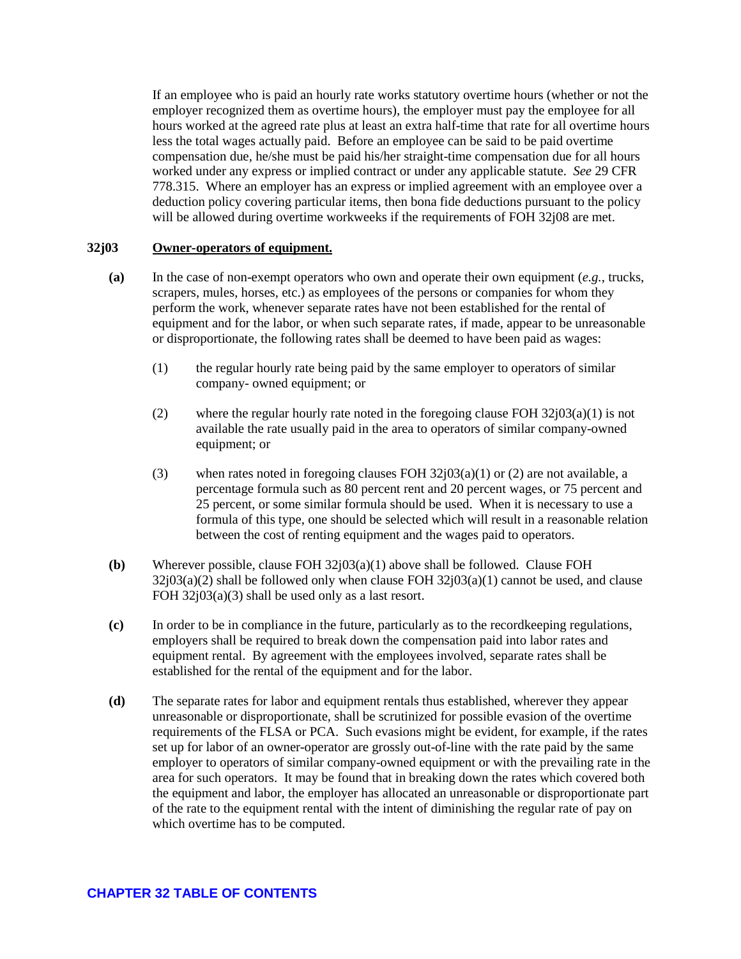If an employee who is paid an hourly rate works statutory overtime hours (whether or not the employer recognized them as overtime hours), the employer must pay the employee for all hours worked at the agreed rate plus at least an extra half-time that rate for all overtime hours less the total wages actually paid. Before an employee can be said to be paid overtime compensation due, he/she must be paid his/her straight-time compensation due for all hours worked under any express or implied contract or under any applicable statute. *See* 29 CFR 778.315. Where an employer has an express or implied agreement with an employee over a deduction policy covering particular items, then bona fide deductions pursuant to the policy will be allowed during overtime workweeks if the requirements of FOH 32j08 are met.

### <span id="page-28-0"></span>**32j03 Owner-operators of equipment.**

- **(a)** In the case of non-exempt operators who own and operate their own equipment (*e.g.*, trucks, scrapers, mules, horses, etc.) as employees of the persons or companies for whom they perform the work, whenever separate rates have not been established for the rental of equipment and for the labor, or when such separate rates, if made, appear to be unreasonable or disproportionate, the following rates shall be deemed to have been paid as wages:
	- (1) the regular hourly rate being paid by the same employer to operators of similar company- owned equipment; or
	- (2) where the regular hourly rate noted in the foregoing clause FOH 32j03(a)(1) is not available the rate usually paid in the area to operators of similar company-owned equipment; or
	- (3) when rates noted in foregoing clauses FOH  $32j03(a)(1)$  or (2) are not available, a percentage formula such as 80 percent rent and 20 percent wages, or 75 percent and 25 percent, or some similar formula should be used. When it is necessary to use a formula of this type, one should be selected which will result in a reasonable relation between the cost of renting equipment and the wages paid to operators.
- **(b)** Wherever possible, clause FOH 32j03(a)(1) above shall be followed. Clause FOH  $32j03(a)(2)$  shall be followed only when clause FOH  $32j03(a)(1)$  cannot be used, and clause FOH  $32j03(a)(3)$  shall be used only as a last resort.
- **(c)** In order to be in compliance in the future, particularly as to the recordkeeping regulations, employers shall be required to break down the compensation paid into labor rates and equipment rental. By agreement with the employees involved, separate rates shall be established for the rental of the equipment and for the labor.
- **(d)** The separate rates for labor and equipment rentals thus established, wherever they appear unreasonable or disproportionate, shall be scrutinized for possible evasion of the overtime requirements of the FLSA or PCA. Such evasions might be evident, for example, if the rates set up for labor of an owner-operator are grossly out-of-line with the rate paid by the same employer to operators of similar company-owned equipment or with the prevailing rate in the area for such operators. It may be found that in breaking down the rates which covered both the equipment and labor, the employer has allocated an unreasonable or disproportionate part of the rate to the equipment rental with the intent of diminishing the regular rate of pay on which overtime has to be computed.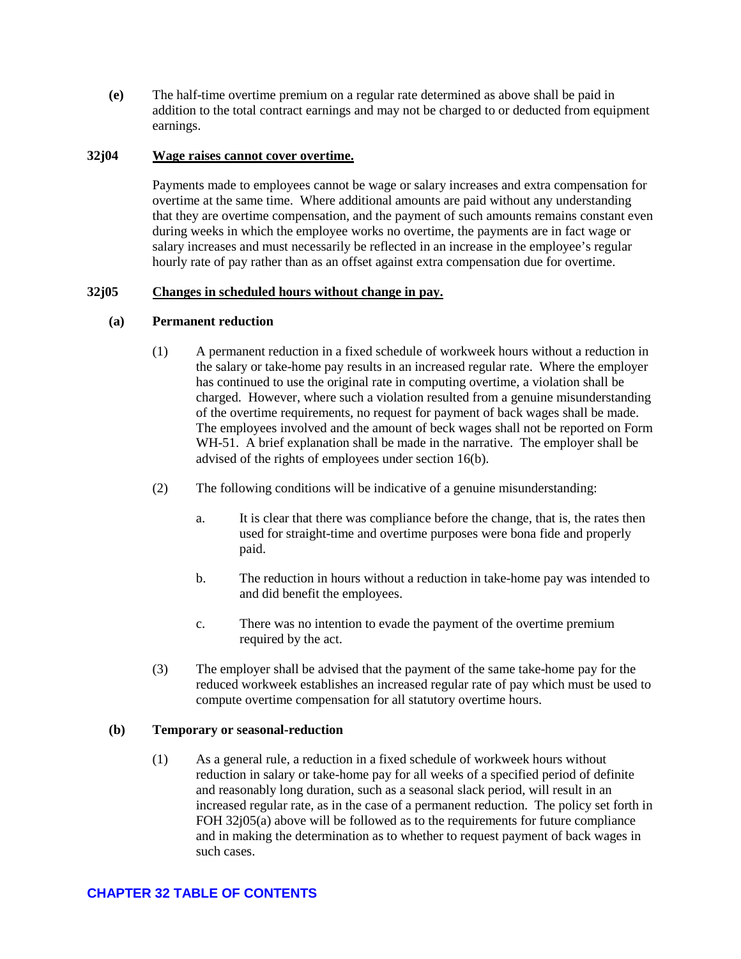**(e)** The half-time overtime premium on a regular rate determined as above shall be paid in addition to the total contract earnings and may not be charged to or deducted from equipment earnings.

### <span id="page-29-0"></span>**32j04 Wage raises cannot cover overtime.**

Payments made to employees cannot be wage or salary increases and extra compensation for overtime at the same time. Where additional amounts are paid without any understanding that they are overtime compensation, and the payment of such amounts remains constant even during weeks in which the employee works no overtime, the payments are in fact wage or salary increases and must necessarily be reflected in an increase in the employee's regular hourly rate of pay rather than as an offset against extra compensation due for overtime.

### <span id="page-29-1"></span>**32j05 Changes in scheduled hours without change in pay.**

### **(a) Permanent reduction**

- (1) A permanent reduction in a fixed schedule of workweek hours without a reduction in the salary or take-home pay results in an increased regular rate. Where the employer has continued to use the original rate in computing overtime, a violation shall be charged. However, where such a violation resulted from a genuine misunderstanding of the overtime requirements, no request for payment of back wages shall be made. The employees involved and the amount of beck wages shall not be reported on Form WH-51. A brief explanation shall be made in the narrative. The employer shall be advised of the rights of employees under section 16(b).
- (2) The following conditions will be indicative of a genuine misunderstanding:
	- a. It is clear that there was compliance before the change, that is, the rates then used for straight-time and overtime purposes were bona fide and properly paid.
	- b. The reduction in hours without a reduction in take-home pay was intended to and did benefit the employees.
	- c. There was no intention to evade the payment of the overtime premium required by the act.
- (3) The employer shall be advised that the payment of the same take-home pay for the reduced workweek establishes an increased regular rate of pay which must be used to compute overtime compensation for all statutory overtime hours.

### **(b) Temporary or seasonal-reduction**

(1) As a general rule, a reduction in a fixed schedule of workweek hours without reduction in salary or take-home pay for all weeks of a specified period of definite and reasonably long duration, such as a seasonal slack period, will result in an increased regular rate, as in the case of a permanent reduction. The policy set forth in FOH 32j05(a) above will be followed as to the requirements for future compliance and in making the determination as to whether to request payment of back wages in such cases.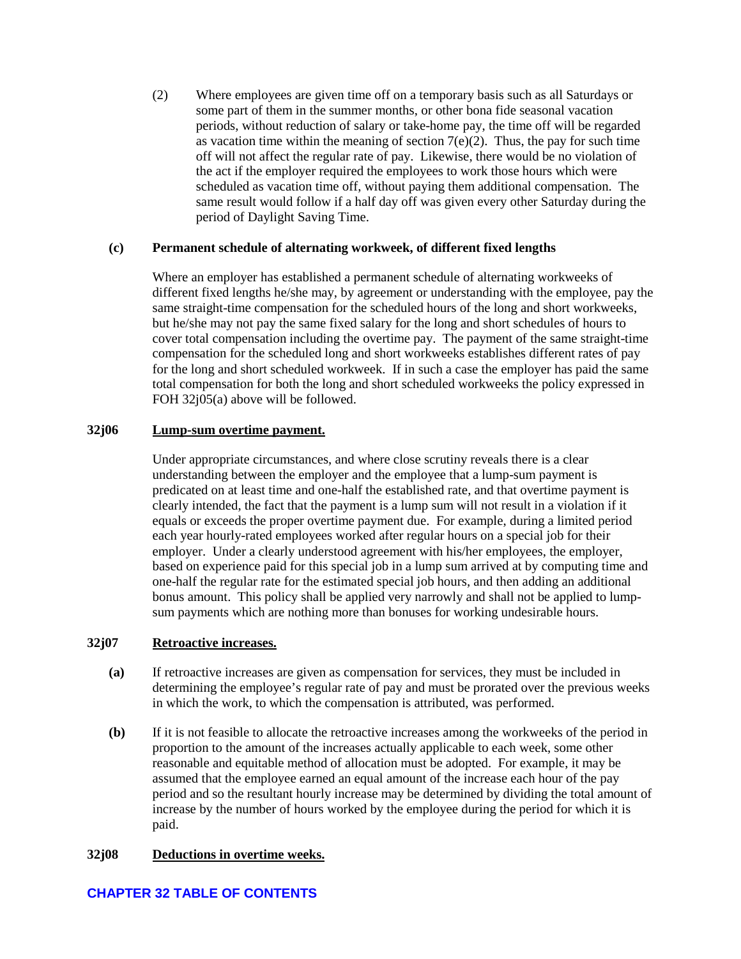(2) Where employees are given time off on a temporary basis such as all Saturdays or some part of them in the summer months, or other bona fide seasonal vacation periods, without reduction of salary or take-home pay, the time off will be regarded as vacation time within the meaning of section  $7(e)(2)$ . Thus, the pay for such time off will not affect the regular rate of pay. Likewise, there would be no violation of the act if the employer required the employees to work those hours which were scheduled as vacation time off, without paying them additional compensation. The same result would follow if a half day off was given every other Saturday during the period of Daylight Saving Time.

### **(c) Permanent schedule of alternating workweek, of different fixed lengths**

Where an employer has established a permanent schedule of alternating workweeks of different fixed lengths he/she may, by agreement or understanding with the employee, pay the same straight-time compensation for the scheduled hours of the long and short workweeks, but he/she may not pay the same fixed salary for the long and short schedules of hours to cover total compensation including the overtime pay. The payment of the same straight-time compensation for the scheduled long and short workweeks establishes different rates of pay for the long and short scheduled workweek. If in such a case the employer has paid the same total compensation for both the long and short scheduled workweeks the policy expressed in FOH 32j05(a) above will be followed.

### <span id="page-30-0"></span>**32j06 Lump-sum overtime payment.**

Under appropriate circumstances, and where close scrutiny reveals there is a clear understanding between the employer and the employee that a lump-sum payment is predicated on at least time and one-half the established rate, and that overtime payment is clearly intended, the fact that the payment is a lump sum will not result in a violation if it equals or exceeds the proper overtime payment due. For example, during a limited period each year hourly-rated employees worked after regular hours on a special job for their employer. Under a clearly understood agreement with his/her employees, the employer, based on experience paid for this special job in a lump sum arrived at by computing time and one-half the regular rate for the estimated special job hours, and then adding an additional bonus amount. This policy shall be applied very narrowly and shall not be applied to lumpsum payments which are nothing more than bonuses for working undesirable hours.

#### <span id="page-30-1"></span>**32j07 Retroactive increases.**

- **(a)** If retroactive increases are given as compensation for services, they must be included in determining the employee's regular rate of pay and must be prorated over the previous weeks in which the work, to which the compensation is attributed, was performed.
- **(b)** If it is not feasible to allocate the retroactive increases among the workweeks of the period in proportion to the amount of the increases actually applicable to each week, some other reasonable and equitable method of allocation must be adopted. For example, it may be assumed that the employee earned an equal amount of the increase each hour of the pay period and so the resultant hourly increase may be determined by dividing the total amount of increase by the number of hours worked by the employee during the period for which it is paid.

#### <span id="page-30-2"></span>**32j08 Deductions in overtime weeks.**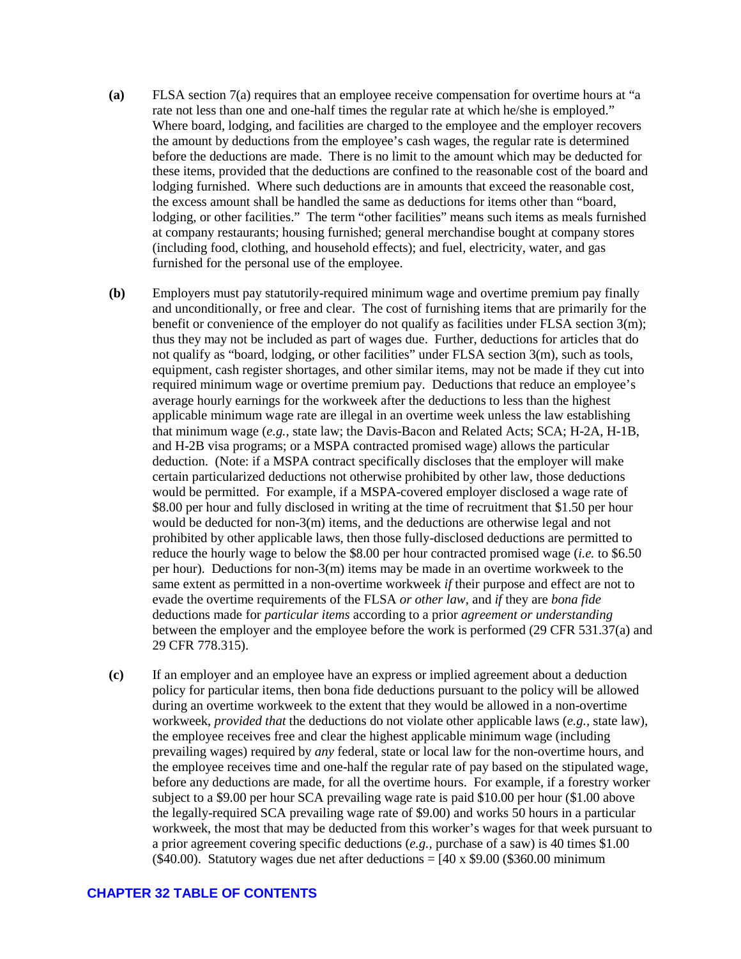- **(a)** FLSA section 7(a) requires that an employee receive compensation for overtime hours at "a rate not less than one and one-half times the regular rate at which he/she is employed." Where board, lodging, and facilities are charged to the employee and the employer recovers the amount by deductions from the employee's cash wages, the regular rate is determined before the deductions are made. There is no limit to the amount which may be deducted for these items, provided that the deductions are confined to the reasonable cost of the board and lodging furnished. Where such deductions are in amounts that exceed the reasonable cost, the excess amount shall be handled the same as deductions for items other than "board, lodging, or other facilities." The term "other facilities" means such items as meals furnished at company restaurants; housing furnished; general merchandise bought at company stores (including food, clothing, and household effects); and fuel, electricity, water, and gas furnished for the personal use of the employee.
- **(b)** Employers must pay statutorily-required minimum wage and overtime premium pay finally and unconditionally, or free and clear. The cost of furnishing items that are primarily for the benefit or convenience of the employer do not qualify as facilities under FLSA section 3(m); thus they may not be included as part of wages due. Further, deductions for articles that do not qualify as "board, lodging, or other facilities" under FLSA section 3(m), such as tools, equipment, cash register shortages, and other similar items, may not be made if they cut into required minimum wage or overtime premium pay. Deductions that reduce an employee's average hourly earnings for the workweek after the deductions to less than the highest applicable minimum wage rate are illegal in an overtime week unless the law establishing that minimum wage (*e.g.,* state law; the Davis-Bacon and Related Acts; SCA; H-2A, H-1B, and H-2B visa programs; or a MSPA contracted promised wage) allows the particular deduction. (Note: if a MSPA contract specifically discloses that the employer will make certain particularized deductions not otherwise prohibited by other law, those deductions would be permitted. For example, if a MSPA-covered employer disclosed a wage rate of \$8.00 per hour and fully disclosed in writing at the time of recruitment that \$1.50 per hour would be deducted for non-3(m) items, and the deductions are otherwise legal and not prohibited by other applicable laws, then those fully-disclosed deductions are permitted to reduce the hourly wage to below the \$8.00 per hour contracted promised wage (*i.e.* to \$6.50 per hour). Deductions for non-3(m) items may be made in an overtime workweek to the same extent as permitted in a non-overtime workweek *if* their purpose and effect are not to evade the overtime requirements of the FLSA *or other law*, and *if* they are *bona fide* deductions made for *particular items* according to a prior *agreement or understanding* between the employer and the employee before the work is performed (29 CFR 531.37(a) and 29 CFR 778.315).
- **(c)** If an employer and an employee have an express or implied agreement about a deduction policy for particular items, then bona fide deductions pursuant to the policy will be allowed during an overtime workweek to the extent that they would be allowed in a non-overtime workweek, *provided that* the deductions do not violate other applicable laws (*e.g.,* state law), the employee receives free and clear the highest applicable minimum wage (including prevailing wages) required by *any* federal, state or local law for the non-overtime hours, and the employee receives time and one-half the regular rate of pay based on the stipulated wage, before any deductions are made, for all the overtime hours. For example, if a forestry worker subject to a \$9.00 per hour SCA prevailing wage rate is paid \$10.00 per hour (\$1.00 above the legally-required SCA prevailing wage rate of \$9.00) and works 50 hours in a particular workweek, the most that may be deducted from this worker's wages for that week pursuant to a prior agreement covering specific deductions (*e.g.,* purchase of a saw) is 40 times \$1.00 (\$40.00). Statutory wages due net after deductions =  $[40 \times $9.00$  (\$360.00 minimum)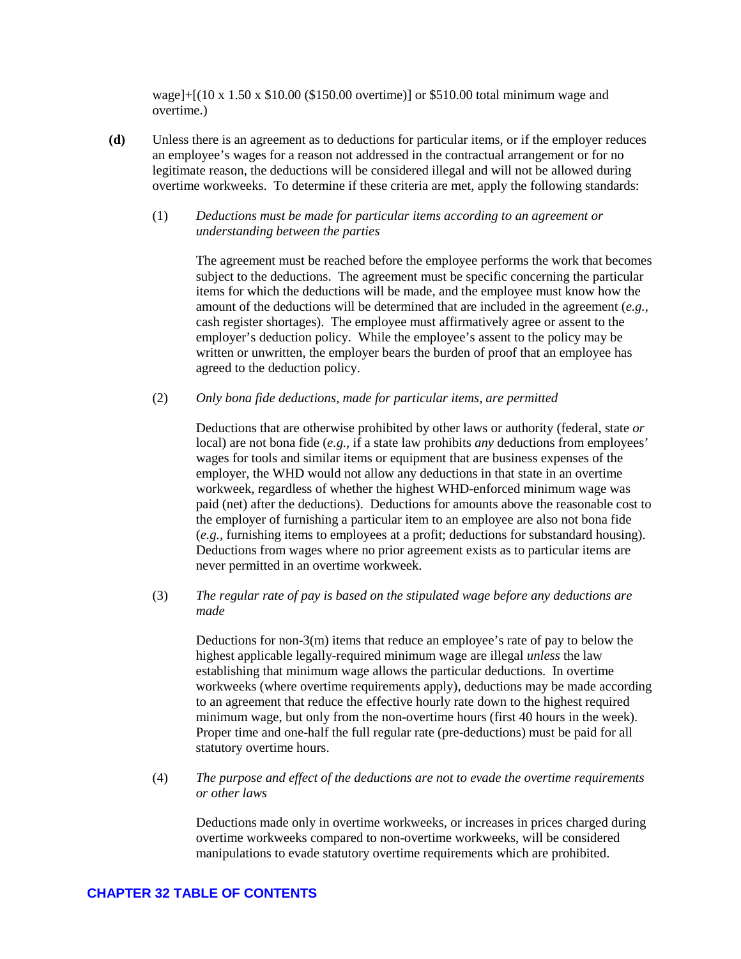wage]+ $[(10 \times 1.50 \times $10.00 \times $150.00 \text{ overtime})]$  or \$510.00 total minimum wage and overtime.)

**(d)** Unless there is an agreement as to deductions for particular items, or if the employer reduces an employee's wages for a reason not addressed in the contractual arrangement or for no legitimate reason, the deductions will be considered illegal and will not be allowed during overtime workweeks. To determine if these criteria are met, apply the following standards:

### (1) *Deductions must be made for particular items according to an agreement or understanding between the parties*

The agreement must be reached before the employee performs the work that becomes subject to the deductions. The agreement must be specific concerning the particular items for which the deductions will be made, and the employee must know how the amount of the deductions will be determined that are included in the agreement (*e.g.,*  cash register shortages). The employee must affirmatively agree or assent to the employer's deduction policy. While the employee's assent to the policy may be written or unwritten, the employer bears the burden of proof that an employee has agreed to the deduction policy.

(2) *Only bona fide deductions, made for particular items, are permitted* 

Deductions that are otherwise prohibited by other laws or authority (federal, state *or*  local) are not bona fide (*e.g.,* if a state law prohibits *any* deductions from employees' wages for tools and similar items or equipment that are business expenses of the employer, the WHD would not allow any deductions in that state in an overtime workweek, regardless of whether the highest WHD-enforced minimum wage was paid (net) after the deductions). Deductions for amounts above the reasonable cost to the employer of furnishing a particular item to an employee are also not bona fide (*e.g.,* furnishing items to employees at a profit; deductions for substandard housing). Deductions from wages where no prior agreement exists as to particular items are never permitted in an overtime workweek.

(3) *The regular rate of pay is based on the stipulated wage before any deductions are made* 

Deductions for non-3(m) items that reduce an employee's rate of pay to below the highest applicable legally-required minimum wage are illegal *unless* the law establishing that minimum wage allows the particular deductions. In overtime workweeks (where overtime requirements apply), deductions may be made according to an agreement that reduce the effective hourly rate down to the highest required minimum wage, but only from the non-overtime hours (first 40 hours in the week). Proper time and one-half the full regular rate (pre-deductions) must be paid for all statutory overtime hours.

(4) *The purpose and effect of the deductions are not to evade the overtime requirements or other laws*

Deductions made only in overtime workweeks, or increases in prices charged during overtime workweeks compared to non-overtime workweeks, will be considered manipulations to evade statutory overtime requirements which are prohibited.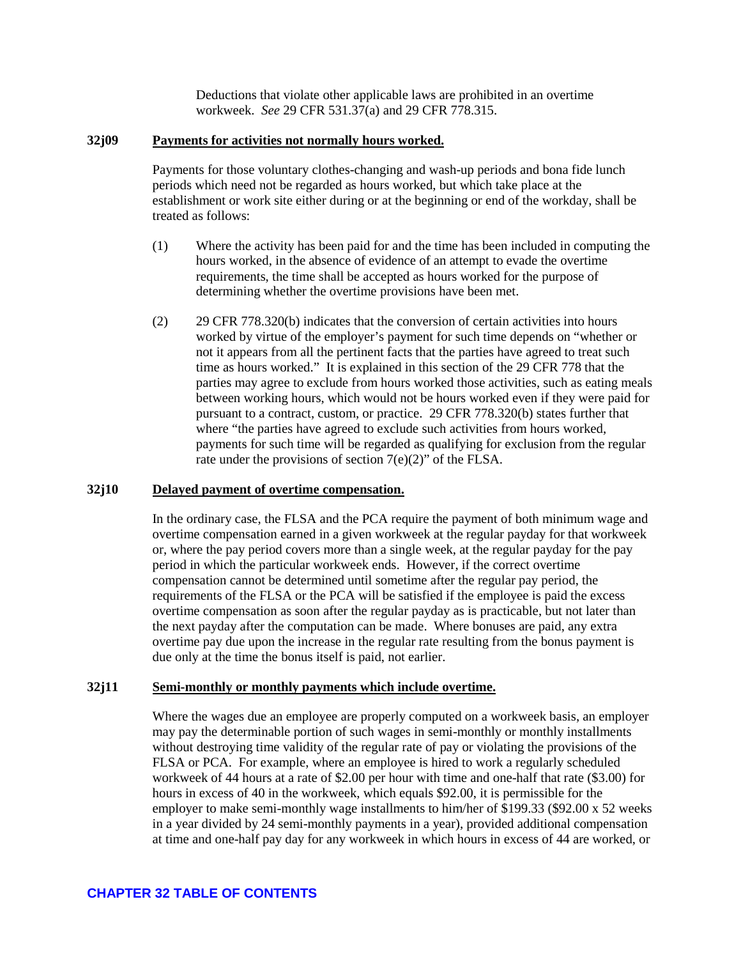Deductions that violate other applicable laws are prohibited in an overtime workweek. *See* 29 CFR 531.37(a) and 29 CFR 778.315.

### <span id="page-33-0"></span>**32j09 Payments for activities not normally hours worked.**

Payments for those voluntary clothes-changing and wash-up periods and bona fide lunch periods which need not be regarded as hours worked, but which take place at the establishment or work site either during or at the beginning or end of the workday, shall be treated as follows:

- (1) Where the activity has been paid for and the time has been included in computing the hours worked, in the absence of evidence of an attempt to evade the overtime requirements, the time shall be accepted as hours worked for the purpose of determining whether the overtime provisions have been met.
- (2) 29 CFR 778.320(b) indicates that the conversion of certain activities into hours worked by virtue of the employer's payment for such time depends on "whether or not it appears from all the pertinent facts that the parties have agreed to treat such time as hours worked." It is explained in this section of the 29 CFR 778 that the parties may agree to exclude from hours worked those activities, such as eating meals between working hours, which would not be hours worked even if they were paid for pursuant to a contract, custom, or practice. 29 CFR 778.320(b) states further that where "the parties have agreed to exclude such activities from hours worked, payments for such time will be regarded as qualifying for exclusion from the regular rate under the provisions of section  $7(e)(2)$ " of the FLSA.

#### <span id="page-33-1"></span>**32j10 Delayed payment of overtime compensation.**

In the ordinary case, the FLSA and the PCA require the payment of both minimum wage and overtime compensation earned in a given workweek at the regular payday for that workweek or, where the pay period covers more than a single week, at the regular payday for the pay period in which the particular workweek ends. However, if the correct overtime compensation cannot be determined until sometime after the regular pay period, the requirements of the FLSA or the PCA will be satisfied if the employee is paid the excess overtime compensation as soon after the regular payday as is practicable, but not later than the next payday after the computation can be made. Where bonuses are paid, any extra overtime pay due upon the increase in the regular rate resulting from the bonus payment is due only at the time the bonus itself is paid, not earlier.

#### <span id="page-33-2"></span>**32j11 Semi-monthly or monthly payments which include overtime.**

Where the wages due an employee are properly computed on a workweek basis, an employer may pay the determinable portion of such wages in semi-monthly or monthly installments without destroying time validity of the regular rate of pay or violating the provisions of the FLSA or PCA. For example, where an employee is hired to work a regularly scheduled workweek of 44 hours at a rate of \$2.00 per hour with time and one-half that rate (\$3.00) for hours in excess of 40 in the workweek, which equals \$92.00, it is permissible for the employer to make semi-monthly wage installments to him/her of \$199.33 (\$92.00 x 52 weeks in a year divided by 24 semi-monthly payments in a year), provided additional compensation at time and one-half pay day for any workweek in which hours in excess of 44 are worked, or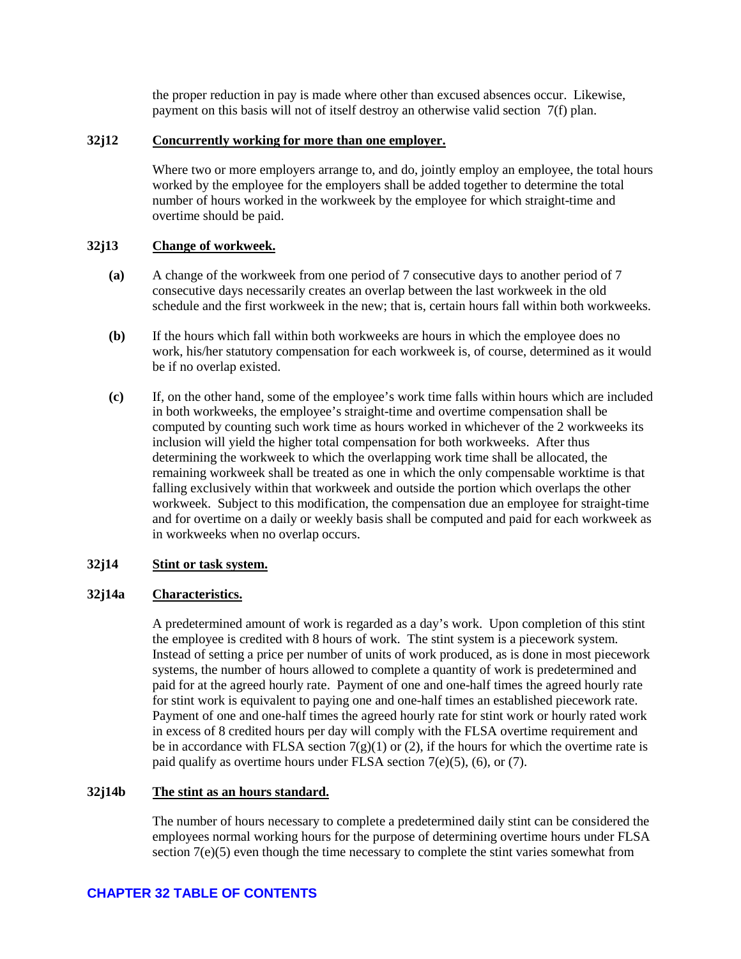the proper reduction in pay is made where other than excused absences occur. Likewise, payment on this basis will not of itself destroy an otherwise valid section 7(f) plan.

### <span id="page-34-0"></span>**32j12 Concurrently working for more than one employer.**

Where two or more employers arrange to, and do, jointly employ an employee, the total hours worked by the employee for the employers shall be added together to determine the total number of hours worked in the workweek by the employee for which straight-time and overtime should be paid.

### <span id="page-34-1"></span>**32j13 Change of workweek.**

- **(a)** A change of the workweek from one period of 7 consecutive days to another period of 7 consecutive days necessarily creates an overlap between the last workweek in the old schedule and the first workweek in the new; that is, certain hours fall within both workweeks.
- **(b)** If the hours which fall within both workweeks are hours in which the employee does no work, his/her statutory compensation for each workweek is, of course, determined as it would be if no overlap existed.
- **(c)** If, on the other hand, some of the employee's work time falls within hours which are included in both workweeks, the employee's straight-time and overtime compensation shall be computed by counting such work time as hours worked in whichever of the 2 workweeks its inclusion will yield the higher total compensation for both workweeks. After thus determining the workweek to which the overlapping work time shall be allocated, the remaining workweek shall be treated as one in which the only compensable worktime is that falling exclusively within that workweek and outside the portion which overlaps the other workweek. Subject to this modification, the compensation due an employee for straight-time and for overtime on a daily or weekly basis shall be computed and paid for each workweek as in workweeks when no overlap occurs.

### <span id="page-34-2"></span>**32j14 Stint or task system.**

#### <span id="page-34-3"></span>**32j14a Characteristics.**

A predetermined amount of work is regarded as a day's work. Upon completion of this stint the employee is credited with 8 hours of work. The stint system is a piecework system. Instead of setting a price per number of units of work produced, as is done in most piecework systems, the number of hours allowed to complete a quantity of work is predetermined and paid for at the agreed hourly rate. Payment of one and one-half times the agreed hourly rate for stint work is equivalent to paying one and one-half times an established piecework rate. Payment of one and one-half times the agreed hourly rate for stint work or hourly rated work in excess of 8 credited hours per day will comply with the FLSA overtime requirement and be in accordance with FLSA section  $7(g)(1)$  or (2), if the hours for which the overtime rate is paid qualify as overtime hours under FLSA section  $7(e)(5)$ ,  $(6)$ , or  $(7)$ .

### <span id="page-34-4"></span>**32j14b The stint as an hours standard.**

The number of hours necessary to complete a predetermined daily stint can be considered the employees normal working hours for the purpose of determining overtime hours under FLSA section 7(e)(5) even though the time necessary to complete the stint varies somewhat from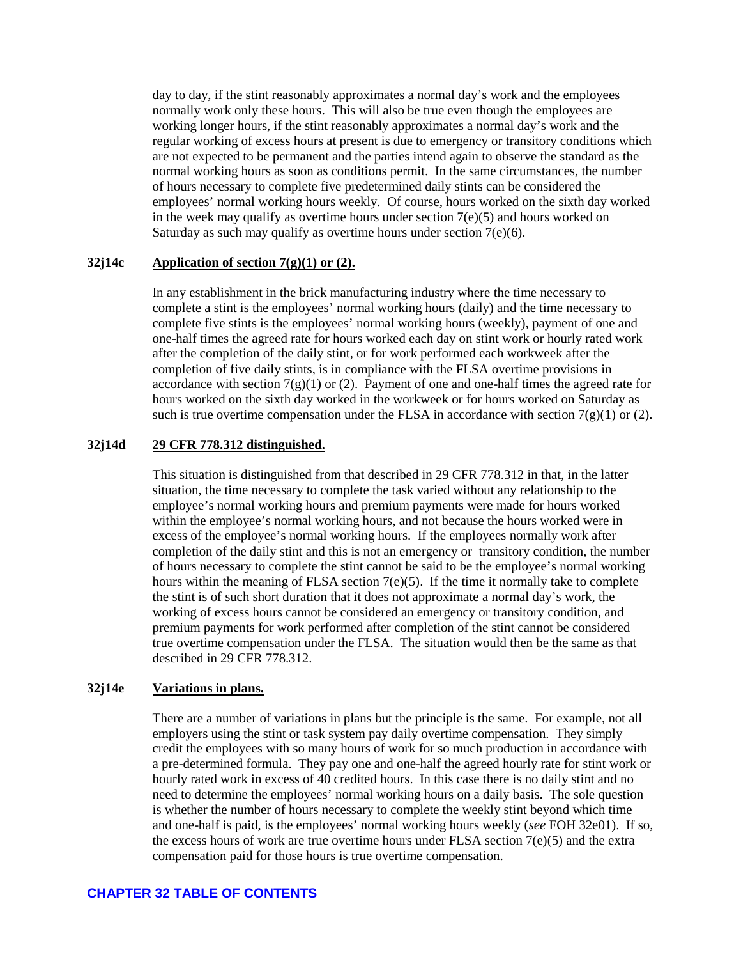day to day, if the stint reasonably approximates a normal day's work and the employees normally work only these hours. This will also be true even though the employees are working longer hours, if the stint reasonably approximates a normal day's work and the regular working of excess hours at present is due to emergency or transitory conditions which are not expected to be permanent and the parties intend again to observe the standard as the normal working hours as soon as conditions permit. In the same circumstances, the number of hours necessary to complete five predetermined daily stints can be considered the employees' normal working hours weekly. Of course, hours worked on the sixth day worked in the week may qualify as overtime hours under section  $7(e)(5)$  and hours worked on Saturday as such may qualify as overtime hours under section  $7(e)(6)$ .

### <span id="page-35-0"></span>**32j14c Application of section 7(g)(1) or (2).**

In any establishment in the brick manufacturing industry where the time necessary to complete a stint is the employees' normal working hours (daily) and the time necessary to complete five stints is the employees' normal working hours (weekly), payment of one and one-half times the agreed rate for hours worked each day on stint work or hourly rated work after the completion of the daily stint, or for work performed each workweek after the completion of five daily stints, is in compliance with the FLSA overtime provisions in accordance with section  $7(g)(1)$  or (2). Payment of one and one-half times the agreed rate for hours worked on the sixth day worked in the workweek or for hours worked on Saturday as such is true overtime compensation under the FLSA in accordance with section  $7(g)(1)$  or (2).

### <span id="page-35-1"></span>**32j14d 29 CFR 778.312 distinguished.**

This situation is distinguished from that described in 29 CFR 778.312 in that, in the latter situation, the time necessary to complete the task varied without any relationship to the employee's normal working hours and premium payments were made for hours worked within the employee's normal working hours, and not because the hours worked were in excess of the employee's normal working hours. If the employees normally work after completion of the daily stint and this is not an emergency or transitory condition, the number of hours necessary to complete the stint cannot be said to be the employee's normal working hours within the meaning of FLSA section  $7(e)(5)$ . If the time it normally take to complete the stint is of such short duration that it does not approximate a normal day's work, the working of excess hours cannot be considered an emergency or transitory condition, and premium payments for work performed after completion of the stint cannot be considered true overtime compensation under the FLSA. The situation would then be the same as that described in 29 CFR 778.312.

#### <span id="page-35-2"></span>**32j14e Variations in plans.**

There are a number of variations in plans but the principle is the same. For example, not all employers using the stint or task system pay daily overtime compensation. They simply credit the employees with so many hours of work for so much production in accordance with a pre-determined formula. They pay one and one-half the agreed hourly rate for stint work or hourly rated work in excess of 40 credited hours. In this case there is no daily stint and no need to determine the employees' normal working hours on a daily basis. The sole question is whether the number of hours necessary to complete the weekly stint beyond which time and one-half is paid, is the employees' normal working hours weekly (*see* FOH 32e01). If so, the excess hours of work are true overtime hours under FLSA section  $7(e)(5)$  and the extra compensation paid for those hours is true overtime compensation.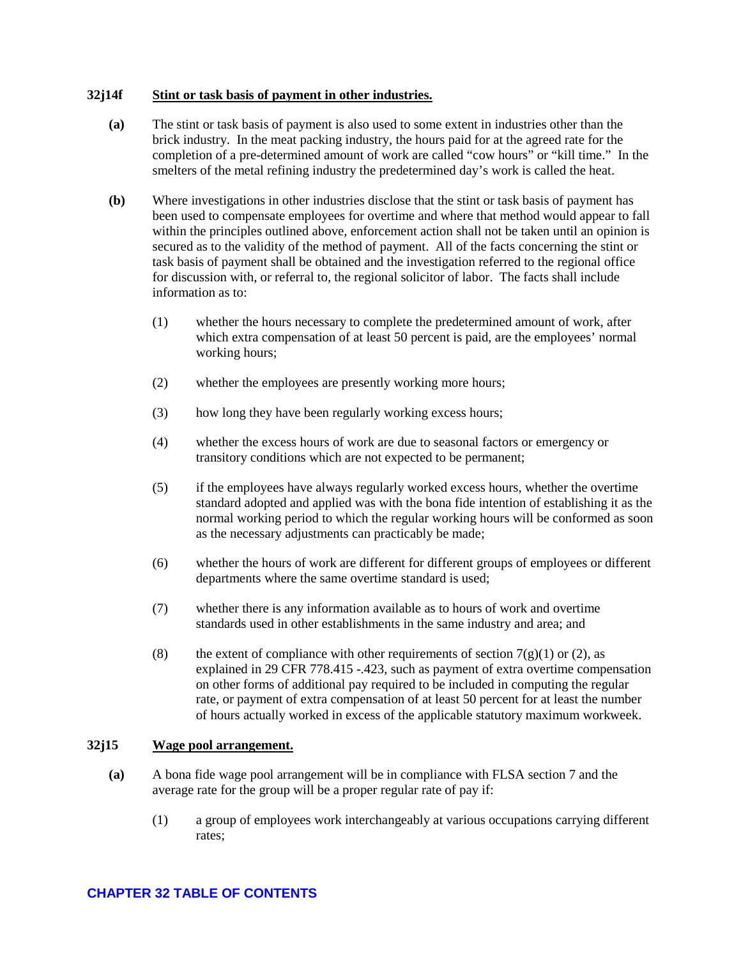#### <span id="page-36-0"></span>**32j14f Stint or task basis of payment in other industries.**

- **(a)** The stint or task basis of payment is also used to some extent in industries other than the brick industry. In the meat packing industry, the hours paid for at the agreed rate for the completion of a pre-determined amount of work are called "cow hours" or "kill time." In the smelters of the metal refining industry the predetermined day's work is called the heat.
- **(b)** Where investigations in other industries disclose that the stint or task basis of payment has been used to compensate employees for overtime and where that method would appear to fall within the principles outlined above, enforcement action shall not be taken until an opinion is secured as to the validity of the method of payment. All of the facts concerning the stint or task basis of payment shall be obtained and the investigation referred to the regional office for discussion with, or referral to, the regional solicitor of labor. The facts shall include information as to:
	- (1) whether the hours necessary to complete the predetermined amount of work, after which extra compensation of at least 50 percent is paid, are the employees' normal working hours;
	- (2) whether the employees are presently working more hours;
	- (3) how long they have been regularly working excess hours;
	- (4) whether the excess hours of work are due to seasonal factors or emergency or transitory conditions which are not expected to be permanent;
	- (5) if the employees have always regularly worked excess hours, whether the overtime standard adopted and applied was with the bona fide intention of establishing it as the normal working period to which the regular working hours will be conformed as soon as the necessary adjustments can practicably be made;
	- (6) whether the hours of work are different for different groups of employees or different departments where the same overtime standard is used;
	- (7) whether there is any information available as to hours of work and overtime standards used in other establishments in the same industry and area; and
	- (8) the extent of compliance with other requirements of section  $7(g)(1)$  or (2), as explained in 29 CFR 778.415 -.423, such as payment of extra overtime compensation on other forms of additional pay required to be included in computing the regular rate, or payment of extra compensation of at least 50 percent for at least the number of hours actually worked in excess of the applicable statutory maximum workweek.

#### <span id="page-36-1"></span>**32j15 Wage pool arrangement.**

- **(a)** A bona fide wage pool arrangement will be in compliance with FLSA section 7 and the average rate for the group will be a proper regular rate of pay if:
	- (1) a group of employees work interchangeably at various occupations carrying different rates;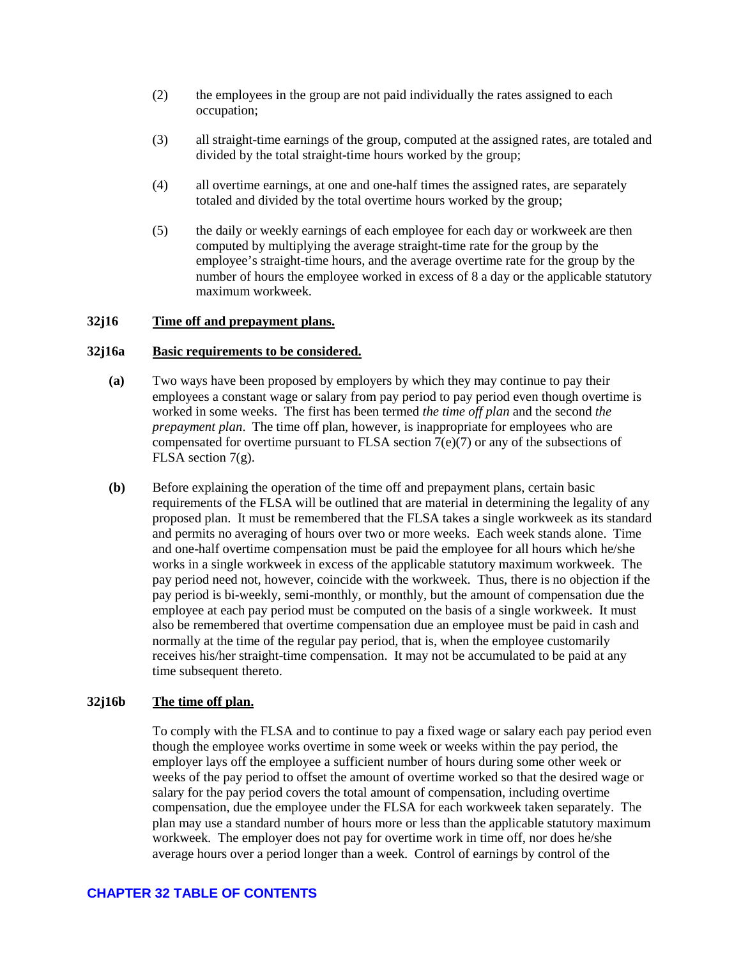- (2) the employees in the group are not paid individually the rates assigned to each occupation;
- (3) all straight-time earnings of the group, computed at the assigned rates, are totaled and divided by the total straight-time hours worked by the group;
- (4) all overtime earnings, at one and one-half times the assigned rates, are separately totaled and divided by the total overtime hours worked by the group;
- (5) the daily or weekly earnings of each employee for each day or workweek are then computed by multiplying the average straight-time rate for the group by the employee's straight-time hours, and the average overtime rate for the group by the number of hours the employee worked in excess of 8 a day or the applicable statutory maximum workweek.

### <span id="page-37-0"></span>**32j16 Time off and prepayment plans.**

#### <span id="page-37-1"></span>**32j16a Basic requirements to be considered.**

- **(a)** Two ways have been proposed by employers by which they may continue to pay their employees a constant wage or salary from pay period to pay period even though overtime is worked in some weeks. The first has been termed *the time off plan* and the second *the prepayment plan*. The time off plan, however, is inappropriate for employees who are compensated for overtime pursuant to FLSA section  $7(e)(7)$  or any of the subsections of FLSA section 7(g).
- **(b)** Before explaining the operation of the time off and prepayment plans, certain basic requirements of the FLSA will be outlined that are material in determining the legality of any proposed plan. It must be remembered that the FLSA takes a single workweek as its standard and permits no averaging of hours over two or more weeks. Each week stands alone. Time and one-half overtime compensation must be paid the employee for all hours which he/she works in a single workweek in excess of the applicable statutory maximum workweek. The pay period need not, however, coincide with the workweek. Thus, there is no objection if the pay period is bi-weekly, semi-monthly, or monthly, but the amount of compensation due the employee at each pay period must be computed on the basis of a single workweek. It must also be remembered that overtime compensation due an employee must be paid in cash and normally at the time of the regular pay period, that is, when the employee customarily receives his/her straight-time compensation. It may not be accumulated to be paid at any time subsequent thereto.

#### <span id="page-37-2"></span>**32j16b The time off plan.**

To comply with the FLSA and to continue to pay a fixed wage or salary each pay period even though the employee works overtime in some week or weeks within the pay period, the employer lays off the employee a sufficient number of hours during some other week or weeks of the pay period to offset the amount of overtime worked so that the desired wage or salary for the pay period covers the total amount of compensation, including overtime compensation, due the employee under the FLSA for each workweek taken separately. The plan may use a standard number of hours more or less than the applicable statutory maximum workweek. The employer does not pay for overtime work in time off, nor does he/she average hours over a period longer than a week. Control of earnings by control of the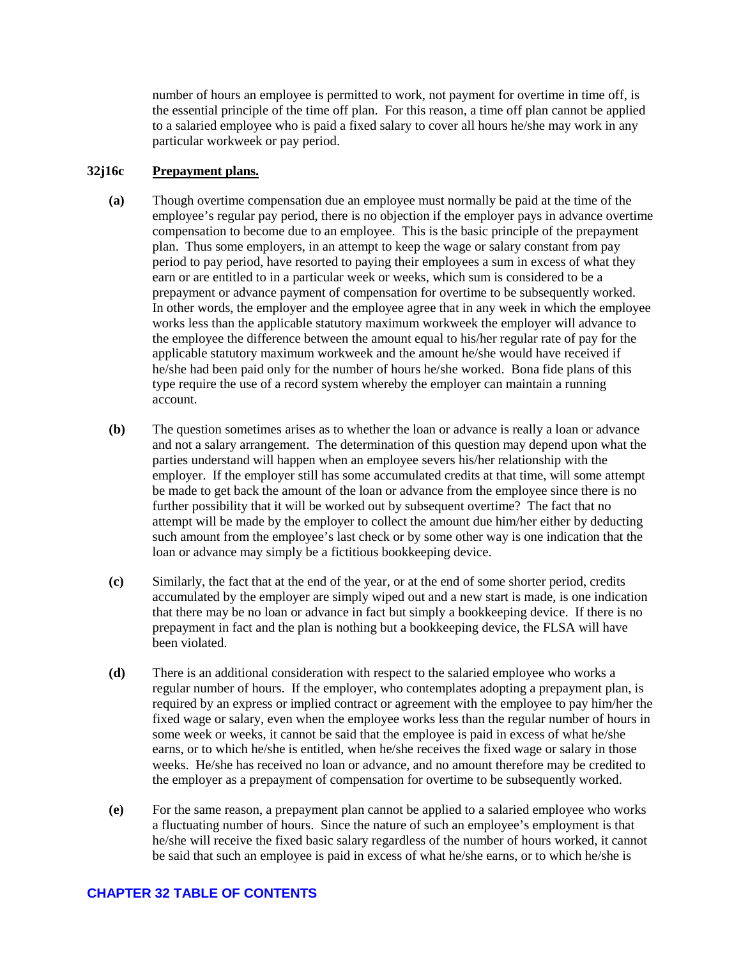number of hours an employee is permitted to work, not payment for overtime in time off, is the essential principle of the time off plan. For this reason, a time off plan cannot be applied to a salaried employee who is paid a fixed salary to cover all hours he/she may work in any particular workweek or pay period.

### <span id="page-38-0"></span>**32j16c Prepayment plans.**

- **(a)** Though overtime compensation due an employee must normally be paid at the time of the employee's regular pay period, there is no objection if the employer pays in advance overtime compensation to become due to an employee. This is the basic principle of the prepayment plan. Thus some employers, in an attempt to keep the wage or salary constant from pay period to pay period, have resorted to paying their employees a sum in excess of what they earn or are entitled to in a particular week or weeks, which sum is considered to be a prepayment or advance payment of compensation for overtime to be subsequently worked. In other words, the employer and the employee agree that in any week in which the employee works less than the applicable statutory maximum workweek the employer will advance to the employee the difference between the amount equal to his/her regular rate of pay for the applicable statutory maximum workweek and the amount he/she would have received if he/she had been paid only for the number of hours he/she worked. Bona fide plans of this type require the use of a record system whereby the employer can maintain a running account.
- **(b)** The question sometimes arises as to whether the loan or advance is really a loan or advance and not a salary arrangement. The determination of this question may depend upon what the parties understand will happen when an employee severs his/her relationship with the employer. If the employer still has some accumulated credits at that time, will some attempt be made to get back the amount of the loan or advance from the employee since there is no further possibility that it will be worked out by subsequent overtime? The fact that no attempt will be made by the employer to collect the amount due him/her either by deducting such amount from the employee's last check or by some other way is one indication that the loan or advance may simply be a fictitious bookkeeping device.
- **(c)** Similarly, the fact that at the end of the year, or at the end of some shorter period, credits accumulated by the employer are simply wiped out and a new start is made, is one indication that there may be no loan or advance in fact but simply a bookkeeping device. If there is no prepayment in fact and the plan is nothing but a bookkeeping device, the FLSA will have been violated.
- **(d)** There is an additional consideration with respect to the salaried employee who works a regular number of hours. If the employer, who contemplates adopting a prepayment plan, is required by an express or implied contract or agreement with the employee to pay him/her the fixed wage or salary, even when the employee works less than the regular number of hours in some week or weeks, it cannot be said that the employee is paid in excess of what he/she earns, or to which he/she is entitled, when he/she receives the fixed wage or salary in those weeks. He/she has received no loan or advance, and no amount therefore may be credited to the employer as a prepayment of compensation for overtime to be subsequently worked.
- **(e)** For the same reason, a prepayment plan cannot be applied to a salaried employee who works a fluctuating number of hours. Since the nature of such an employee's employment is that he/she will receive the fixed basic salary regardless of the number of hours worked, it cannot be said that such an employee is paid in excess of what he/she earns, or to which he/she is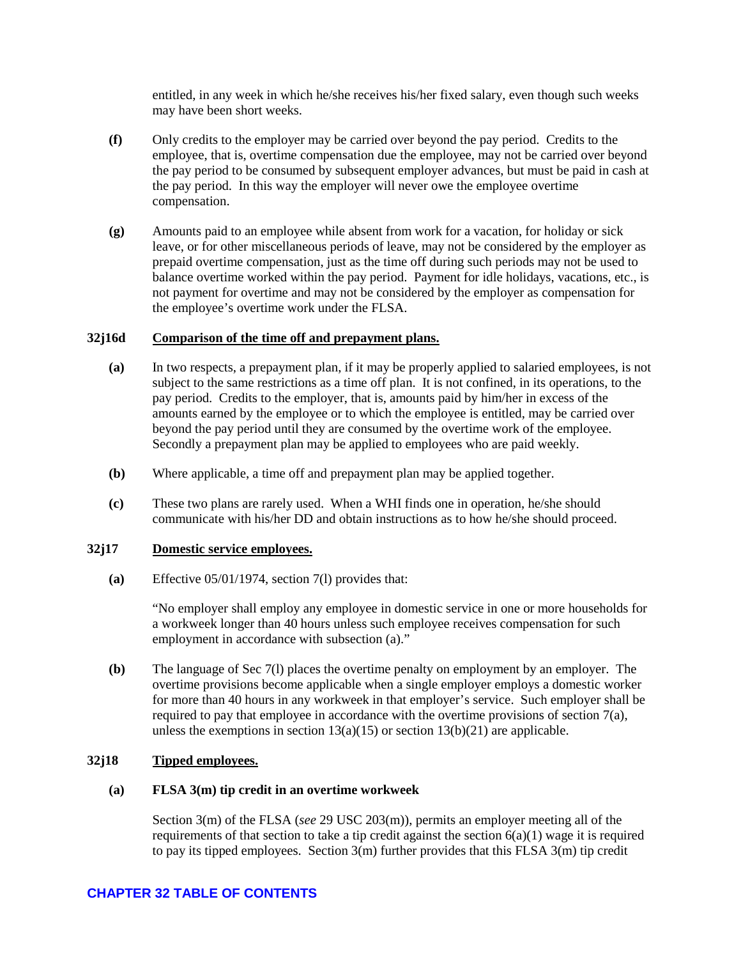entitled, in any week in which he/she receives his/her fixed salary, even though such weeks may have been short weeks.

- **(f)** Only credits to the employer may be carried over beyond the pay period. Credits to the employee, that is, overtime compensation due the employee, may not be carried over beyond the pay period to be consumed by subsequent employer advances, but must be paid in cash at the pay period. In this way the employer will never owe the employee overtime compensation.
- **(g)** Amounts paid to an employee while absent from work for a vacation, for holiday or sick leave, or for other miscellaneous periods of leave, may not be considered by the employer as prepaid overtime compensation, just as the time off during such periods may not be used to balance overtime worked within the pay period. Payment for idle holidays, vacations, etc., is not payment for overtime and may not be considered by the employer as compensation for the employee's overtime work under the FLSA.

### <span id="page-39-0"></span>**32j16d Comparison of the time off and prepayment plans.**

- **(a)** In two respects, a prepayment plan, if it may be properly applied to salaried employees, is not subject to the same restrictions as a time off plan. It is not confined, in its operations, to the pay period. Credits to the employer, that is, amounts paid by him/her in excess of the amounts earned by the employee or to which the employee is entitled, may be carried over beyond the pay period until they are consumed by the overtime work of the employee. Secondly a prepayment plan may be applied to employees who are paid weekly.
- **(b)** Where applicable, a time off and prepayment plan may be applied together.
- **(c)** These two plans are rarely used. When a WHI finds one in operation, he/she should communicate with his/her DD and obtain instructions as to how he/she should proceed.

#### <span id="page-39-1"></span>**32j17 Domestic service employees.**

**(a)** Effective 05/01/1974, section 7(l) provides that:

"No employer shall employ any employee in domestic service in one or more households for a workweek longer than 40 hours unless such employee receives compensation for such employment in accordance with subsection (a)."

**(b)** The language of Sec 7(l) places the overtime penalty on employment by an employer. The overtime provisions become applicable when a single employer employs a domestic worker for more than 40 hours in any workweek in that employer's service. Such employer shall be required to pay that employee in accordance with the overtime provisions of section  $7(a)$ , unless the exemptions in section  $13(a)(15)$  or section  $13(b)(21)$  are applicable.

### <span id="page-39-2"></span>**32j18 Tipped employees.**

#### **(a) FLSA 3(m) tip credit in an overtime workweek**

Section 3(m) of the FLSA (*see* 29 USC 203(m)), permits an employer meeting all of the requirements of that section to take a tip credit against the section  $6(a)(1)$  wage it is required to pay its tipped employees. Section  $3(m)$  further provides that this FLSA  $3(m)$  tip credit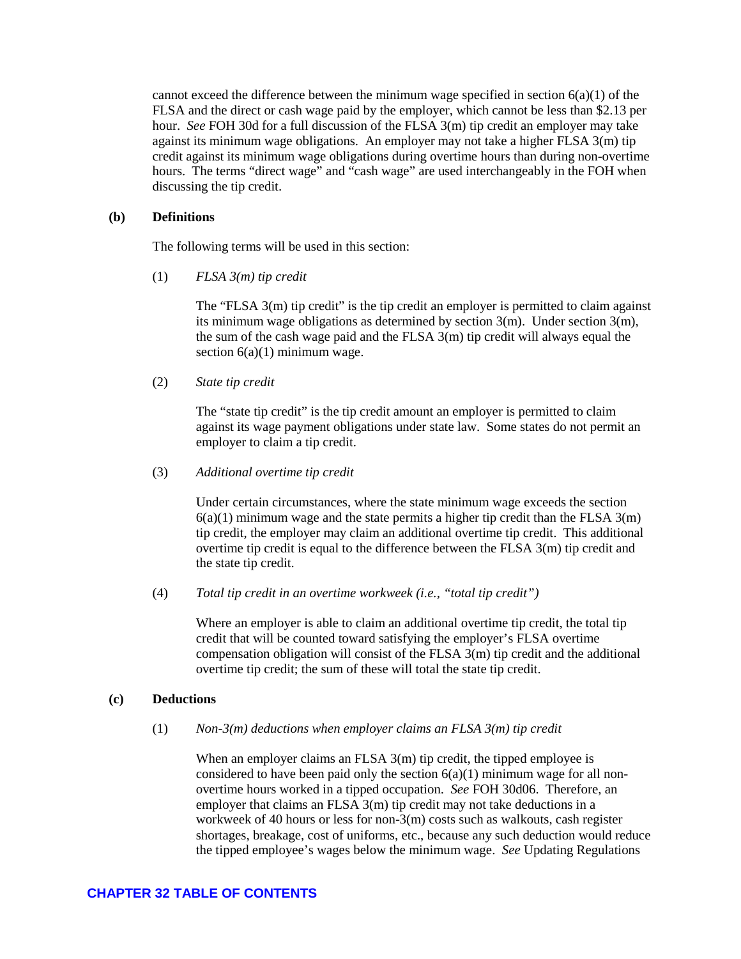cannot exceed the difference between the minimum wage specified in section  $6(a)(1)$  of the FLSA and the direct or cash wage paid by the employer, which cannot be less than \$2.13 per hour. *See* FOH 30d for a full discussion of the FLSA 3(m) tip credit an employer may take against its minimum wage obligations. An employer may not take a higher FLSA 3(m) tip credit against its minimum wage obligations during overtime hours than during non-overtime hours. The terms "direct wage" and "cash wage" are used interchangeably in the FOH when discussing the tip credit.

### **(b) Definitions**

The following terms will be used in this section:

(1) *FLSA 3(m) tip credit* 

The "FLSA 3(m) tip credit" is the tip credit an employer is permitted to claim against its minimum wage obligations as determined by section 3(m). Under section 3(m), the sum of the cash wage paid and the FLSA 3(m) tip credit will always equal the section  $6(a)(1)$  minimum wage.

(2) *State tip credit* 

The "state tip credit" is the tip credit amount an employer is permitted to claim against its wage payment obligations under state law. Some states do not permit an employer to claim a tip credit.

(3) *Additional overtime tip credit* 

Under certain circumstances, where the state minimum wage exceeds the section  $6(a)(1)$  minimum wage and the state permits a higher tip credit than the FLSA  $3(m)$ tip credit, the employer may claim an additional overtime tip credit. This additional overtime tip credit is equal to the difference between the FLSA 3(m) tip credit and the state tip credit.

(4) *Total tip credit in an overtime workweek (i.e., "total tip credit")* 

Where an employer is able to claim an additional overtime tip credit, the total tip credit that will be counted toward satisfying the employer's FLSA overtime compensation obligation will consist of the FLSA  $3(m)$  tip credit and the additional overtime tip credit; the sum of these will total the state tip credit.

### **(c) Deductions**

(1) *Non-3(m) deductions when employer claims an FLSA 3(m) tip credit* 

When an employer claims an FLSA 3(m) tip credit, the tipped employee is considered to have been paid only the section  $6(a)(1)$  minimum wage for all nonovertime hours worked in a tipped occupation. *See* FOH 30d06. Therefore, an employer that claims an FLSA 3(m) tip credit may not take deductions in a workweek of 40 hours or less for non-3(m) costs such as walkouts, cash register shortages, breakage, cost of uniforms, etc., because any such deduction would reduce the tipped employee's wages below the minimum wage. *See* Updating Regulations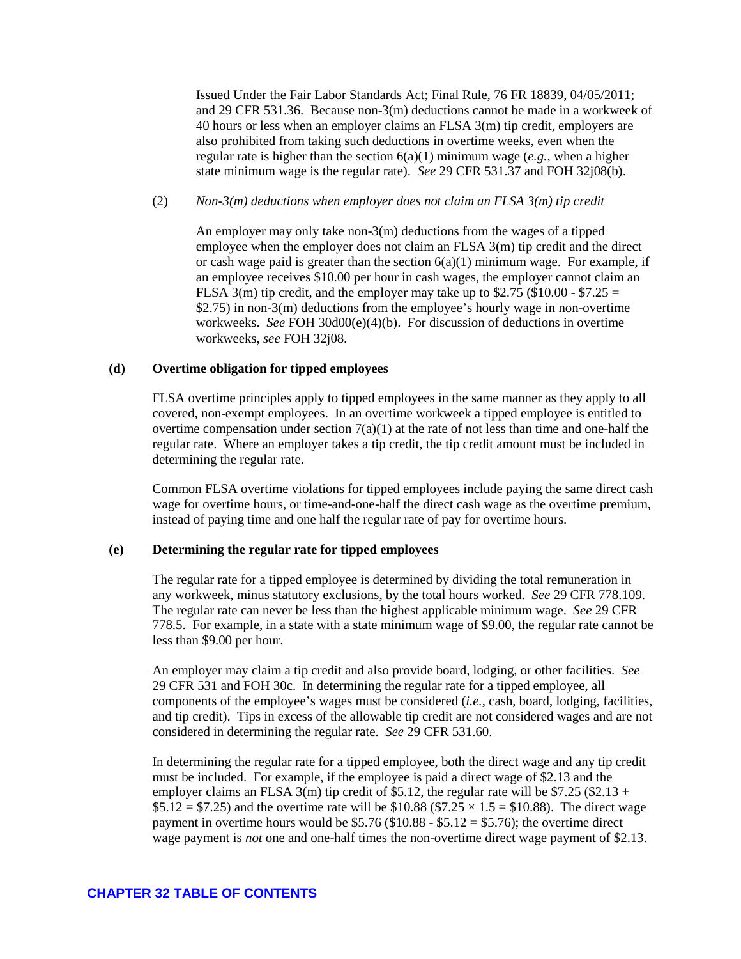Issued Under the Fair Labor Standards Act; Final Rule, 76 FR 18839, 04/05/2011; and 29 CFR 531.36. Because non-3(m) deductions cannot be made in a workweek of 40 hours or less when an employer claims an FLSA 3(m) tip credit, employers are also prohibited from taking such deductions in overtime weeks, even when the regular rate is higher than the section 6(a)(1) minimum wage (*e.g.*, when a higher state minimum wage is the regular rate). *See* 29 CFR 531.37 and FOH 32j08(b).

#### (2) *Non-3(m) deductions when employer does not claim an FLSA 3(m) tip credit*

An employer may only take non-3(m) deductions from the wages of a tipped employee when the employer does not claim an FLSA 3(m) tip credit and the direct or cash wage paid is greater than the section  $6(a)(1)$  minimum wage. For example, if an employee receives \$10.00 per hour in cash wages, the employer cannot claim an FLSA 3(m) tip credit, and the employer may take up to \$2.75 (\$10.00 - \$7.25 = \$2.75) in non-3(m) deductions from the employee's hourly wage in non-overtime workweeks. *See* FOH 30d00(e)(4)(b). For discussion of deductions in overtime workweeks, *see* FOH 32j08.

#### **(d) Overtime obligation for tipped employees**

FLSA overtime principles apply to tipped employees in the same manner as they apply to all covered, non-exempt employees. In an overtime workweek a tipped employee is entitled to overtime compensation under section  $7(a)(1)$  at the rate of not less than time and one-half the regular rate. Where an employer takes a tip credit, the tip credit amount must be included in determining the regular rate.

Common FLSA overtime violations for tipped employees include paying the same direct cash wage for overtime hours, or time-and-one-half the direct cash wage as the overtime premium, instead of paying time and one half the regular rate of pay for overtime hours.

#### **(e) Determining the regular rate for tipped employees**

The regular rate for a tipped employee is determined by dividing the total remuneration in any workweek, minus statutory exclusions, by the total hours worked. *See* 29 CFR 778.109. The regular rate can never be less than the highest applicable minimum wage. *See* 29 CFR 778.5. For example, in a state with a state minimum wage of \$9.00, the regular rate cannot be less than \$9.00 per hour.

An employer may claim a tip credit and also provide board, lodging, or other facilities. *See* 29 CFR 531 and FOH 30c. In determining the regular rate for a tipped employee, all components of the employee's wages must be considered (*i.e.*, cash, board, lodging, facilities, and tip credit). Tips in excess of the allowable tip credit are not considered wages and are not considered in determining the regular rate. *See* 29 CFR 531.60.

In determining the regular rate for a tipped employee, both the direct wage and any tip credit must be included. For example, if the employee is paid a direct wage of \$2.13 and the employer claims an FLSA 3(m) tip credit of \$5.12, the regular rate will be \$7.25 (\$2.13 + \$5.12 = \$7.25) and the overtime rate will be \$10.88 (\$7.25  $\times$  1.5 = \$10.88). The direct wage payment in overtime hours would be  $$5.76 ($10.88 - $5.12 = $5.76)$ ; the overtime direct wage payment is *not* one and one-half times the non-overtime direct wage payment of \$2.13.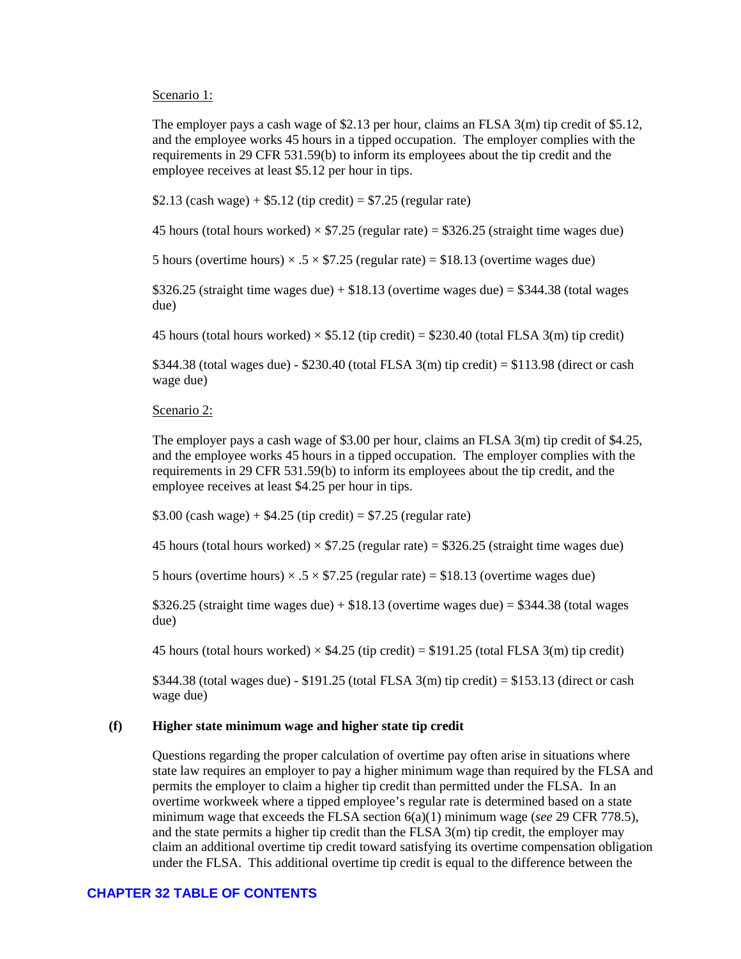#### Scenario 1:

The employer pays a cash wage of \$2.13 per hour, claims an FLSA 3(m) tip credit of \$5.12, and the employee works 45 hours in a tipped occupation. The employer complies with the requirements in 29 CFR 531.59(b) to inform its employees about the tip credit and the employee receives at least \$5.12 per hour in tips.

\$2.13 (cash wage) +  $$5.12$  (tip credit) = \$7.25 (regular rate)

45 hours (total hours worked)  $\times$  \$7.25 (regular rate) = \$326.25 (straight time wages due)

5 hours (overtime hours)  $\times$  .5  $\times$  \$7.25 (regular rate) = \$18.13 (overtime wages due)

 $$326.25$  (straight time wages due) +  $$18.13$  (overtime wages due) =  $$344.38$  (total wages due)

45 hours (total hours worked)  $\times$  \$5.12 (tip credit) = \$230.40 (total FLSA 3(m) tip credit)

\$344.38 (total wages due) - \$230.40 (total FLSA 3(m) tip credit) = \$113.98 (direct or cash wage due)

#### Scenario 2:

The employer pays a cash wage of \$3.00 per hour, claims an FLSA 3(m) tip credit of \$4.25, and the employee works 45 hours in a tipped occupation. The employer complies with the requirements in 29 CFR 531.59(b) to inform its employees about the tip credit, and the employee receives at least \$4.25 per hour in tips.

\$3.00 (cash wage) +  $$4.25$  (tip credit) = \$7.25 (regular rate)

45 hours (total hours worked)  $\times$  \$7.25 (regular rate) = \$326.25 (straight time wages due)

5 hours (overtime hours)  $\times$  .5  $\times$  \$7.25 (regular rate) = \$18.13 (overtime wages due)

 $$326.25$  (straight time wages due) +  $$18.13$  (overtime wages due) =  $$344.38$  (total wages due)

45 hours (total hours worked)  $\times$  \$4.25 (tip credit) = \$191.25 (total FLSA 3(m) tip credit)

 $$344.38$  (total wages due) -  $$191.25$  (total FLSA 3(m) tip credit) =  $$153.13$  (direct or cash wage due)

#### **(f) Higher state minimum wage and higher state tip credit**

Questions regarding the proper calculation of overtime pay often arise in situations where state law requires an employer to pay a higher minimum wage than required by the FLSA and permits the employer to claim a higher tip credit than permitted under the FLSA. In an overtime workweek where a tipped employee's regular rate is determined based on a state minimum wage that exceeds the FLSA section 6(a)(1) minimum wage (*see* 29 CFR 778.5), and the state permits a higher tip credit than the FLSA 3(m) tip credit, the employer may claim an additional overtime tip credit toward satisfying its overtime compensation obligation under the FLSA. This additional overtime tip credit is equal to the difference between the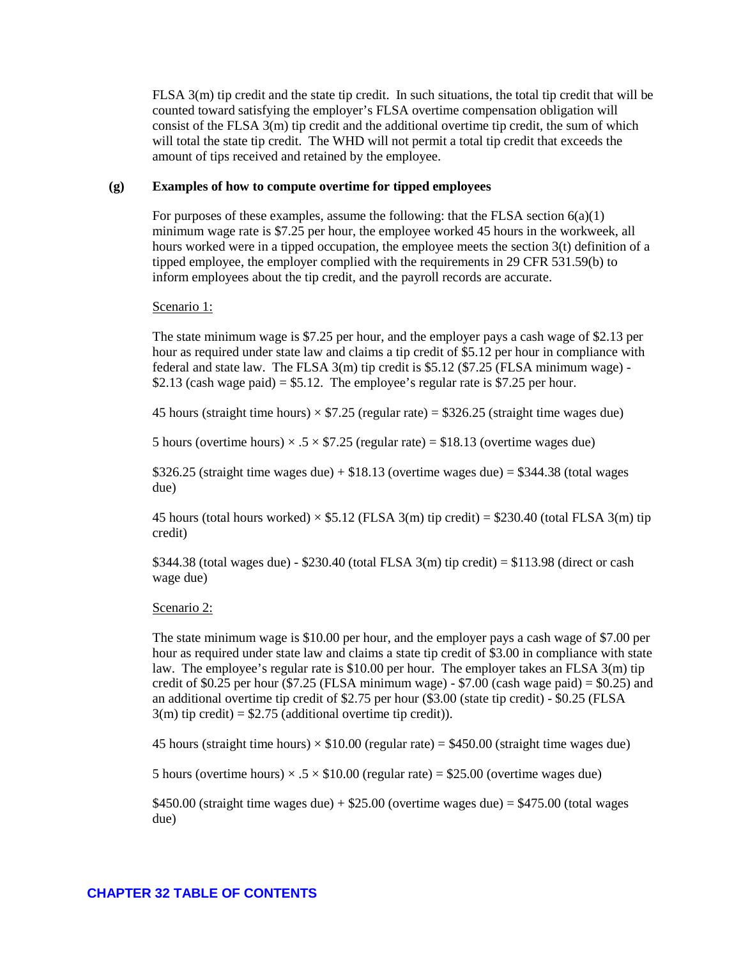FLSA 3(m) tip credit and the state tip credit. In such situations, the total tip credit that will be counted toward satisfying the employer's FLSA overtime compensation obligation will consist of the FLSA 3(m) tip credit and the additional overtime tip credit, the sum of which will total the state tip credit. The WHD will not permit a total tip credit that exceeds the amount of tips received and retained by the employee.

### **(g) Examples of how to compute overtime for tipped employees**

For purposes of these examples, assume the following: that the FLSA section  $6(a)(1)$ minimum wage rate is \$7.25 per hour, the employee worked 45 hours in the workweek, all hours worked were in a tipped occupation, the employee meets the section 3(t) definition of a tipped employee, the employer complied with the requirements in 29 CFR 531.59(b) to inform employees about the tip credit, and the payroll records are accurate.

Scenario 1:

The state minimum wage is \$7.25 per hour, and the employer pays a cash wage of \$2.13 per hour as required under state law and claims a tip credit of \$5.12 per hour in compliance with federal and state law. The FLSA 3(m) tip credit is \$5.12 (\$7.25 (FLSA minimum wage) - \$2.13 (cash wage paid) = \$5.12. The employee's regular rate is \$7.25 per hour.

45 hours (straight time hours)  $\times$  \$7.25 (regular rate) = \$326.25 (straight time wages due)

5 hours (overtime hours)  $\times$  .5  $\times$  \$7.25 (regular rate) = \$18.13 (overtime wages due)

 $$326.25$  (straight time wages due) +  $$18.13$  (overtime wages due) =  $$344.38$  (total wages due)

45 hours (total hours worked)  $\times$  \$5.12 (FLSA 3(m) tip credit) = \$230.40 (total FLSA 3(m) tip credit)

 $$344.38$  (total wages due) -  $$230.40$  (total FLSA 3(m) tip credit) =  $$113.98$  (direct or cash wage due)

#### Scenario 2:

The state minimum wage is \$10.00 per hour, and the employer pays a cash wage of \$7.00 per hour as required under state law and claims a state tip credit of \$3.00 in compliance with state law. The employee's regular rate is \$10.00 per hour. The employer takes an FLSA 3(m) tip credit of \$0.25 per hour (\$7.25 (FLSA minimum wage)  $-$  \$7.00 (cash wage paid) = \$0.25) and an additional overtime tip credit of \$2.75 per hour (\$3.00 (state tip credit) - \$0.25 (FLSA  $3(m)$  tip credit) = \$2.75 (additional overtime tip credit)).

45 hours (straight time hours)  $\times$  \$10.00 (regular rate) = \$450.00 (straight time wages due)

5 hours (overtime hours)  $\times$  .5  $\times$  \$10.00 (regular rate) = \$25.00 (overtime wages due)

\$450.00 (straight time wages due) + \$25.00 (overtime wages due) =  $$475.00$  (total wages due)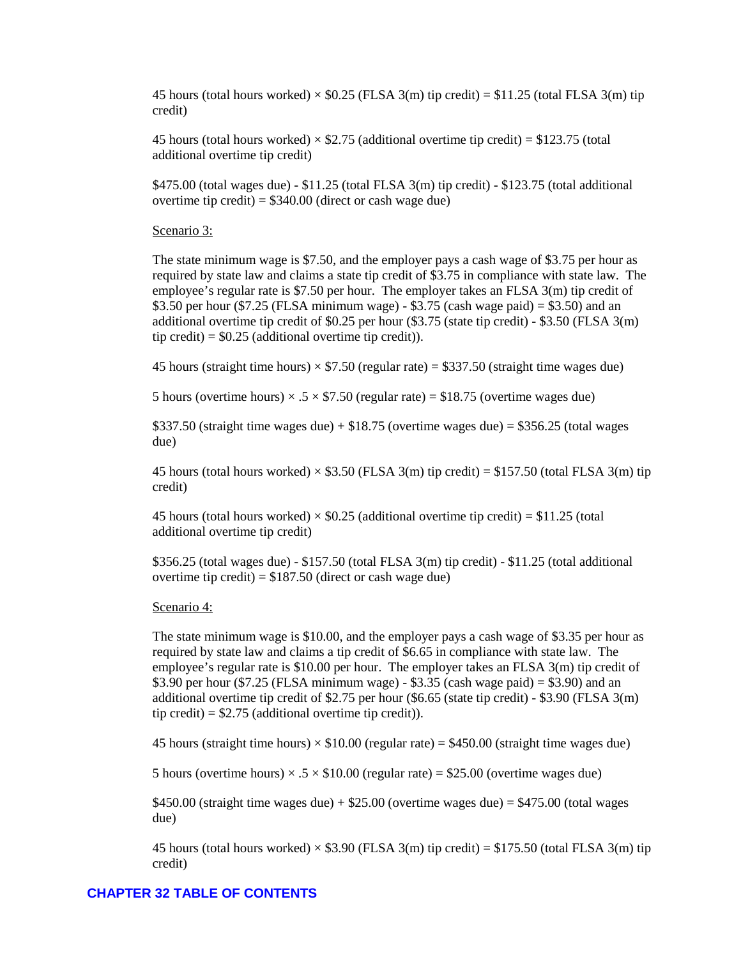45 hours (total hours worked)  $\times$  \$0.25 (FLSA 3(m) tip credit) = \$11.25 (total FLSA 3(m) tip credit)

45 hours (total hours worked)  $\times$  \$2.75 (additional overtime tip credit) = \$123.75 (total additional overtime tip credit)

\$475.00 (total wages due) - \$11.25 (total FLSA 3(m) tip credit) - \$123.75 (total additional overtime tip credit) =  $$340.00$  (direct or cash wage due)

#### Scenario 3:

The state minimum wage is \$7.50, and the employer pays a cash wage of \$3.75 per hour as required by state law and claims a state tip credit of \$3.75 in compliance with state law. The employee's regular rate is \$7.50 per hour. The employer takes an FLSA 3(m) tip credit of \$3.50 per hour (\$7.25 (FLSA minimum wage) - \$3.75 (cash wage paid) = \$3.50) and an additional overtime tip credit of \$0.25 per hour (\$3.75 (state tip credit) - \$3.50 (FLSA 3(m) tip credit) =  $$0.25$  (additional overtime tip credit)).

45 hours (straight time hours)  $\times$  \$7.50 (regular rate) = \$337.50 (straight time wages due)

5 hours (overtime hours)  $\times$  .5  $\times$  \$7.50 (regular rate) = \$18.75 (overtime wages due)

\$337.50 (straight time wages due) +  $$18.75$  (overtime wages due) = \$356.25 (total wages due)

45 hours (total hours worked)  $\times$  \$3.50 (FLSA 3(m) tip credit) = \$157.50 (total FLSA 3(m) tip credit)

45 hours (total hours worked)  $\times$  \$0.25 (additional overtime tip credit) = \$11.25 (total additional overtime tip credit)

\$356.25 (total wages due) - \$157.50 (total FLSA 3(m) tip credit) - \$11.25 (total additional overtime tip credit) =  $$187.50$  (direct or cash wage due)

#### Scenario 4:

The state minimum wage is \$10.00, and the employer pays a cash wage of \$3.35 per hour as required by state law and claims a tip credit of \$6.65 in compliance with state law. The employee's regular rate is \$10.00 per hour. The employer takes an FLSA 3(m) tip credit of \$3.90 per hour (\$7.25 (FLSA minimum wage) - \$3.35 (cash wage paid) = \$3.90) and an additional overtime tip credit of \$2.75 per hour (\$6.65 (state tip credit) - \$3.90 (FLSA 3(m) tip credit) =  $$2.75$  (additional overtime tip credit)).

45 hours (straight time hours)  $\times$  \$10.00 (regular rate) = \$450.00 (straight time wages due)

5 hours (overtime hours)  $\times$  .5  $\times$  \$10.00 (regular rate) = \$25.00 (overtime wages due)

\$450.00 (straight time wages due) + \$25.00 (overtime wages due) =  $$475.00$  (total wages due)

45 hours (total hours worked)  $\times$  \$3.90 (FLSA 3(m) tip credit) = \$175.50 (total FLSA 3(m) tip credit)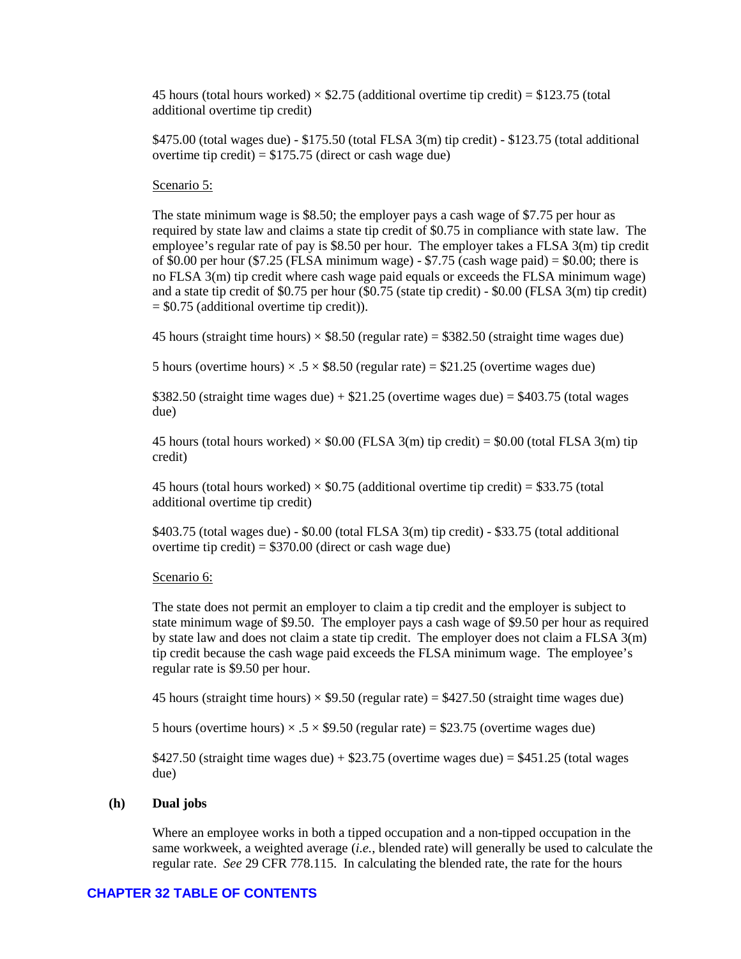45 hours (total hours worked)  $\times$  \$2.75 (additional overtime tip credit) = \$123.75 (total additional overtime tip credit)

\$475.00 (total wages due) - \$175.50 (total FLSA 3(m) tip credit) - \$123.75 (total additional overtime tip credit) =  $$175.75$  (direct or cash wage due)

#### Scenario 5:

The state minimum wage is \$8.50; the employer pays a cash wage of \$7.75 per hour as required by state law and claims a state tip credit of \$0.75 in compliance with state law. The employee's regular rate of pay is \$8.50 per hour. The employer takes a FLSA 3(m) tip credit of \$0.00 per hour (\$7.25 (FLSA minimum wage) - \$7.75 (cash wage paid) = \$0.00; there is no FLSA 3(m) tip credit where cash wage paid equals or exceeds the FLSA minimum wage) and a state tip credit of \$0.75 per hour (\$0.75 (state tip credit) - \$0.00 (FLSA 3(m) tip credit)  $=$  \$0.75 (additional overtime tip credit)).

45 hours (straight time hours)  $\times$  \$8.50 (regular rate) = \$382.50 (straight time wages due)

5 hours (overtime hours)  $\times$  .5  $\times$  \$8.50 (regular rate) = \$21.25 (overtime wages due)

\$382.50 (straight time wages due) +  $$21.25$  (overtime wages due) =  $$403.75$  (total wages due)

45 hours (total hours worked)  $\times$  \$0.00 (FLSA 3(m) tip credit) = \$0.00 (total FLSA 3(m) tip credit)

45 hours (total hours worked)  $\times$  \$0.75 (additional overtime tip credit) = \$33.75 (total additional overtime tip credit)

\$403.75 (total wages due) - \$0.00 (total FLSA 3(m) tip credit) - \$33.75 (total additional overtime tip credit) =  $$370.00$  (direct or cash wage due)

#### Scenario 6:

The state does not permit an employer to claim a tip credit and the employer is subject to state minimum wage of \$9.50. The employer pays a cash wage of \$9.50 per hour as required by state law and does not claim a state tip credit. The employer does not claim a FLSA  $3(m)$ tip credit because the cash wage paid exceeds the FLSA minimum wage. The employee's regular rate is \$9.50 per hour.

45 hours (straight time hours)  $\times$  \$9.50 (regular rate) = \$427.50 (straight time wages due)

5 hours (overtime hours)  $\times$  .5  $\times$  \$9.50 (regular rate) = \$23.75 (overtime wages due)

\$427.50 (straight time wages due) + \$23.75 (overtime wages due) =  $$451.25$  (total wages due)

#### **(h) Dual jobs**

Where an employee works in both a tipped occupation and a non-tipped occupation in the same workweek, a weighted average (*i.e.*, blended rate) will generally be used to calculate the regular rate. *See* 29 CFR 778.115. In calculating the blended rate, the rate for the hours